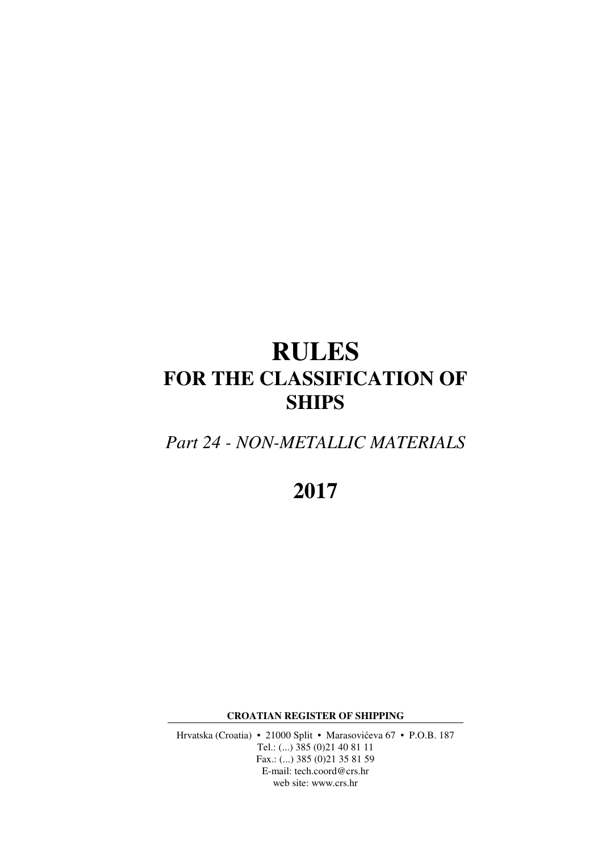# **RULES FOR THE CLASSIFICATION OF SHIPS**

*Part 24 - NON-METALLIC MATERIALS* 

**2017** 

**CROATIAN REGISTER OF SHIPPING** 

Hrvatska (Croatia) • 21000 Split • Marasovićeva 67 • P.O.B. 187 Tel.: (...) 385 (0)21 40 81 11 Fax.: (...) 385 (0)21 35 81 59 E-mail: tech.coord@crs.hr web site: www.crs.hr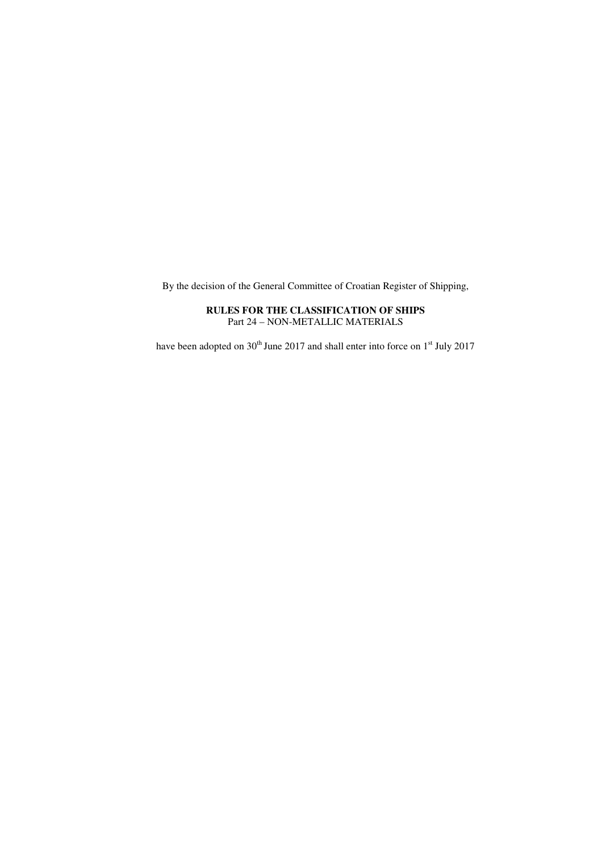By the decision of the General Committee of Croatian Register of Shipping,

## **RULES FOR THE CLASSIFICATION OF SHIPS** Part 24 – NON-METALLIC MATERIALS

have been adopted on  $30<sup>th</sup>$  June 2017 and shall enter into force on  $1<sup>st</sup>$  July 2017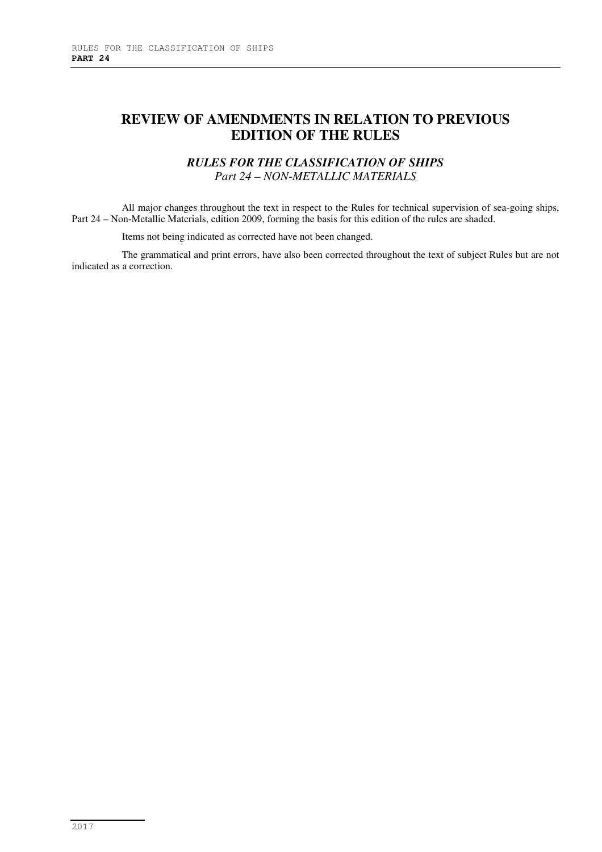# **REVIEW OF AMENDMENTS IN RELATION TO PREVIOUS EDITION OF THE RULES**

# *RULES FOR THE CLASSIFICATION OF SHIPS Part 24 – NON-METALLIC MATERIALS*

All major changes throughout the text in respect to the Rules for technical supervision of sea-going ships, Part 24 – Non-Metallic Materials, edition 2009, forming the basis for this edition of the rules are shaded.

Items not being indicated as corrected have not been changed.

The grammatical and print errors, have also been corrected throughout the text of subject Rules but are not indicated as a correction.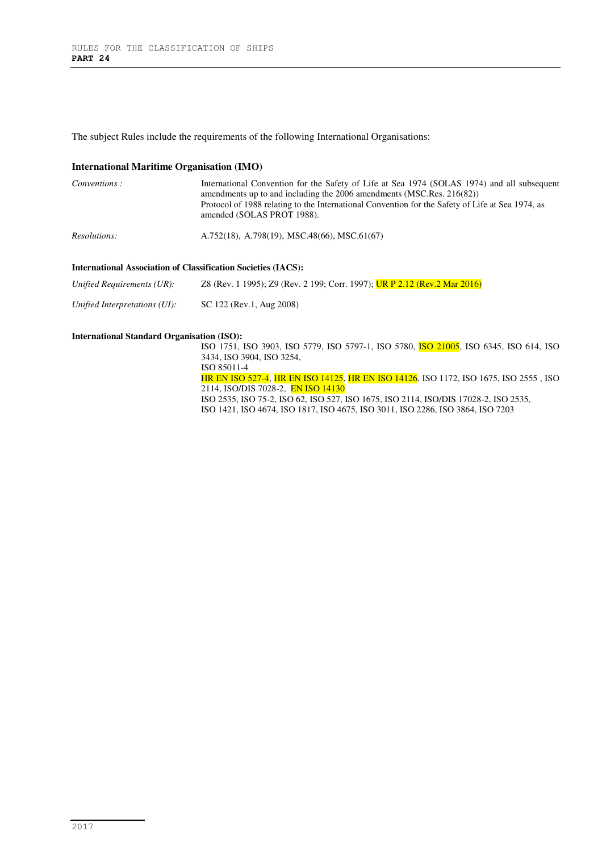The subject Rules include the requirements of the following International Organisations:

#### **International Maritime Organisation (IMO)**

| Conventions: | International Convention for the Safety of Life at Sea 1974 (SOLAS 1974) and all subsequent<br>amendments up to and including the $2006$ amendments (MSC.Res. $216(82)$ )<br>Protocol of 1988 relating to the International Convention for the Safety of Life at Sea 1974, as<br>amended (SOLAS PROT 1988). |
|--------------|-------------------------------------------------------------------------------------------------------------------------------------------------------------------------------------------------------------------------------------------------------------------------------------------------------------|
| Resolutions: | A.752(18), A.798(19), MSC.48(66), MSC.61(67)                                                                                                                                                                                                                                                                |
|              |                                                                                                                                                                                                                                                                                                             |

## **International Association of Classification Societies (IACS):**

| Unified Requirements (UR): | Z8 (Rev. 1 1995); Z9 (Rev. 2 199; Corr. 1997); UR P 2.12 (Rev. 2 Mar 2016) |  |
|----------------------------|----------------------------------------------------------------------------|--|
|                            |                                                                            |  |

*Unified Interpretations (UI):* SC 122 (Rev.1, Aug 2008)

#### **International Standard Organisation (ISO):**

ISO 1751, ISO 3903, ISO 5779, ISO 5797-1, ISO 5780, ISO 21005, ISO 6345, ISO 614, ISO 3434, ISO 3904, ISO 3254, ISO 85011-4 HR EN ISO 527-4, HR EN ISO 14125, HR EN ISO 14126, ISO 1172, ISO 1675, ISO 2555 , ISO 2114, ISO/DIS 7028-2, EN ISO 14130

ISO 2535, ISO 75-2, ISO 62, ISO 527, ISO 1675, ISO 2114, ISO/DIS 17028-2, ISO 2535,

ISO 1421, ISO 4674, ISO 1817, ISO 4675, ISO 3011, ISO 2286, ISO 3864, ISO 7203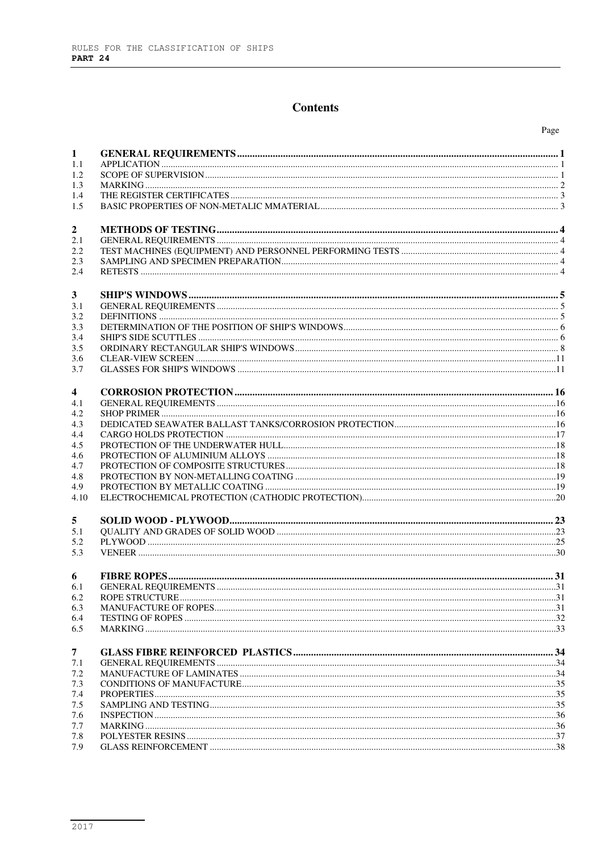# **Contents**

| 1    |  |
|------|--|
| 1.1  |  |
| 1.2  |  |
| 1.3  |  |
| 1.4  |  |
| 1.5  |  |
|      |  |
| 2    |  |
| 2.1  |  |
| 2.2  |  |
| 2.3  |  |
| 2.4  |  |
|      |  |
|      |  |
| 3    |  |
| 3.1  |  |
| 3.2  |  |
| 3.3  |  |
| 3.4  |  |
| 3.5  |  |
| 3.6  |  |
| 3.7  |  |
|      |  |
| 4    |  |
| 4.1  |  |
| 4.2  |  |
| 4.3  |  |
| 4.4  |  |
| 4.5  |  |
| 4.6  |  |
| 4.7  |  |
| 4.8  |  |
| 4.9  |  |
| 4.10 |  |
| 5    |  |
| 5.1  |  |
| 5.2  |  |
| 5.3  |  |
|      |  |
| 6    |  |
| 6.1  |  |
| 6.2  |  |
| 6.3  |  |
| 6.4  |  |
| 6.5  |  |
|      |  |
| 7    |  |
| 7.1  |  |
| 7.2  |  |
| 7.3  |  |
| 7.4  |  |
| 7.5  |  |
| 7.6  |  |
| 7.7  |  |
| 7.8  |  |
| 7.9  |  |
|      |  |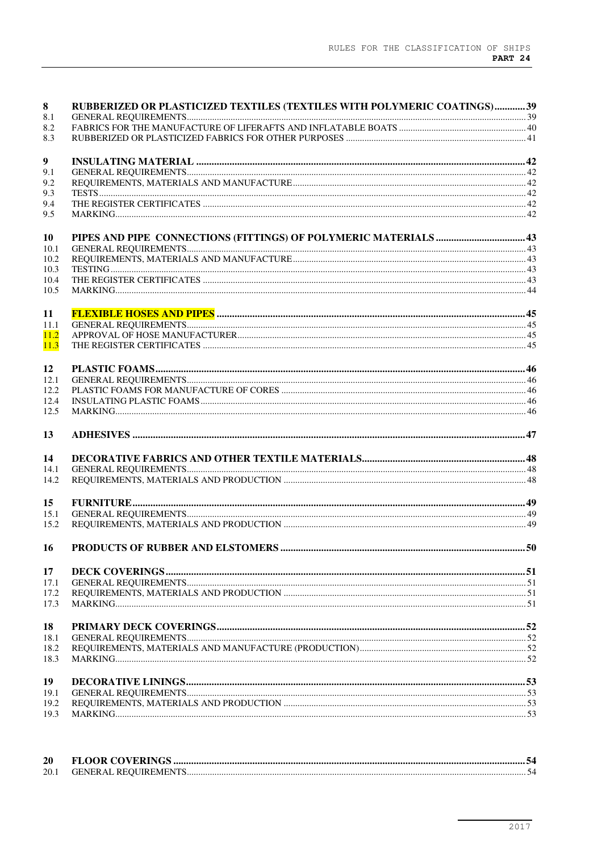| 8          | RUBBERIZED OR PLASTICIZED TEXTILES (TEXTILES WITH POLYMERIC COATINGS)39 |  |
|------------|-------------------------------------------------------------------------|--|
| 8.1        |                                                                         |  |
| 8.2<br>8.3 |                                                                         |  |
|            |                                                                         |  |
| 9          |                                                                         |  |
| 9.1        |                                                                         |  |
| 9.2        |                                                                         |  |
| 9.3        |                                                                         |  |
| 9.4        |                                                                         |  |
| 9.5        |                                                                         |  |
| 10         |                                                                         |  |
| 10.1       |                                                                         |  |
| 10.2       |                                                                         |  |
| 10.3       |                                                                         |  |
| 10.4       |                                                                         |  |
| 10.5       |                                                                         |  |
| 11         |                                                                         |  |
| 11.1       |                                                                         |  |
| 11.2       |                                                                         |  |
| 11.3       |                                                                         |  |
| 12         |                                                                         |  |
| 12.1       |                                                                         |  |
| 12.2       |                                                                         |  |
| 12.4       |                                                                         |  |
| 12.5       |                                                                         |  |
| 13         |                                                                         |  |
| 14         |                                                                         |  |
| 14.1       |                                                                         |  |
| 14.2       |                                                                         |  |
| 15         |                                                                         |  |
| 15.1       |                                                                         |  |
| 15.2       |                                                                         |  |
| 16         |                                                                         |  |
| 17         |                                                                         |  |
| 17.1       |                                                                         |  |
| 17.2       |                                                                         |  |
| 17.3       |                                                                         |  |
| 18         |                                                                         |  |
| 18.1       |                                                                         |  |
| 18.2       |                                                                         |  |
| 18.3       |                                                                         |  |
| 19         |                                                                         |  |
| 19.1       |                                                                         |  |
| 19.2       |                                                                         |  |
| 19.3       |                                                                         |  |

| 20   |                              |  |
|------|------------------------------|--|
| 20.1 | <b>GENERAL REOUIREMENTS.</b> |  |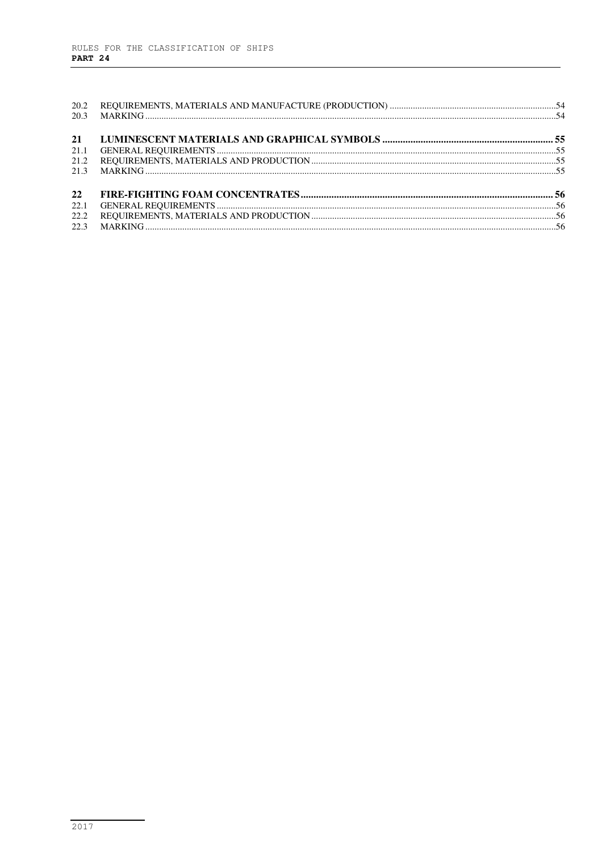L,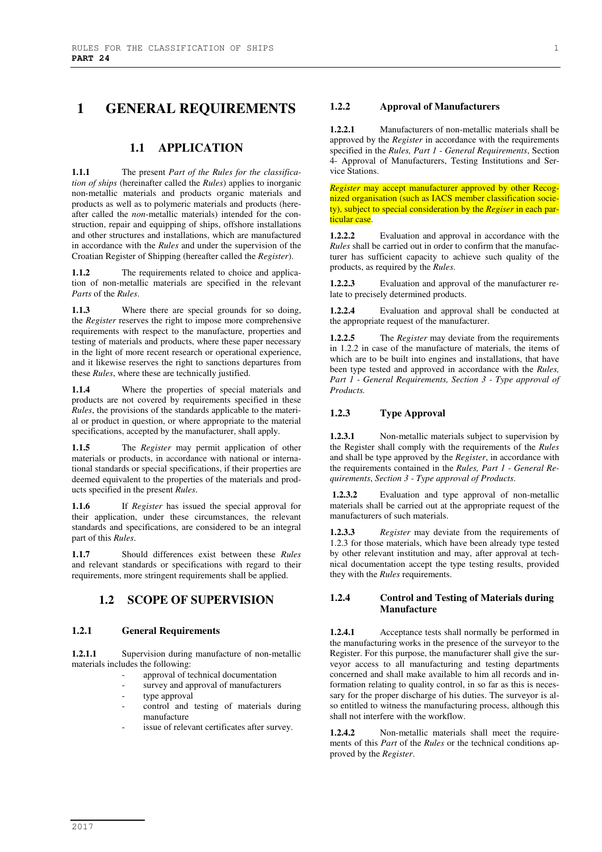## **1 GENERAL REQUIREMENTS**

## **1.1 APPLICATION**

**1.1.1** The present *Part of the Rules for the classification of ships* (hereinafter called the *Rules*) applies to inorganic non-metallic materials and products organic materials and products as well as to polymeric materials and products (hereafter called the *non-*metallic materials) intended for the construction, repair and equipping of ships, offshore installations and other structures and installations, which are manufactured in accordance with the *Rules* and under the supervision of the Croatian Register of Shipping (hereafter called the *Register*).

The requirements related to choice and application of non-metallic materials are specified in the relevant *Parts* of the *Rules*.

**1.1.3** Where there are special grounds for so doing, the *Register* reserves the right to impose more comprehensive requirements with respect to the manufacture, properties and testing of materials and products, where these paper necessary in the light of more recent research or operational experience, and it likewise reserves the right to sanctions departures from these *Rules*, where these are technically justified.

**1.1.4** Where the properties of special materials and products are not covered by requirements specified in these *Rules*, the provisions of the standards applicable to the material or product in question, or where appropriate to the material specifications, accepted by the manufacturer, shall apply.

**1.1.5** The *Register* may permit application of other materials or products, in accordance with national or international standards or special specifications, if their properties are deemed equivalent to the properties of the materials and products specified in the present *Rules*.

**1.1.6** If *Register* has issued the special approval for their application, under these circumstances, the relevant standards and specifications, are considered to be an integral part of this *Rules*.

**1.1.7** Should differences exist between these *Rules* and relevant standards or specifications with regard to their requirements, more stringent requirements shall be applied.

## **1.2 SCOPE OF SUPERVISION**

#### **1.2.1 General Requirements**

**1.2.1.1** Supervision during manufacture of non-metallic materials includes the following:

- approval of technical documentation
- survey and approval of manufacturers
- type approval
- control and testing of materials during manufacture
- issue of relevant certificates after survey.

#### **1.2.2 Approval of Manufacturers**

**1.2.2.1** Manufacturers of non-metallic materials shall be approved by the *Register* in accordance with the requirements specified in the *Rules, Part 1 - General Requirements*, Section 4- Approval of Manufacturers, Testing Institutions and Service Stations.

*Register* may accept manufacturer approved by other Recognized organisation (such as IACS member classification society), subject to special consideration by the *Regiser* in each particular case.

**1.2.2.2** Evaluation and approval in accordance with the *Rules* shall be carried out in order to confirm that the manufacturer has sufficient capacity to achieve such quality of the products, as required by the *Rules*.

**1.2.2.3** Evaluation and approval of the manufacturer relate to precisely determined products.

**1.2.2.4** Evaluation and approval shall be conducted at the appropriate request of the manufacturer.

**1.2.2.5** The *Register* may deviate from the requirements in 1.2.2 in case of the manufacture of materials, the items of which are to be built into engines and installations, that have been type tested and approved in accordance with the *Rules, Part 1 - General Requirements, Section 3 - Type approval of Products.*

#### **1.2.3 Type Approval**

**1.2.3.1** Non-metallic materials subject to supervision by the Register shall comply with the requirements of the *Rules* and shall be type approved by the *Register*, in accordance with the requirements contained in the *Rules, Part 1 - General Requirements*, *Section 3 - Type approval of Products*.

**1.2.3.2** Evaluation and type approval of non-metallic materials shall be carried out at the appropriate request of the manufacturers of such materials.

**1.2.3.3** *Register* may deviate from the requirements of 1.2.3 for those materials, which have been already type tested by other relevant institution and may, after approval at technical documentation accept the type testing results, provided they with the *Rules* requirements.

## **1.2.4 Control and Testing of Materials during Manufacture**

**1.2.4.1** Acceptance tests shall normally be performed in the manufacturing works in the presence of the surveyor to the Register. For this purpose, the manufacturer shall give the surveyor access to all manufacturing and testing departments concerned and shall make available to him all records and information relating to quality control, in so far as this is necessary for the proper discharge of his duties. The surveyor is also entitled to witness the manufacturing process, although this shall not interfere with the workflow.

**1.2.4.2** Non-metallic materials shall meet the requirements of this *Part* of the *Rules* or the technical conditions approved by the *Register*.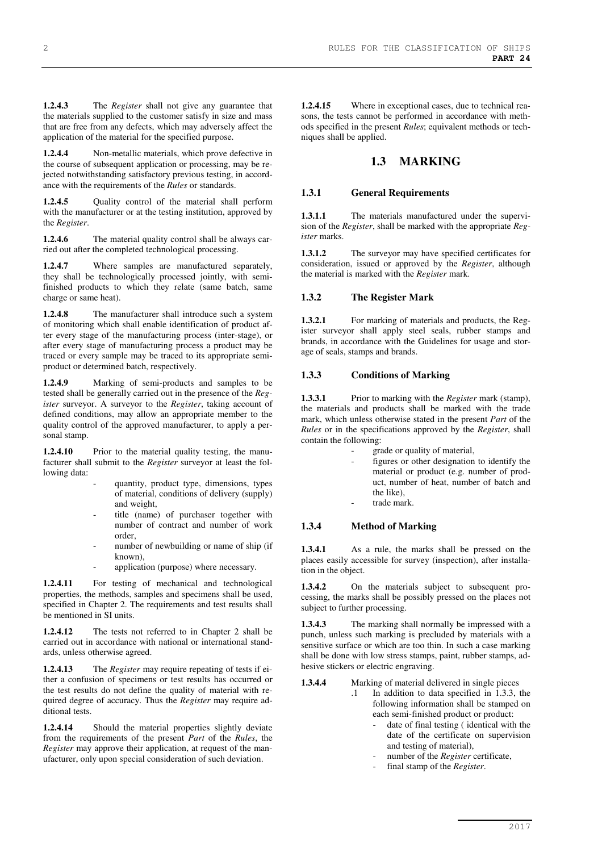**1.2.4.3** The *Register* shall not give any guarantee that the materials supplied to the customer satisfy in size and mass that are free from any defects, which may adversely affect the application of the material for the specified purpose.

**1.2.4.4** Non-metallic materials, which prove defective in the course of subsequent application or processing, may be rejected notwithstanding satisfactory previous testing, in accordance with the requirements of the *Rules* or standards.

**1.2.4.5** Quality control of the material shall perform with the manufacturer or at the testing institution, approved by the *Register*.

**1.2.4.6** The material quality control shall be always carried out after the completed technological processing.

**1.2.4.7** Where samples are manufactured separately, they shall be technologically processed jointly, with semifinished products to which they relate (same batch, same charge or same heat).

**1.2.4.8** The manufacturer shall introduce such a system of monitoring which shall enable identification of product after every stage of the manufacturing process (inter-stage), or after every stage of manufacturing process a product may be traced or every sample may be traced to its appropriate semiproduct or determined batch, respectively.

**1.2.4.9** Marking of semi-products and samples to be tested shall be generally carried out in the presence of the *Register* surveyor. A surveyor to the *Register*, taking account of defined conditions, may allow an appropriate member to the quality control of the approved manufacturer, to apply a personal stamp.

**1.2.4.10** Prior to the material quality testing, the manufacturer shall submit to the *Register* surveyor at least the following data:

- quantity, product type, dimensions, types of material, conditions of delivery (supply) and weight,
- title (name) of purchaser together with number of contract and number of work order,
- number of newbuilding or name of ship (if known),
- application (purpose) where necessary.

**1.2.4.11** For testing of mechanical and technological properties, the methods, samples and specimens shall be used, specified in Chapter 2. The requirements and test results shall be mentioned in SI units.

**1.2.4.12** The tests not referred to in Chapter 2 shall be carried out in accordance with national or international standards, unless otherwise agreed.

**1.2.4.13** The *Register* may require repeating of tests if either a confusion of specimens or test results has occurred or the test results do not define the quality of material with required degree of accuracy. Thus the *Register* may require additional tests.

**1.2.4.14** Should the material properties slightly deviate from the requirements of the present *Part* of the *Rules*, the *Register* may approve their application, at request of the manufacturer, only upon special consideration of such deviation.

**1.2.4.15** Where in exceptional cases, due to technical reasons, the tests cannot be performed in accordance with methods specified in the present *Rules*; equivalent methods or techniques shall be applied.

## **1.3 MARKING**

#### **1.3.1 General Requirements**

**1.3.1.1** The materials manufactured under the supervision of the *Register*, shall be marked with the appropriate *Register* marks.

**1.3.1.2** The surveyor may have specified certificates for consideration, issued or approved by the *Register*, although the material is marked with the *Register* mark.

#### **1.3.2 The Register Mark**

**1.3.2.1** For marking of materials and products, the Register surveyor shall apply steel seals, rubber stamps and brands, in accordance with the Guidelines for usage and storage of seals, stamps and brands.

#### **1.3.3 Conditions of Marking**

**1.3.3.1** Prior to marking with the *Register* mark (stamp), the materials and products shall be marked with the trade mark, which unless otherwise stated in the present *Part* of the *Rules* or in the specifications approved by the *Register*, shall contain the following:

- grade or quality of material,
- figures or other designation to identify the material or product (e.g. number of product, number of heat, number of batch and the like),
- trade mark.

#### **1.3.4 Method of Marking**

**1.3.4.1** As a rule, the marks shall be pressed on the places easily accessible for survey (inspection), after installation in the object.

**1.3.4.2** On the materials subject to subsequent processing, the marks shall be possibly pressed on the places not subject to further processing.

**1.3.4.3** The marking shall normally be impressed with a punch, unless such marking is precluded by materials with a sensitive surface or which are too thin. In such a case marking shall be done with low stress stamps, paint, rubber stamps, adhesive stickers or electric engraving.

**1.3.4.4** Marking of material delivered in single pieces

- .1 In addition to data specified in 1.3.3, the following information shall be stamped on each semi-finished product or product:
	- date of final testing (identical with the date of the certificate on supervision and testing of material),
	- number of the *Register* certificate,
	- final stamp of the *Register*.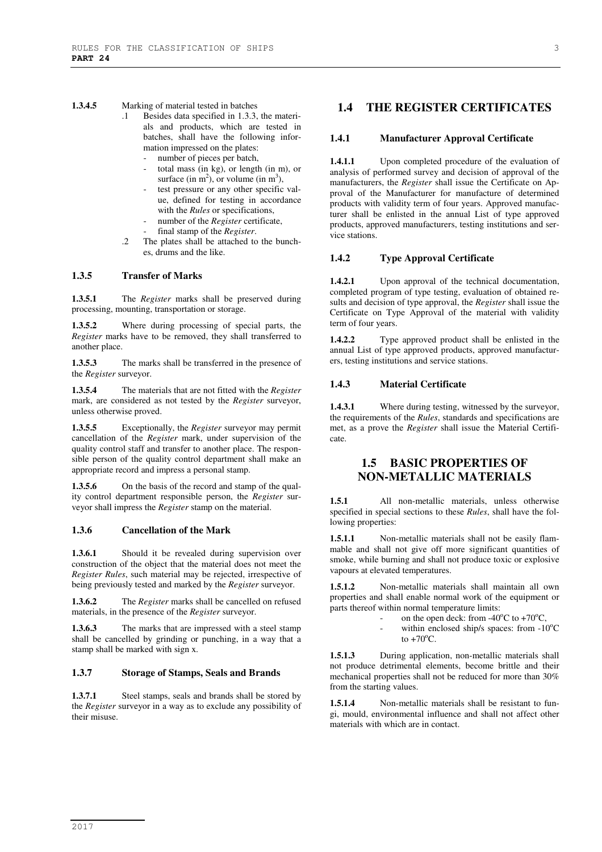#### **1.3.4.5** Marking of material tested in batches

- .1 Besides data specified in 1.3.3, the materials and products, which are tested in batches, shall have the following information impressed on the plates:
	- number of pieces per batch,
	- total mass (in kg), or length (in m), or surface (in  $m^2$ ), or volume (in  $m^3$ ),
	- test pressure or any other specific value, defined for testing in accordance with the *Rules* or specifications,
	- number of the *Register* certificate,
	- final stamp of the *Register*.
- .2 The plates shall be attached to the bunches, drums and the like.

#### **1.3.5 Transfer of Marks**

**1.3.5.1** The *Register* marks shall be preserved during processing, mounting, transportation or storage.

**1.3.5.2** Where during processing of special parts, the *Register* marks have to be removed, they shall transferred to another place.

**1.3.5.3** The marks shall be transferred in the presence of the *Register* surveyor.

**1.3.5.4** The materials that are not fitted with the *Register* mark, are considered as not tested by the *Register* surveyor, unless otherwise proved.

**1.3.5.5** Exceptionally, the *Register* surveyor may permit cancellation of the *Register* mark, under supervision of the quality control staff and transfer to another place. The responsible person of the quality control department shall make an appropriate record and impress a personal stamp.

**1.3.5.6** On the basis of the record and stamp of the quality control department responsible person, the *Register* surveyor shall impress the *Register* stamp on the material.

#### **1.3.6 Cancellation of the Mark**

1.3.6.1 Should it be revealed during supervision over construction of the object that the material does not meet the *Register Rules*, such material may be rejected, irrespective of being previously tested and marked by the *Register* surveyor.

**1.3.6.2** The *Register* marks shall be cancelled on refused materials, in the presence of the *Register* surveyor.

**1.3.6.3** The marks that are impressed with a steel stamp shall be cancelled by grinding or punching, in a way that a stamp shall be marked with sign x.

#### **1.3.7 Storage of Stamps, Seals and Brands**

1.3.7.1 Steel stamps, seals and brands shall be stored by the *Register* surveyor in a way as to exclude any possibility of their misuse.

## **1.4 THE REGISTER CERTIFICATES**

#### **1.4.1 Manufacturer Approval Certificate**

**1.4.1.1** Upon completed procedure of the evaluation of analysis of performed survey and decision of approval of the manufacturers, the *Register* shall issue the Certificate on Approval of the Manufacturer for manufacture of determined products with validity term of four years. Approved manufacturer shall be enlisted in the annual List of type approved products, approved manufacturers, testing institutions and service stations.

#### **1.4.2 Type Approval Certificate**

**1.4.2.1** Upon approval of the technical documentation, completed program of type testing, evaluation of obtained results and decision of type approval, the *Register* shall issue the Certificate on Type Approval of the material with validity term of four years.

**1.4.2.2** Type approved product shall be enlisted in the annual List of type approved products, approved manufacturers, testing institutions and service stations.

#### **1.4.3 Material Certificate**

**1.4.3.1** Where during testing, witnessed by the surveyor, the requirements of the *Rules*, standards and specifications are met, as a prove the *Register* shall issue the Material Certificate.

## **1.5 BASIC PROPERTIES OF NON-METALLIC MATERIALS**

**1.5.1** All non-metallic materials, unless otherwise specified in special sections to these *Rules*, shall have the following properties:

**1.5.1.1** Non-metallic materials shall not be easily flammable and shall not give off more significant quantities of smoke, while burning and shall not produce toxic or explosive vapours at elevated temperatures.

**1.5.1.2** Non-metallic materials shall maintain all own properties and shall enable normal work of the equipment or parts thereof within normal temperature limits:

- on the open deck: from  $-40^{\circ}$ C to  $+70^{\circ}$ C,
	- within enclosed ship/s spaces: from  $-10^{\circ}$ C to  $+70^{\circ}$ C.

**1.5.1.3** During application, non-metallic materials shall not produce detrimental elements, become brittle and their mechanical properties shall not be reduced for more than 30% from the starting values.

**1.5.1.4** Non-metallic materials shall be resistant to fungi, mould, environmental influence and shall not affect other materials with which are in contact.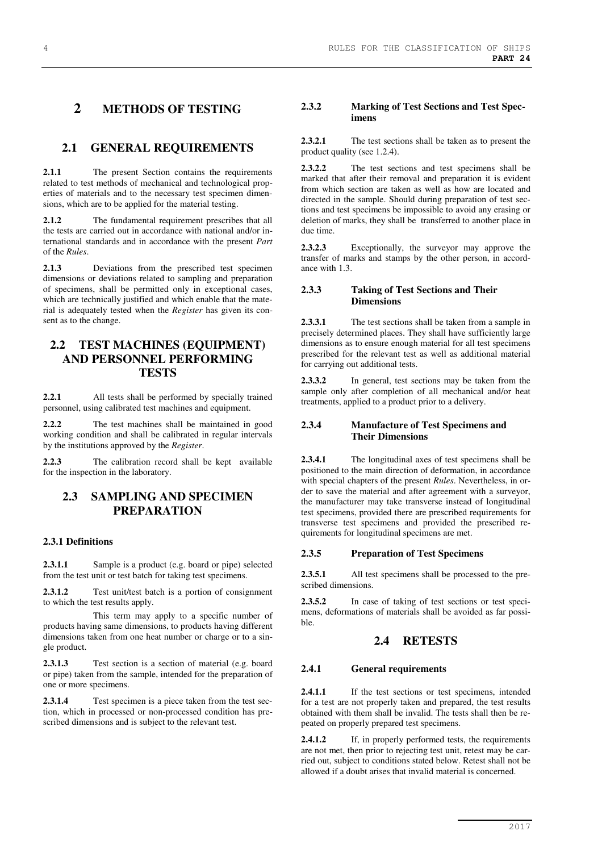## **2 METHODS OF TESTING**

## **2.1 GENERAL REQUIREMENTS**

2.1.1 The present Section contains the requirements related to test methods of mechanical and technological properties of materials and to the necessary test specimen dimensions, which are to be applied for the material testing.

**2.1.2** The fundamental requirement prescribes that all the tests are carried out in accordance with national and/or international standards and in accordance with the present *Part*  of the *Rules*.

**2.1.3** Deviations from the prescribed test specimen dimensions or deviations related to sampling and preparation of specimens, shall be permitted only in exceptional cases, which are technically justified and which enable that the material is adequately tested when the *Register* has given its consent as to the change.

## **2.2 TEST MACHINES (EQUIPMENT) AND PERSONNEL PERFORMING TESTS**

**2.2.1** All tests shall be performed by specially trained personnel, using calibrated test machines and equipment.

**2.2.2** The test machines shall be maintained in good working condition and shall be calibrated in regular intervals by the institutions approved by the *Register*.

**2.2.3** The calibration record shall be kept available for the inspection in the laboratory.

## **2.3 SAMPLING AND SPECIMEN PREPARATION**

#### **2.3.1 Definitions**

**2.3.1.1** Sample is a product (e.g. board or pipe) selected from the test unit or test batch for taking test specimens.

**2.3.1.2** Test unit/test batch is a portion of consignment to which the test results apply.

This term may apply to a specific number of products having same dimensions, to products having different dimensions taken from one heat number or charge or to a single product.

**2.3.1.3** Test section is a section of material (e.g. board or pipe) taken from the sample, intended for the preparation of one or more specimens.

**2.3.1.4** Test specimen is a piece taken from the test section, which in processed or non-processed condition has prescribed dimensions and is subject to the relevant test.

#### **2.3.2 Marking of Test Sections and Test Specimens**

**2.3.2.1** The test sections shall be taken as to present the product quality (see 1.2.4).

**2.3.2.2** The test sections and test specimens shall be marked that after their removal and preparation it is evident from which section are taken as well as how are located and directed in the sample. Should during preparation of test sections and test specimens be impossible to avoid any erasing or deletion of marks, they shall be transferred to another place in due time.

**2.3.2.3** Exceptionally, the surveyor may approve the transfer of marks and stamps by the other person, in accordance with 1.3.

#### **2.3.3 Taking of Test Sections and Their Dimensions**

**2.3.3.1** The test sections shall be taken from a sample in precisely determined places. They shall have sufficiently large dimensions as to ensure enough material for all test specimens prescribed for the relevant test as well as additional material for carrying out additional tests.

**2.3.3.2** In general, test sections may be taken from the sample only after completion of all mechanical and/or heat treatments, applied to a product prior to a delivery.

#### **2.3.4 Manufacture of Test Specimens and Their Dimensions**

**2.3.4.1** The longitudinal axes of test specimens shall be positioned to the main direction of deformation, in accordance with special chapters of the present *Rules*. Nevertheless, in order to save the material and after agreement with a surveyor, the manufacturer may take transverse instead of longitudinal test specimens, provided there are prescribed requirements for transverse test specimens and provided the prescribed requirements for longitudinal specimens are met.

#### **2.3.5 Preparation of Test Specimens**

**2.3.5.1** All test specimens shall be processed to the prescribed dimensions.

**2.3.5.2** In case of taking of test sections or test specimens, deformations of materials shall be avoided as far possible.

## **2.4 RETESTS**

#### **2.4.1 General requirements**

2.4.1.1 If the test sections or test specimens, intended for a test are not properly taken and prepared, the test results obtained with them shall be invalid. The tests shall then be repeated on properly prepared test specimens.

**2.4.1.2** If, in properly performed tests, the requirements are not met, then prior to rejecting test unit, retest may be carried out, subject to conditions stated below. Retest shall not be allowed if a doubt arises that invalid material is concerned.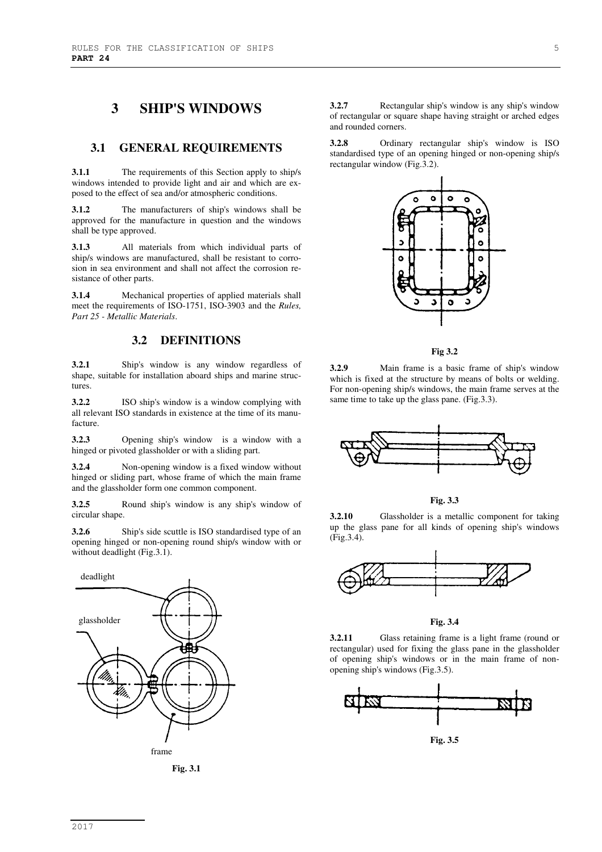# **3 SHIP'S WINDOWS**

## **3.1 GENERAL REQUIREMENTS**

**3.1.1** The requirements of this Section apply to ship/s windows intended to provide light and air and which are exposed to the effect of sea and/or atmospheric conditions.

**3.1.2** The manufacturers of ship's windows shall be approved for the manufacture in question and the windows shall be type approved.

**3.1.3** All materials from which individual parts of ship/s windows are manufactured, shall be resistant to corrosion in sea environment and shall not affect the corrosion resistance of other parts.

**3.1.4** Mechanical properties of applied materials shall meet the requirements of ISO-1751, ISO-3903 and the *Rules, Part 25 - Metallic Materials*.

## **3.2 DEFINITIONS**

**3.2.1** Ship's window is any window regardless of shape, suitable for installation aboard ships and marine structures.

**3.2.2** ISO ship's window is a window complying with all relevant ISO standards in existence at the time of its manufacture.

**3.2.3** Opening ship's window is a window with a hinged or pivoted glassholder or with a sliding part.

**3.2.4** Non-opening window is a fixed window without hinged or sliding part, whose frame of which the main frame and the glassholder form one common component.

**3.2.5** Round ship's window is any ship's window of circular shape.

**3.2.6** Ship's side scuttle is ISO standardised type of an opening hinged or non-opening round ship/s window with or without deadlight (Fig.3.1).



**Fig. 3.1** 

**3.2.7** Rectangular ship's window is any ship's window of rectangular or square shape having straight or arched edges and rounded corners.

**3.2.8** Ordinary rectangular ship's window is ISO standardised type of an opening hinged or non-opening ship/s rectangular window (Fig.3.2).



**Fig 3.2** 

**3.2.9** Main frame is a basic frame of ship's window which is fixed at the structure by means of bolts or welding. For non-opening ship/s windows, the main frame serves at the same time to take up the glass pane. (Fig.3.3).



**Fig. 3.3** 

**3.2.10** Glassholder is a metallic component for taking up the glass pane for all kinds of opening ship's windows (Fig.3.4).



**Fig. 3.4** 

**3.2.11** Glass retaining frame is a light frame (round or rectangular) used for fixing the glass pane in the glassholder of opening ship's windows or in the main frame of nonopening ship's windows (Fig.3.5).



**Fig. 3.5**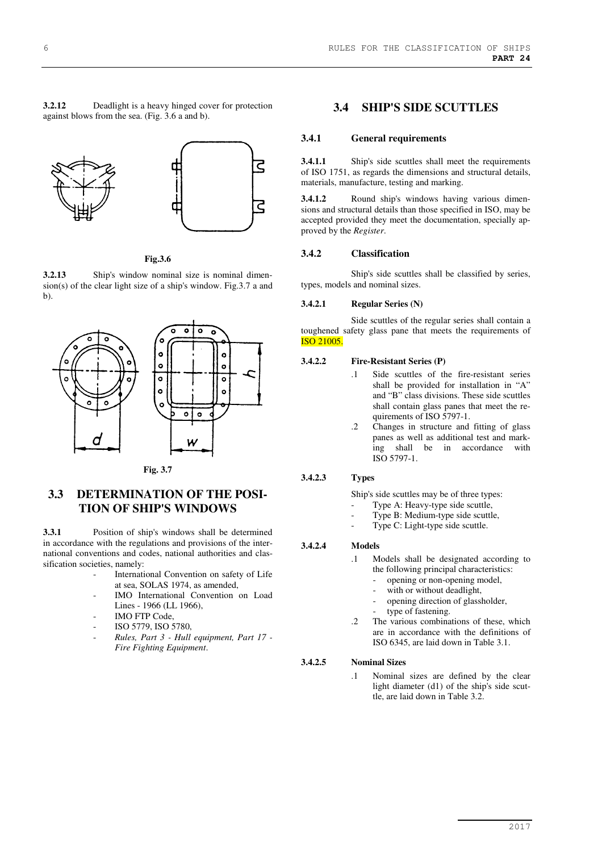**3.2.12** Deadlight is a heavy hinged cover for protection against blows from the sea. (Fig. 3.6 a and b).



**Fig.3.6** 

**3.2.13** Ship's window nominal size is nominal dimension(s) of the clear light size of a ship's window. Fig.3.7 a and b).



**Fig. 3.7** 

## **3.3 DETERMINATION OF THE POSI-TION OF SHIP'S WINDOWS**

**3.3.1** Position of ship's windows shall be determined in accordance with the regulations and provisions of the international conventions and codes, national authorities and classification societies, namely:

- International Convention on safety of Life at sea, SOLAS 1974, as amended,
- IMO International Convention on Load Lines - 1966 (LL 1966).
- IMO FTP Code.
- ISO 5779, ISO 5780,
- *Rules, Part 3 Hull equipment, Part 17 Fire Fighting Equipment*.

## **3.4 SHIP'S SIDE SCUTTLES**

#### **3.4.1 General requirements**

**3.4.1.1** Ship's side scuttles shall meet the requirements of ISO 1751, as regards the dimensions and structural details, materials, manufacture, testing and marking.

**3.4.1.2** Round ship's windows having various dimensions and structural details than those specified in ISO, may be accepted provided they meet the documentation, specially approved by the *Register*.

#### **3.4.2 Classification**

Ship's side scuttles shall be classified by series, types, models and nominal sizes.

#### **3.4.2.1 Regular Series (N)**

Side scuttles of the regular series shall contain a toughened safety glass pane that meets the requirements of ISO 21005.

#### **3.4.2.2 Fire-Resistant Series (P)**

- Side scuttles of the fire-resistant series shall be provided for installation in "A" and "B" class divisions. These side scuttles shall contain glass panes that meet the requirements of ISO 5797-1.
	- .2 Changes in structure and fitting of glass panes as well as additional test and marking shall be in accordance with ISO 5797-1.

## **3.4.2.3 Types**

Ship's side scuttles may be of three types:

- Type A: Heavy-type side scuttle,
- Type B: Medium-type side scuttle,
- Type C: Light-type side scuttle.

#### **3.4.2.4 Models**

- .1 Models shall be designated according to the following principal characteristics:
	- opening or non-opening model,
	- with or without deadlight,
	- opening direction of glassholder,
	- type of fastening.
- .2 The various combinations of these, which are in accordance with the definitions of ISO 6345, are laid down in Table 3.1.

#### **3.4.2.5 Nominal Sizes**

.1 Nominal sizes are defined by the clear light diameter (d1) of the ship's side scuttle, are laid down in Table 3.2.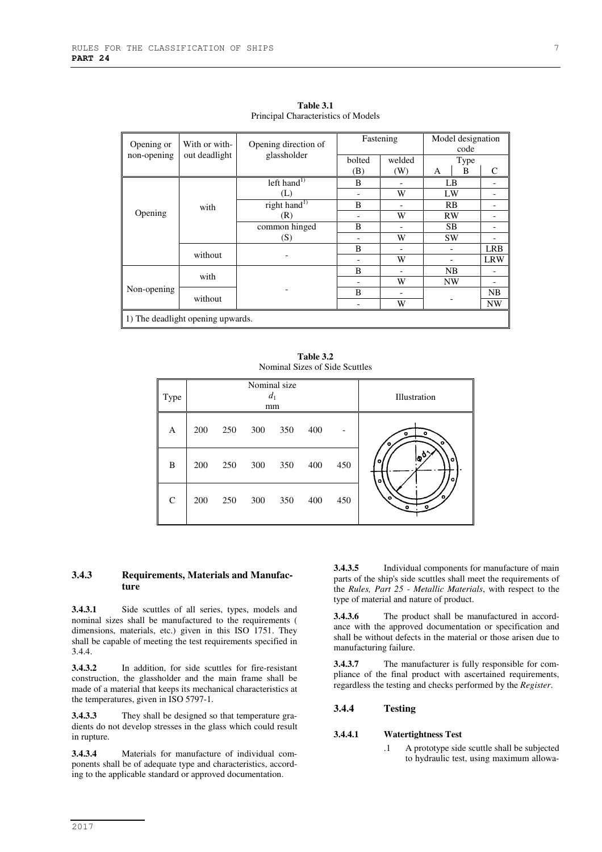| Opening or                        | With or with- | Opening direction of     | Fastening                |        | Model designation<br>code |            |  |
|-----------------------------------|---------------|--------------------------|--------------------------|--------|---------------------------|------------|--|
| non-opening                       | out deadlight | glassholder              | bolted                   | welded | Type                      |            |  |
|                                   |               |                          | (B)                      | (W)    | B<br>А                    | C          |  |
|                                   |               | left hand <sup>1)</sup>  | B                        |        | LB                        |            |  |
|                                   |               | (L)                      | $\overline{\phantom{a}}$ | W      | LW                        |            |  |
|                                   | with          | right hand <sup>1)</sup> | B                        |        | RB                        |            |  |
| Opening                           |               | (R)                      |                          | W      | RW                        |            |  |
|                                   |               | common hinged            | B                        |        | SB.                       |            |  |
|                                   |               | (S)                      |                          | W      | <b>SW</b>                 |            |  |
|                                   | without       |                          | B                        |        |                           | <b>LRB</b> |  |
|                                   |               |                          |                          | W      |                           | <b>LRW</b> |  |
|                                   | with          |                          | B                        |        | NB                        |            |  |
|                                   |               |                          |                          | W      | NW                        |            |  |
| Non-opening                       |               |                          | B                        |        |                           | <b>NB</b>  |  |
|                                   | without       |                          |                          | W      |                           | <b>NW</b>  |  |
| 1) The deadlight opening upwards. |               |                          |                          |        |                           |            |  |

**Table 3.1**  Principal Characteristics of Models

**Table 3.2**  Nominal Sizes of Side Scuttles

| Type         |     |     |     | Nominal size<br>$d_1$<br>mm |     |     | Illustration                         |
|--------------|-----|-----|-----|-----------------------------|-----|-----|--------------------------------------|
| A            | 200 | 250 | 300 | 350                         | 400 |     | ۰<br>α<br>$\bullet$<br>о             |
| B            | 200 | 250 | 300 | 350                         | 400 | 450 | $10^{6}$<br>۰<br>$\bullet$<br>۰<br>o |
| $\mathsf{C}$ | 200 | 250 | 300 | 350                         | 400 | 450 | $\bullet$                            |

#### **3.4.3 Requirements, Materials and Manufacture**

**3.4.3.1** Side scuttles of all series, types, models and nominal sizes shall be manufactured to the requirements ( dimensions, materials, etc.) given in this ISO 1751. They shall be capable of meeting the test requirements specified in 3.4.4.

**3.4.3.2** In addition, for side scuttles for fire-resistant construction, the glassholder and the main frame shall be made of a material that keeps its mechanical characteristics at the temperatures, given in ISO 5797-1.

**3.4.3.3** They shall be designed so that temperature gradients do not develop stresses in the glass which could result in rupture.

**3.4.3.4** Materials for manufacture of individual components shall be of adequate type and characteristics, according to the applicable standard or approved documentation.

**3.4.3.5** Individual components for manufacture of main parts of the ship's side scuttles shall meet the requirements of the *Rules, Part 25 - Metallic Materials*, with respect to the type of material and nature of product.

**3.4.3.6** The product shall be manufactured in accordance with the approved documentation or specification and shall be without defects in the material or those arisen due to manufacturing failure.

**3.4.3.7** The manufacturer is fully responsible for compliance of the final product with ascertained requirements, regardless the testing and checks performed by the *Register*.

#### **3.4.4 Testing**

#### **3.4.4.1 Watertightness Test**

.1 A prototype side scuttle shall be subjected to hydraulic test, using maximum allowa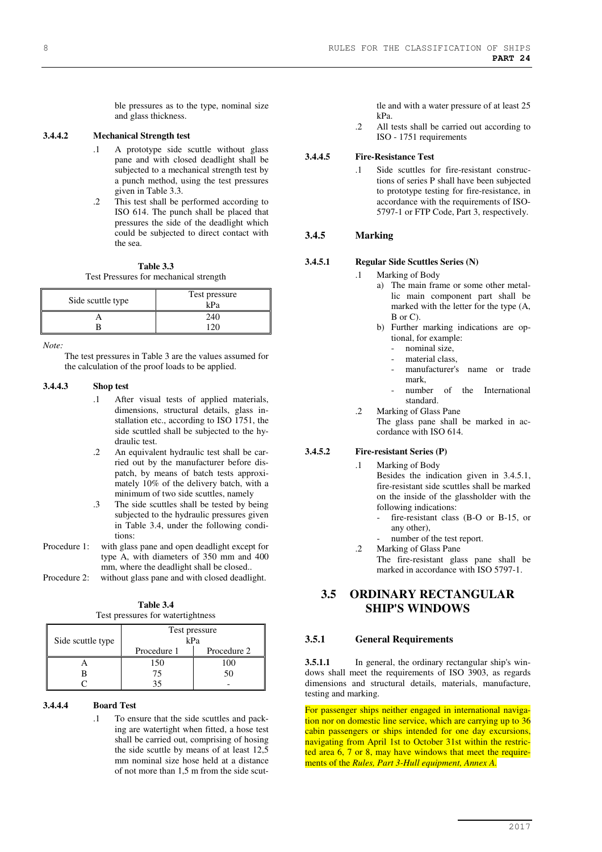ble pressures as to the type, nominal size and glass thickness.

#### **3.4.4.2 Mechanical Strength test**

- .1 A prototype side scuttle without glass pane and with closed deadlight shall be subjected to a mechanical strength test by a punch method, using the test pressures given in Table 3.3.
- .2 This test shall be performed according to ISO 614. The punch shall be placed that pressures the side of the deadlight which could be subjected to direct contact with the sea.

**Table 3.3**  Test Pressures for mechanical strength

| Side scuttle type | Test pressure<br>kPa |
|-------------------|----------------------|
|                   | 240                  |
|                   |                      |

*Note:* 

The test pressures in Table 3 are the values assumed for the calculation of the proof loads to be applied.

#### **3.4.4.3 Shop test**

- .1 After visual tests of applied materials, dimensions, structural details, glass installation etc., according to ISO 1751, the side scuttled shall be subjected to the hydraulic test.
- .2 An equivalent hydraulic test shall be carried out by the manufacturer before dispatch, by means of batch tests approximately 10% of the delivery batch, with a minimum of two side scuttles, namely
- .3 The side scuttles shall be tested by being subjected to the hydraulic pressures given in Table 3.4, under the following conditions:
- Procedure 1: with glass pane and open deadlight except for type A, with diameters of 350 mm and 400 mm, where the deadlight shall be closed..
- Procedure 2: without glass pane and with closed deadlight.

| Table 3.4                         |  |  |  |  |
|-----------------------------------|--|--|--|--|
| Test pressures for watertightness |  |  |  |  |

| Side scuttle type | Test pressure<br>kPa |             |  |  |
|-------------------|----------------------|-------------|--|--|
|                   | Procedure 1          | Procedure 2 |  |  |
|                   | 150                  | 100         |  |  |
|                   | 75                   | 50          |  |  |
|                   |                      |             |  |  |

#### **3.4.4.4 Board Test**

.1 To ensure that the side scuttles and packing are watertight when fitted, a hose test shall be carried out, comprising of hosing the side scuttle by means of at least 12,5 mm nominal size hose held at a distance of not more than 1,5 m from the side scuttle and with a water pressure of at least 25 kPa.

.2 All tests shall be carried out according to ISO - 1751 requirements

#### **3.4.4.5 Fire-Resistance Test**

.1 Side scuttles for fire-resistant constructions of series P shall have been subjected to prototype testing for fire-resistance, in accordance with the requirements of ISO-5797-1 or FTP Code, Part 3, respectively.

#### **3.4.5 Marking**

#### **3.4.5.1 Regular Side Scuttles Series (N)**

- .1 Marking of Body
	- a) The main frame or some other metallic main component part shall be marked with the letter for the type (A, B or C).
	- b) Further marking indications are optional, for example:
		- nominal size,
		- material class.
		- manufacturer's name or trade mark,
	- number of the International standard.
- .2 Marking of Glass Pane The glass pane shall be marked in accordance with ISO 614.

#### **3.4.5.2 Fire-resistant Series (P)**

.1 Marking of Body

Besides the indication given in 3.4.5.1, fire-resistant side scuttles shall be marked on the inside of the glassholder with the following indications:

- fire-resistant class (B-O or B-15, or any other),
- number of the test report.
- .2 Marking of Glass Pane The fire-resistant glass pane shall be marked in accordance with ISO 5797-1.

## **3.5 ORDINARY RECTANGULAR SHIP'S WINDOWS**

#### **3.5.1 General Requirements**

**3.5.1.1** In general, the ordinary rectangular ship's windows shall meet the requirements of ISO 3903, as regards dimensions and structural details, materials, manufacture, testing and marking.

For passenger ships neither engaged in international navigation nor on domestic line service, which are carrying up to 36 cabin passengers or ships intended for one day excursions, navigating from April 1st to October 31st within the restricted area 6, 7 or 8, may have windows that meet the requirements of the *Rules, Part 3-Hull equipment, Annex A.*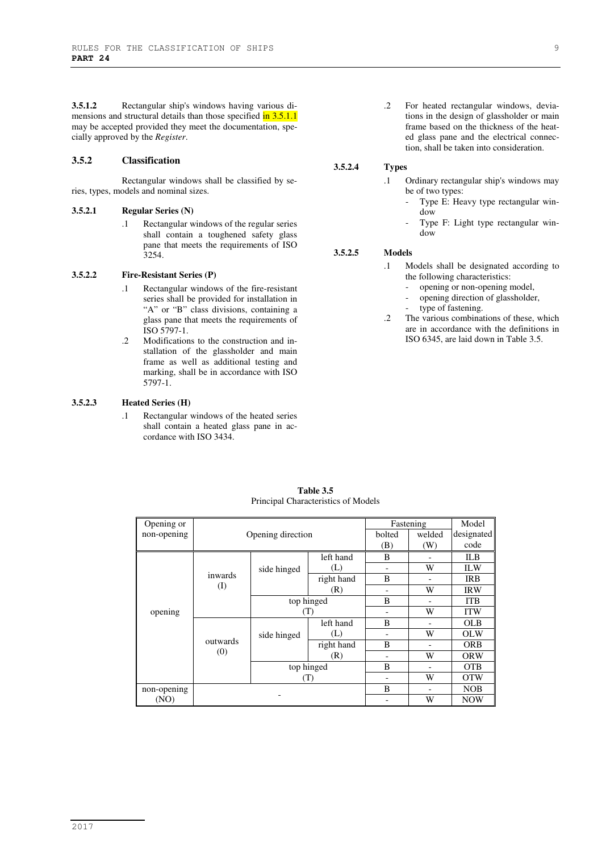**3.5.1.2** Rectangular ship's windows having various dimensions and structural details than those specified in 3.5.1.1 may be accepted provided they meet the documentation, specially approved by the *Register*.

#### **3.5.2 Classification**

Rectangular windows shall be classified by series, types, models and nominal sizes.

#### **3.5.2.1 Regular Series (N)**

.1 Rectangular windows of the regular series shall contain a toughened safety glass pane that meets the requirements of ISO 3254.

#### **3.5.2.2 Fire-Resistant Series (P)**

- .1 Rectangular windows of the fire-resistant series shall be provided for installation in "A" or "B" class divisions, containing a glass pane that meets the requirements of ISO 5797-1.
- .2 Modifications to the construction and installation of the glassholder and main frame as well as additional testing and marking, shall be in accordance with ISO 5797-1.

#### **3.5.2.3 Heated Series (H)**

.1 Rectangular windows of the heated series shall contain a heated glass pane in accordance with ISO 3434.

.2 For heated rectangular windows, deviations in the design of glassholder or main frame based on the thickness of the heated glass pane and the electrical connection, shall be taken into consideration.

#### **3.5.2.4 Types**

- .1 Ordinary rectangular ship's windows may be of two types:
	- Type E: Heavy type rectangular window
	- Type F: Light type rectangular window

#### **3.5.2.5 Models**

- .1 Models shall be designated according to the following characteristics:
	- opening or non-opening model,
	- opening direction of glassholder,
	- type of fastening.
- .2 The various combinations of these, which are in accordance with the definitions in ISO 6345, are laid down in Table 3.5.

| Opening or  |                   | Fastening   |            | Model  |        |            |
|-------------|-------------------|-------------|------------|--------|--------|------------|
| non-opening | Opening direction |             |            | bolted | welded | designated |
|             |                   |             |            | (B)    | (W)    | code       |
|             |                   | side hinged | left hand  | B      |        | ILB        |
|             |                   |             | (L)        |        | W      | <b>ILW</b> |
|             | inwards           |             | right hand | B      |        | <b>IRB</b> |
|             | $\rm (I)$         |             | (R)        |        | W      | <b>IRW</b> |
|             |                   | top hinged  |            | B      |        | <b>ITB</b> |
| opening     |                   | ('I')       |            |        | W      | <b>ITW</b> |
|             | outwards<br>(0)   | side hinged | left hand  | B      |        | <b>OLB</b> |
|             |                   |             | (L)        |        | W      | <b>OLW</b> |
|             |                   |             | right hand | B      |        | <b>ORB</b> |
|             |                   |             | (R)        |        | W      | <b>ORW</b> |
|             |                   | top hinged  |            |        | B      |            |
|             |                   | (T)         |            |        | W      | <b>OTW</b> |
| non-opening |                   |             |            | B      |        | <b>NOB</b> |
| (NO)        |                   |             |            |        | W      | <b>NOW</b> |

**Table 3.5**  Principal Characteristics of Models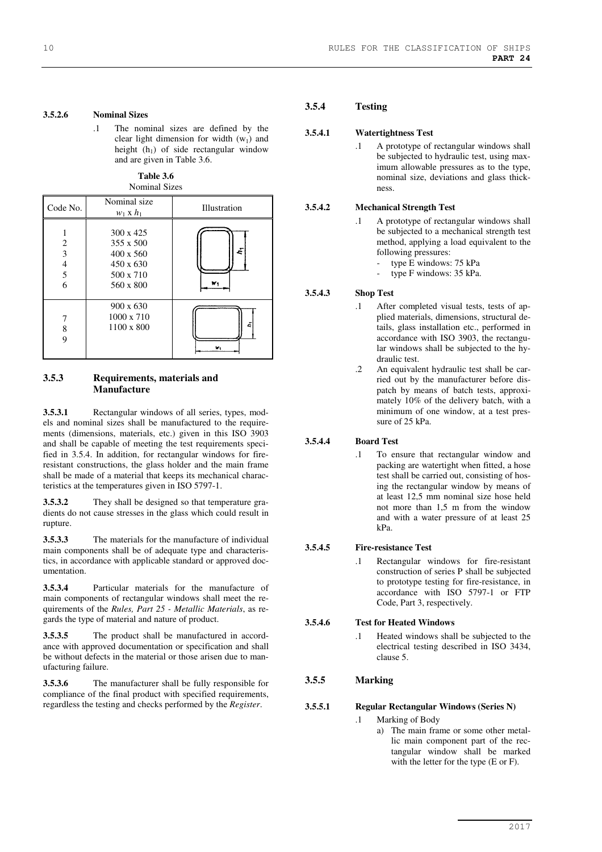#### **3.5.2.6 Nominal Sizes**

.1 The nominal sizes are defined by the clear light dimension for width  $(w_1)$  and height  $(h_1)$  of side rectangular window and are given in Table 3.6.

**Table 3.6**  Nominal Sizes

| Code No.              | Nominal size<br>$w_1 \times h_1$                                                                | Illustration |
|-----------------------|-------------------------------------------------------------------------------------------------|--------------|
| 2<br>3<br>4<br>5<br>6 | $300 \times 425$<br>$355 \times 500$<br>$400 \times 560$<br>450 x 630<br>500 x 710<br>560 x 800 | ě            |
| 8<br>Q                | 900 x 630<br>$1000 \times 710$<br>1100 x 800                                                    | ě<br>w,      |

#### **3.5.3 Requirements, materials and Manufacture**

**3.5.3.1** Rectangular windows of all series, types, models and nominal sizes shall be manufactured to the requirements (dimensions, materials, etc.) given in this ISO 3903 and shall be capable of meeting the test requirements specified in 3.5.4. In addition, for rectangular windows for fireresistant constructions, the glass holder and the main frame shall be made of a material that keeps its mechanical characteristics at the temperatures given in ISO 5797-1.

**3.5.3.2** They shall be designed so that temperature gradients do not cause stresses in the glass which could result in rupture.

**3.5.3.3** The materials for the manufacture of individual main components shall be of adequate type and characteristics, in accordance with applicable standard or approved documentation.

**3.5.3.4** Particular materials for the manufacture of main components of rectangular windows shall meet the requirements of the *Rules, Part 25 - Metallic Materials*, as regards the type of material and nature of product.

**3.5.3.5** The product shall be manufactured in accordance with approved documentation or specification and shall be without defects in the material or those arisen due to manufacturing failure.

**3.5.3.6** The manufacturer shall be fully responsible for compliance of the final product with specified requirements, regardless the testing and checks performed by the *Register*.

## **3.5.4 Testing**

#### **3.5.4.1 Watertightness Test**

.1 A prototype of rectangular windows shall be subjected to hydraulic test, using maximum allowable pressures as to the type, nominal size, deviations and glass thickness.

#### **3.5.4.2 Mechanical Strength Test**

- .1 A prototype of rectangular windows shall be subjected to a mechanical strength test method, applying a load equivalent to the following pressures:
	- type E windows: 75 kPa
	- type F windows: 35 kPa.

#### **3.5.4.3 Shop Test**

- .1 After completed visual tests, tests of applied materials, dimensions, structural details, glass installation etc., performed in accordance with ISO 3903, the rectangular windows shall be subjected to the hydraulic test.
- .2 An equivalent hydraulic test shall be carried out by the manufacturer before dispatch by means of batch tests, approximately 10% of the delivery batch, with a minimum of one window, at a test pressure of 25 kPa.

#### **3.5.4.4 Board Test**

.1 To ensure that rectangular window and packing are watertight when fitted, a hose test shall be carried out, consisting of hosing the rectangular window by means of at least 12,5 mm nominal size hose held not more than 1,5 m from the window and with a water pressure of at least 25 kPa.

#### **3.5.4.5 Fire-resistance Test**

.1 Rectangular windows for fire-resistant construction of series P shall be subjected to prototype testing for fire-resistance, in accordance with ISO 5797-1 or FTP Code, Part 3, respectively.

#### **3.5.4.6 Test for Heated Windows**

.1 Heated windows shall be subjected to the electrical testing described in ISO 3434, clause 5.

#### **3.5.5 Marking**

#### **3.5.5.1 Regular Rectangular Windows (Series N)**

- .1 Marking of Body
	- a) The main frame or some other metallic main component part of the rectangular window shall be marked with the letter for the type (E or F).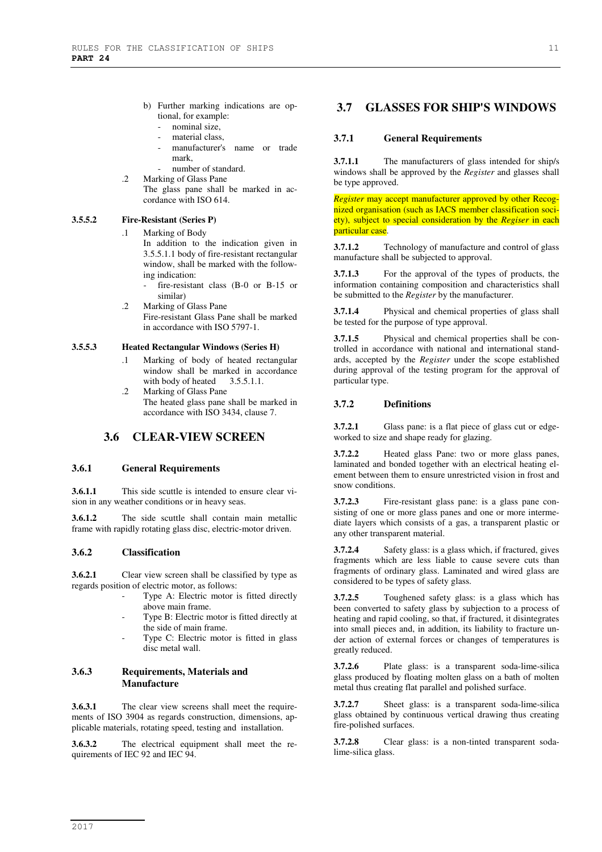- b) Further marking indications are optional, for example:
	- nominal size,
	- material class.
	- manufacturer's name or trade mark,
	- number of standard.
- .2 Marking of Glass Pane The glass pane shall be marked in accordance with ISO 614.

#### **3.5.5.2 Fire-Resistant (Series P)**

.1 Marking of Body

In addition to the indication given in 3.5.5.1.1 body of fire-resistant rectangular window, shall be marked with the following indication:

- fire-resistant class (B-0 or B-15 or similar)
- .2 Marking of Glass Pane Fire-resistant Glass Pane shall be marked in accordance with ISO 5797-1.

#### **3.5.5.3 Heated Rectangular Windows (Series H)**

- .1 Marking of body of heated rectangular window shall be marked in accordance with body of heated 3.5.5.1.1.
- .2 Marking of Glass Pane The heated glass pane shall be marked in accordance with ISO 3434, clause 7.

## **3.6 CLEAR-VIEW SCREEN**

#### **3.6.1 General Requirements**

**3.6.1.1** This side scuttle is intended to ensure clear vision in any weather conditions or in heavy seas.

**3.6.1.2** The side scuttle shall contain main metallic frame with rapidly rotating glass disc, electric-motor driven.

#### **3.6.2 Classification**

**3.6.2.1** Clear view screen shall be classified by type as regards position of electric motor, as follows:

- Type A: Electric motor is fitted directly above main frame.
- Type B: Electric motor is fitted directly at the side of main frame.
- Type C: Electric motor is fitted in glass disc metal wall.

## **3.6.3 Requirements, Materials and Manufacture**

**3.6.3.1** The clear view screens shall meet the requirements of ISO 3904 as regards construction, dimensions, applicable materials, rotating speed, testing and installation.

**3.6.3.2** The electrical equipment shall meet the requirements of IEC 92 and IEC 94.

## **3.7 GLASSES FOR SHIP'S WINDOWS**

#### **3.7.1 General Requirements**

**3.7.1.1** The manufacturers of glass intended for ship/s windows shall be approved by the *Register* and glasses shall be type approved.

*Register* may accept manufacturer approved by other Recognized organisation (such as IACS member classification society), subject to special consideration by the *Regiser* in each particular case.

**3.7.1.2** Technology of manufacture and control of glass manufacture shall be subjected to approval.

**3.7.1.3** For the approval of the types of products, the information containing composition and characteristics shall be submitted to the *Register* by the manufacturer.

**3.7.1.4** Physical and chemical properties of glass shall be tested for the purpose of type approval.

**3.7.1.5** Physical and chemical properties shall be controlled in accordance with national and international standards, accepted by the *Register* under the scope established during approval of the testing program for the approval of particular type.

#### **3.7.2 Definitions**

**3.7.2.1** Glass pane: is a flat piece of glass cut or edgeworked to size and shape ready for glazing.

**3.7.2.2** Heated glass Pane: two or more glass panes, laminated and bonded together with an electrical heating element between them to ensure unrestricted vision in frost and snow conditions.

**3.7.2.3** Fire-resistant glass pane: is a glass pane consisting of one or more glass panes and one or more intermediate layers which consists of a gas, a transparent plastic or any other transparent material.

**3.7.2.4** Safety glass: is a glass which, if fractured, gives fragments which are less liable to cause severe cuts than fragments of ordinary glass. Laminated and wired glass are considered to be types of safety glass.

**3.7.2.5** Toughened safety glass: is a glass which has been converted to safety glass by subjection to a process of heating and rapid cooling, so that, if fractured, it disintegrates into small pieces and, in addition, its liability to fracture under action of external forces or changes of temperatures is greatly reduced.

**3.7.2.6** Plate glass: is a transparent soda-lime-silica glass produced by floating molten glass on a bath of molten metal thus creating flat parallel and polished surface.

**3.7.2.7** Sheet glass: is a transparent soda-lime-silica glass obtained by continuous vertical drawing thus creating fire-polished surfaces.

**3.7.2.8** Clear glass: is a non-tinted transparent sodalime-silica glass.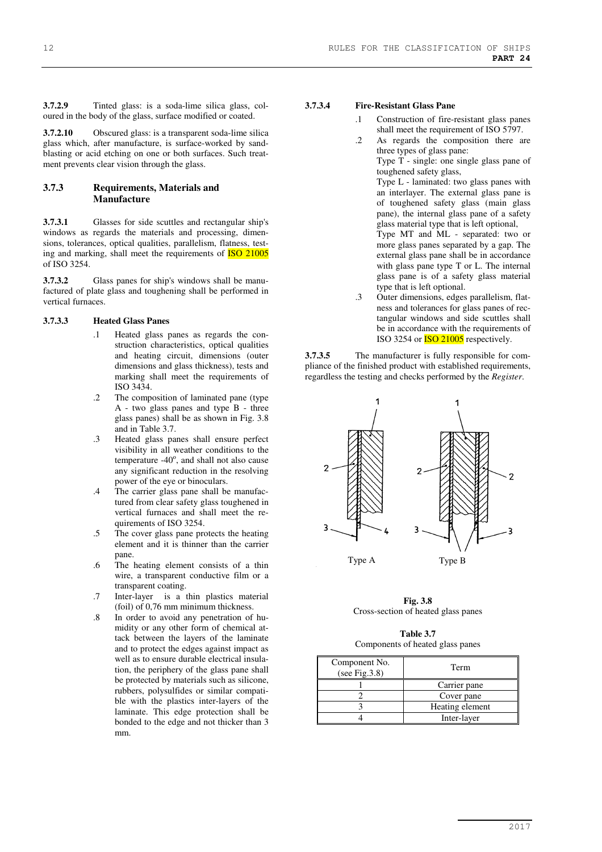**3.7.2.9** Tinted glass: is a soda-lime silica glass, coloured in the body of the glass, surface modified or coated.

**3.7.2.10** Obscured glass: is a transparent soda-lime silica glass which, after manufacture, is surface-worked by sandblasting or acid etching on one or both surfaces. Such treatment prevents clear vision through the glass.

#### **3.7.3 Requirements, Materials and Manufacture**

**3.7.3.1** Glasses for side scuttles and rectangular ship's windows as regards the materials and processing, dimensions, tolerances, optical qualities, parallelism, flatness, testing and marking, shall meet the requirements of ISO 21005 of ISO 3254.

**3.7.3.2** Glass panes for ship's windows shall be manufactured of plate glass and toughening shall be performed in vertical furnaces.

#### **3.7.3.3 Heated Glass Panes**

- .1 Heated glass panes as regards the construction characteristics, optical qualities and heating circuit, dimensions (outer dimensions and glass thickness), tests and marking shall meet the requirements of ISO 3434.
- .2 The composition of laminated pane (type A - two glass panes and type B - three glass panes) shall be as shown in Fig. 3.8 and in Table 3.7.
- .3 Heated glass panes shall ensure perfect visibility in all weather conditions to the  $temperature -40^\circ$ , and shall not also cause any significant reduction in the resolving power of the eye or binoculars.
- .4 The carrier glass pane shall be manufactured from clear safety glass toughened in vertical furnaces and shall meet the requirements of ISO 3254.
- .5 The cover glass pane protects the heating element and it is thinner than the carrier pane.
- .6 The heating element consists of a thin wire, a transparent conductive film or a transparent coating.
- .7 Inter-layer is a thin plastics material (foil) of 0,76 mm minimum thickness.
- .8 In order to avoid any penetration of humidity or any other form of chemical attack between the layers of the laminate and to protect the edges against impact as well as to ensure durable electrical insulation, the periphery of the glass pane shall be protected by materials such as silicone, rubbers, polysulfides or similar compatible with the plastics inter-layers of the laminate. This edge protection shall be bonded to the edge and not thicker than 3 mm.

#### **3.7.3.4 Fire-Resistant Glass Pane**

- .1 Construction of fire-resistant glass panes shall meet the requirement of ISO 5797.
- .2 As regards the composition there are three types of glass pane:

Type T - single: one single glass pane of toughened safety glass,

Type L - laminated: two glass panes with an interlayer. The external glass pane is of toughened safety glass (main glass pane), the internal glass pane of a safety glass material type that is left optional, Type MT and ML - separated: two or

more glass panes separated by a gap. The external glass pane shall be in accordance with glass pane type T or L. The internal glass pane is of a safety glass material type that is left optional.

.3 Outer dimensions, edges parallelism, flatness and tolerances for glass panes of rectangular windows and side scuttles shall be in accordance with the requirements of ISO 3254 or ISO 21005 respectively.

**3.7.3.5** The manufacturer is fully responsible for compliance of the finished product with established requirements, regardless the testing and checks performed by the *Register*.



**Fig. 3.8**  Cross-section of heated glass panes

**Table 3.7**  Components of heated glass panes

| Component No.<br>(see Fig. $3.8$ ) | Term            |  |
|------------------------------------|-----------------|--|
|                                    | Carrier pane    |  |
|                                    | Cover pane      |  |
|                                    | Heating element |  |
|                                    | Inter-layer     |  |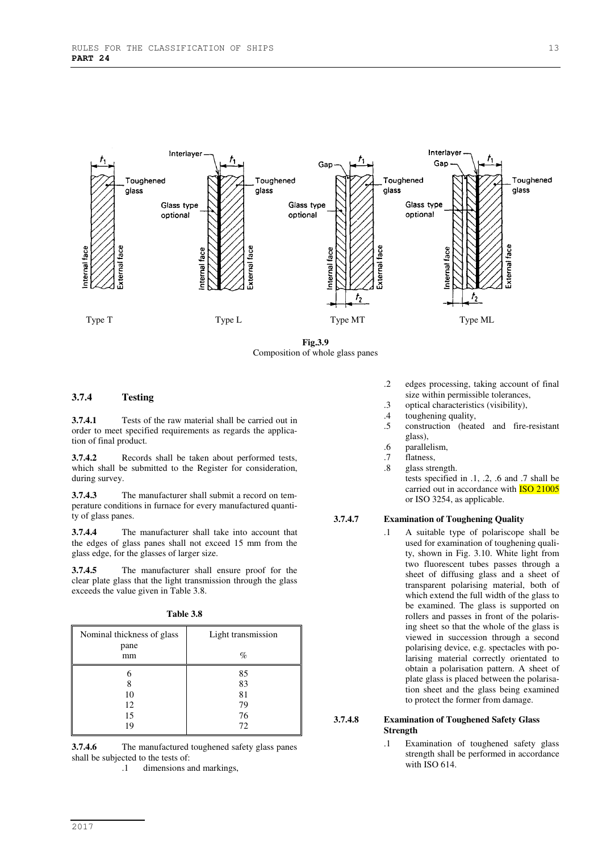

**Fig.3.9**  Composition of whole glass panes

#### **3.7.4 Testing**

**3.7.4.1** Tests of the raw material shall be carried out in order to meet specified requirements as regards the application of final product.

**3.7.4.2** Records shall be taken about performed tests, which shall be submitted to the Register for consideration, during survey.

**3.7.4.3** The manufacturer shall submit a record on temperature conditions in furnace for every manufactured quantity of glass panes.

**3.7.4.4** The manufacturer shall take into account that the edges of glass panes shall not exceed 15 mm from the glass edge, for the glasses of larger size.

**3.7.4.5** The manufacturer shall ensure proof for the clear plate glass that the light transmission through the glass exceeds the value given in Table 3.8.

| <b>Table 3.8</b> |  |
|------------------|--|
|                  |  |

| Nominal thickness of glass<br>pane | Light transmission |
|------------------------------------|--------------------|
| mm                                 | $\%$               |
| 6                                  | 85                 |
| 8                                  | 83                 |
| 10                                 | 81                 |
| 12                                 | 79                 |
| 15                                 | 76                 |
| 19                                 | 72                 |

**3.7.4.6** The manufactured toughened safety glass panes shall be subjected to the tests of:

.1 dimensions and markings,

- .2 edges processing, taking account of final size within permissible tolerances,
- .3 optical characteristics (visibility),
- .4 toughening quality,
- .5 construction (heated and fire-resistant glass),
- .6 parallelism,
- flatness,
- .8 glass strength. tests specified in .1, .2, .6 and .7 shall be carried out in accordance with **ISO 21005** or ISO 3254, as applicable.

**3.7.4.7 Examination of Toughening Quality** 

.1 A suitable type of polariscope shall be used for examination of toughening quality, shown in Fig. 3.10. White light from two fluorescent tubes passes through a sheet of diffusing glass and a sheet of transparent polarising material, both of which extend the full width of the glass to be examined. The glass is supported on rollers and passes in front of the polarising sheet so that the whole of the glass is viewed in succession through a second polarising device, e.g. spectacles with polarising material correctly orientated to obtain a polarisation pattern. A sheet of plate glass is placed between the polarisation sheet and the glass being examined to protect the former from damage.

#### **3.7.4.8 Examination of Toughened Safety Glass Strength**

.1 Examination of toughened safety glass strength shall be performed in accordance with ISO 614.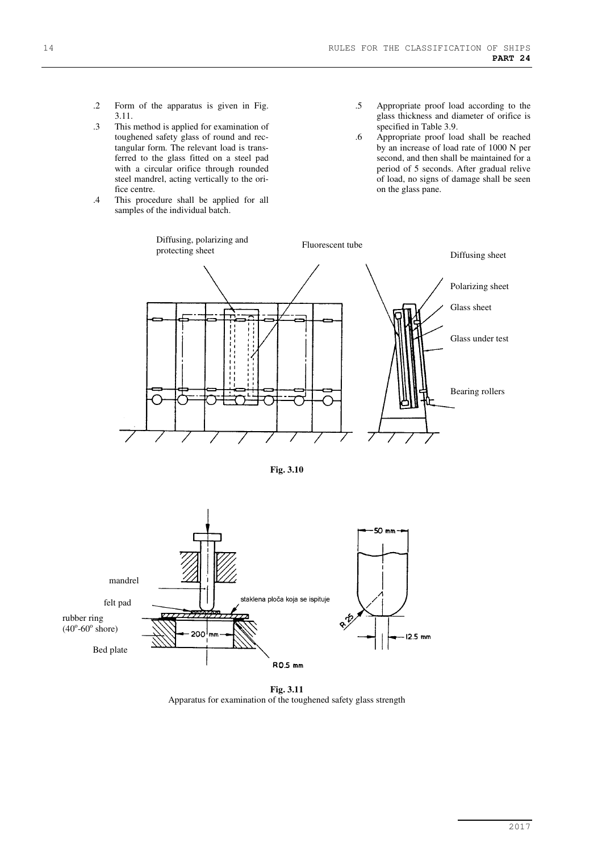- .2 Form of the apparatus is given in Fig. 3.11.
- .3 This method is applied for examination of toughened safety glass of round and rectangular form. The relevant load is transferred to the glass fitted on a steel pad with a circular orifice through rounded steel mandrel, acting vertically to the orifice centre.
- .4 This procedure shall be applied for all samples of the individual batch.
- .5 Appropriate proof load according to the glass thickness and diameter of orifice is specified in Table 3.9.
- .6 Appropriate proof load shall be reached by an increase of load rate of 1000 N per second, and then shall be maintained for a period of 5 seconds. After gradual relive of load, no signs of damage shall be seen on the glass pane.



**Fig. 3.10** 



**Fig. 3.11**  Apparatus for examination of the toughened safety glass strength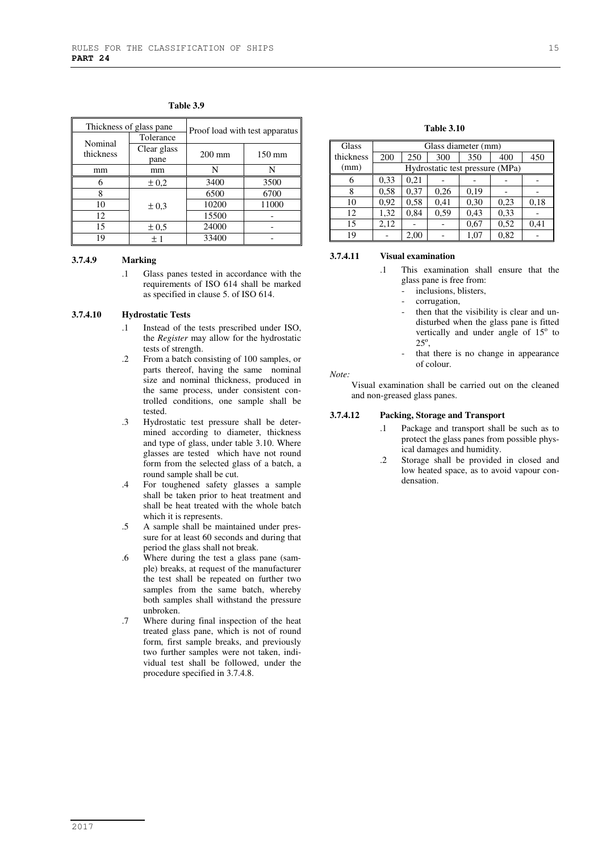|                      | Thickness of glass pane. | Proof load with test apparatus |                  |
|----------------------|--------------------------|--------------------------------|------------------|
|                      | Tolerance                |                                |                  |
| Nominal<br>thickness | Clear glass<br>pane      | $200 \text{ mm}$               | $150 \text{ mm}$ |
| mm                   | mm                       | N                              | N                |
|                      | $\pm 0.2$                | 3400                           | 3500             |
|                      |                          | 6500                           | 6700             |
| 10                   | $\pm 0.3$                | 10200                          | 11000            |
| 12                   |                          | 15500                          |                  |
| 15                   | $\pm 0.5$                | 24000                          |                  |
| 19                   | $+1$                     | 33400                          |                  |

**Table 3.9** 

#### **3.7.4.9 Marking**

.1 Glass panes tested in accordance with the requirements of ISO 614 shall be marked as specified in clause 5. of ISO 614.

#### **3.7.4.10 Hydrostatic Tests**

- .1 Instead of the tests prescribed under ISO, the *Register* may allow for the hydrostatic tests of strength.
- .2 From a batch consisting of 100 samples, or parts thereof, having the same nominal size and nominal thickness, produced in the same process, under consistent controlled conditions, one sample shall be tested.
- .3 Hydrostatic test pressure shall be determined according to diameter, thickness and type of glass, under table 3.10. Where glasses are tested which have not round form from the selected glass of a batch, a round sample shall be cut.
- .4 For toughened safety glasses a sample shall be taken prior to heat treatment and shall be heat treated with the whole batch which it is represents.
- .5 A sample shall be maintained under pressure for at least 60 seconds and during that period the glass shall not break.
- .6 Where during the test a glass pane (sample) breaks, at request of the manufacturer the test shall be repeated on further two samples from the same batch, whereby both samples shall withstand the pressure unbroken.
- .7 Where during final inspection of the heat treated glass pane, which is not of round form, first sample breaks, and previously two further samples were not taken, individual test shall be followed, under the procedure specified in 3.7.4.8.

#### **Table 3.10**

| Glass     | Glass diameter (mm)             |      |      |      |      |      |
|-----------|---------------------------------|------|------|------|------|------|
| thickness | 200                             | 250  | 300  | 350  | 400  | 450  |
| (mm)      | Hydrostatic test pressure (MPa) |      |      |      |      |      |
|           | 0.33                            | 0,21 |      |      |      |      |
| 8         | 0.58                            | 0,37 | 0,26 | 0,19 |      |      |
| 10        | 0,92                            | 0,58 | 0,41 | 0,30 | 0,23 | 0,18 |
| 12        | 1,32                            | 0,84 | 0.59 | 0,43 | 0.33 |      |
| 15        | 2,12                            |      |      | 0.67 | 0,52 | 0,41 |
| 19        |                                 | 2.00 |      | 1.07 | 0,82 |      |

#### **3.7.4.11 Visual examination**

- .1 This examination shall ensure that the glass pane is free from:
	- inclusions, blisters,
	- corrugation,
	- then that the visibility is clear and undisturbed when the glass pane is fitted vertically and under angle of 15° to  $25^\circ$ ,
	- that there is no change in appearance of colour.

*Note:* 

Visual examination shall be carried out on the cleaned and non-greased glass panes.

#### **3.7.4.12 Packing, Storage and Transport**

- .1 Package and transport shall be such as to protect the glass panes from possible physical damages and humidity.
- .2 Storage shall be provided in closed and low heated space, as to avoid vapour condensation.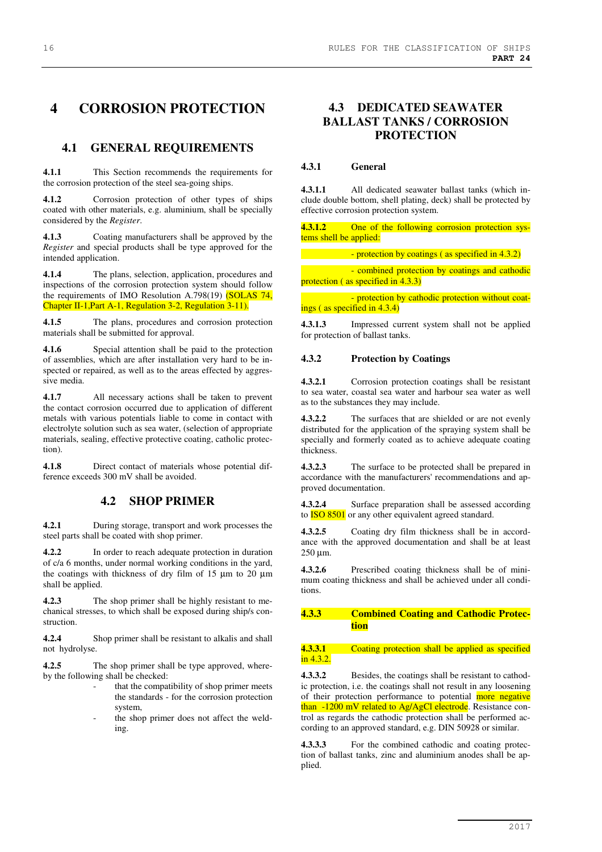# **4 CORROSION PROTECTION**

## **4.1 GENERAL REQUIREMENTS**

**4.1.1** This Section recommends the requirements for the corrosion protection of the steel sea-going ships.

**4.1.2** Corrosion protection of other types of ships coated with other materials, e.g. aluminium, shall be specially considered by the *Register*.

**4.1.3** Coating manufacturers shall be approved by the *Register* and special products shall be type approved for the intended application.

**4.1.4** The plans, selection, application, procedures and inspections of the corrosion protection system should follow the requirements of IMO Resolution A.798(19) (SOLAS 74, Chapter II-1,Part A-1, Regulation 3-2, Regulation 3-11).

**4.1.5** The plans, procedures and corrosion protection materials shall be submitted for approval.

**4.1.6** Special attention shall be paid to the protection of assemblies, which are after installation very hard to be inspected or repaired, as well as to the areas effected by aggressive media.

**4.1.7** All necessary actions shall be taken to prevent the contact corrosion occurred due to application of different metals with various potentials liable to come in contact with electrolyte solution such as sea water, (selection of appropriate materials, sealing, effective protective coating, catholic protection).

**4.1.8** Direct contact of materials whose potential difference exceeds 300 mV shall be avoided.

## **4.2 SHOP PRIMER**

**4.2.1** During storage, transport and work processes the steel parts shall be coated with shop primer.

**4.2.2** In order to reach adequate protection in duration of c/a 6 months, under normal working conditions in the yard, the coatings with thickness of dry film of 15 µm to 20 µm shall be applied.

**4.2.3** The shop primer shall be highly resistant to mechanical stresses, to which shall be exposed during ship/s construction.

**4.2.4** Shop primer shall be resistant to alkalis and shall not hydrolyse.

**4.2.5** The shop primer shall be type approved, whereby the following shall be checked:

- that the compatibility of shop primer meets the standards - for the corrosion protection system,
- the shop primer does not affect the welding.

# **4.3 DEDICATED SEAWATER BALLAST TANKS / CORROSION PROTECTION**

#### **4.3.1 General**

**4.3.1.1** All dedicated seawater ballast tanks (which include double bottom, shell plating, deck) shall be protected by effective corrosion protection system.

One of the following corrosion protection systems shell be applied:

| - protection by coatings (as specified in 4.3.2) |
|--------------------------------------------------|
|--------------------------------------------------|

 - combined protection by coatings and cathodic protection (as specified in 4.3.3)

 - protection by cathodic protection without coatings ( as specified in 4.3.4)

**4.3.1.3** Impressed current system shall not be applied for protection of ballast tanks.

#### **4.3.2 Protection by Coatings**

**4.3.2.1** Corrosion protection coatings shall be resistant to sea water, coastal sea water and harbour sea water as well as to the substances they may include.

**4.3.2.2** The surfaces that are shielded or are not evenly distributed for the application of the spraying system shall be specially and formerly coated as to achieve adequate coating thickness.

**4.3.2.3** The surface to be protected shall be prepared in accordance with the manufacturers' recommendations and approved documentation.

**4.3.2.4** Surface preparation shall be assessed according to **ISO 8501** or any other equivalent agreed standard.

**4.3.2.5** Coating dry film thickness shall be in accordance with the approved documentation and shall be at least 250 µm.

**4.3.2.6** Prescribed coating thickness shall be of minimum coating thickness and shall be achieved under all conditions.

#### **4.3.3 Combined Coating and Cathodic Protection**

#### **4.3.3.1** Coating protection shall be applied as specified in 4.3.2.

**4.3.3.2** Besides, the coatings shall be resistant to cathodic protection, i.e. the coatings shall not result in any loosening of their protection performance to potential more negative than -1200 mV related to Ag/AgCl electrode. Resistance control as regards the cathodic protection shall be performed according to an approved standard, e.g. DIN 50928 or similar.

**4.3.3.3** For the combined cathodic and coating protection of ballast tanks, zinc and aluminium anodes shall be applied.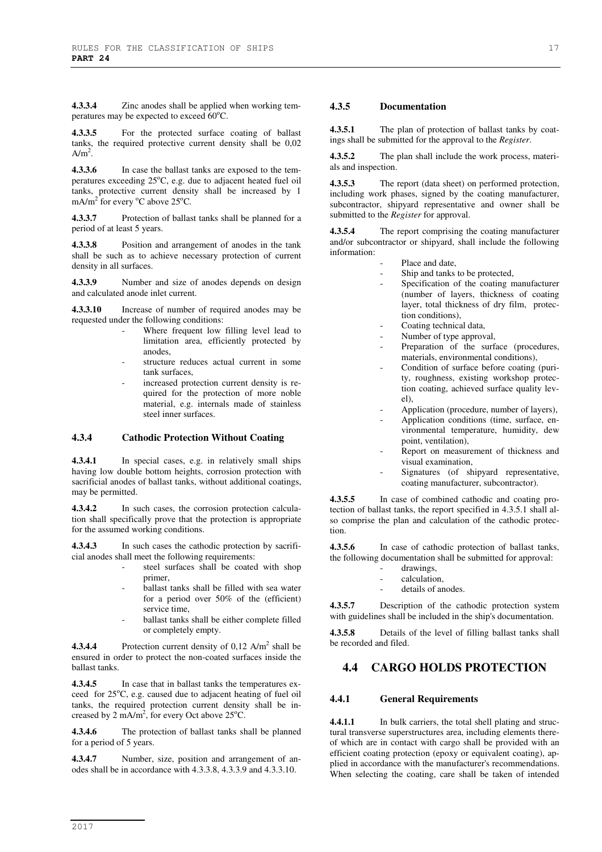**4.3.3.4** Zinc anodes shall be applied when working temperatures may be expected to exceed  $60^{\circ}$ C.

**4.3.3.5** For the protected surface coating of ballast tanks, the required protective current density shall be 0,02  $A/m<sup>2</sup>$ .

**4.3.3.6** In case the ballast tanks are exposed to the temperatures exceeding 25°C, e.g. due to adjacent heated fuel oil tanks, protective current density shall be increased by 1 mA/m<sup>2</sup> for every  $\mathrm{^oC}$  above 25 $\mathrm{^oC}$ .

**4.3.3.7** Protection of ballast tanks shall be planned for a period of at least 5 years.

**4.3.3.8** Position and arrangement of anodes in the tank shall be such as to achieve necessary protection of current density in all surfaces.

**4.3.3.9** Number and size of anodes depends on design and calculated anode inlet current.

**4.3.3.10** Increase of number of required anodes may be requested under the following conditions:

- Where frequent low filling level lead to limitation area, efficiently protected by anodes,
	- structure reduces actual current in some tank surfaces,
- increased protection current density is required for the protection of more noble material, e.g. internals made of stainless steel inner surfaces.

#### **4.3.4 Cathodic Protection Without Coating**

**4.3.4.1** In special cases, e.g. in relatively small ships having low double bottom heights, corrosion protection with sacrificial anodes of ballast tanks, without additional coatings, may be permitted.

**4.3.4.2** In such cases, the corrosion protection calculation shall specifically prove that the protection is appropriate for the assumed working conditions.

**4.3.4.3** In such cases the cathodic protection by sacrificial anodes shall meet the following requirements:

- steel surfaces shall be coated with shop primer,
- ballast tanks shall be filled with sea water for a period over 50% of the (efficient) service time,
- ballast tanks shall be either complete filled or completely empty.

**4.3.4.4** Protection current density of  $0,12$  A/m<sup>2</sup> shall be ensured in order to protect the non-coated surfaces inside the ballast tanks.

**4.3.4.5** In case that in ballast tanks the temperatures exceed for 25°C, e.g. caused due to adjacent heating of fuel oil tanks, the required protection current density shall be increased by 2 mA/m<sup>2</sup>, for every Oct above 25<sup>o</sup>C.

**4.3.4.6** The protection of ballast tanks shall be planned for a period of 5 years.

**4.3.4.7** Number, size, position and arrangement of anodes shall be in accordance with 4.3.3.8, 4.3.3.9 and 4.3.3.10.

#### **4.3.5 Documentation**

**4.3.5.1** The plan of protection of ballast tanks by coatings shall be submitted for the approval to the *Register*.

**4.3.5.2** The plan shall include the work process, materials and inspection.

**4.3.5.3** The report (data sheet) on performed protection, including work phases, signed by the coating manufacturer, subcontractor, shipyard representative and owner shall be submitted to the *Register* for approval.

**4.3.5.4** The report comprising the coating manufacturer and/or subcontractor or shipyard, shall include the following information:

- Place and date,
- Ship and tanks to be protected,
- Specification of the coating manufacturer (number of layers, thickness of coating layer, total thickness of dry film, protection conditions),
- Coating technical data,
- Number of type approval,
- Preparation of the surface (procedures, materials, environmental conditions),
- Condition of surface before coating (purity, roughness, existing workshop protection coating, achieved surface quality level),
- Application (procedure, number of layers),
- Application conditions (time, surface, environmental temperature, humidity, dew point, ventilation),
- Report on measurement of thickness and visual examination,
- Signatures (of shipyard representative, coating manufacturer, subcontractor).

**4.3.5.5** In case of combined cathodic and coating protection of ballast tanks, the report specified in 4.3.5.1 shall also comprise the plan and calculation of the cathodic protection.

**4.3.5.6** In case of cathodic protection of ballast tanks, the following documentation shall be submitted for approval:

- drawings,
- calculation,
- details of anodes.

**4.3.5.7** Description of the cathodic protection system with guidelines shall be included in the ship's documentation.

**4.3.5.8** Details of the level of filling ballast tanks shall be recorded and filed.

## **4.4 CARGO HOLDS PROTECTION**

#### **4.4.1 General Requirements**

**4.4.1.1** In bulk carriers, the total shell plating and structural transverse superstructures area, including elements thereof which are in contact with cargo shall be provided with an efficient coating protection (epoxy or equivalent coating), applied in accordance with the manufacturer's recommendations. When selecting the coating, care shall be taken of intended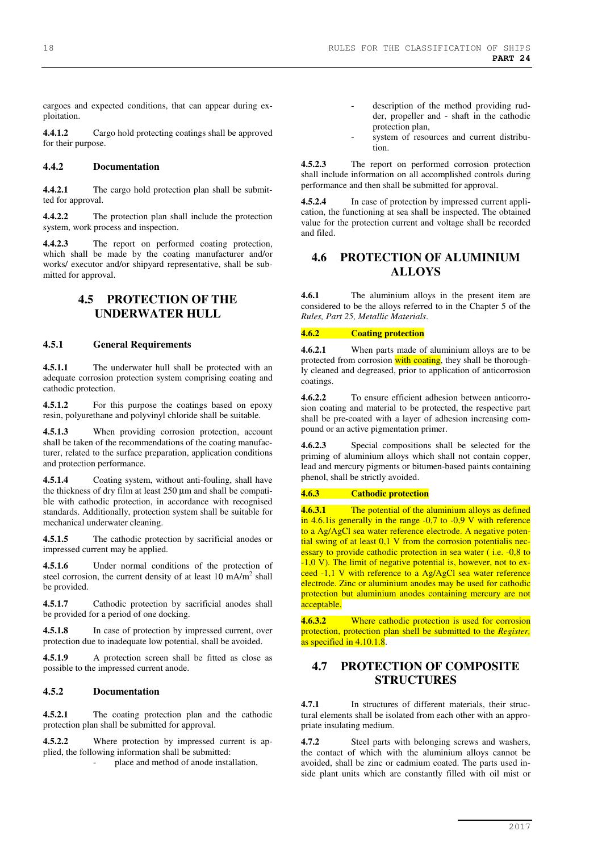cargoes and expected conditions, that can appear during exploitation.

**4.4.1.2** Cargo hold protecting coatings shall be approved for their purpose.

#### **4.4.2 Documentation**

**4.4.2.1** The cargo hold protection plan shall be submitted for approval.

**4.4.2.2** The protection plan shall include the protection system, work process and inspection.

**4.4.2.3** The report on performed coating protection, which shall be made by the coating manufacturer and/or works/ executor and/or shipyard representative, shall be submitted for approval.

## **4.5 PROTECTION OF THE UNDERWATER HULL**

#### **4.5.1 General Requirements**

**4.5.1.1** The underwater hull shall be protected with an adequate corrosion protection system comprising coating and cathodic protection.

**4.5.1.2** For this purpose the coatings based on epoxy resin, polyurethane and polyvinyl chloride shall be suitable.

**4.5.1.3** When providing corrosion protection, account shall be taken of the recommendations of the coating manufacturer, related to the surface preparation, application conditions and protection performance.

**4.5.1.4** Coating system, without anti-fouling, shall have the thickness of dry film at least 250 µm and shall be compatible with cathodic protection, in accordance with recognised standards. Additionally, protection system shall be suitable for mechanical underwater cleaning.

**4.5.1.5** The cathodic protection by sacrificial anodes or impressed current may be applied.

**4.5.1.6** Under normal conditions of the protection of steel corrosion, the current density of at least  $10 \text{ mA/m}^2$  shall be provided.

**4.5.1.7** Cathodic protection by sacrificial anodes shall be provided for a period of one docking.

**4.5.1.8** In case of protection by impressed current, over protection due to inadequate low potential, shall be avoided.

**4.5.1.9** A protection screen shall be fitted as close as possible to the impressed current anode.

#### **4.5.2 Documentation**

**4.5.2.1** The coating protection plan and the cathodic protection plan shall be submitted for approval.

**4.5.2.2** Where protection by impressed current is applied, the following information shall be submitted:

place and method of anode installation,

- description of the method providing rudder, propeller and - shaft in the cathodic protection plan,
- system of resources and current distribution.

**4.5.2.3** The report on performed corrosion protection shall include information on all accomplished controls during performance and then shall be submitted for approval.

In case of protection by impressed current application, the functioning at sea shall be inspected. The obtained value for the protection current and voltage shall be recorded and filed.

## **4.6 PROTECTION OF ALUMINIUM ALLOYS**

**4.6.1** The aluminium alloys in the present item are considered to be the alloys referred to in the Chapter 5 of the *Rules, Part 25, Metallic Materials*.

#### **4.6.2 Coating protection**

**4.6.2.1** When parts made of aluminium alloys are to be protected from corrosion with coating, they shall be thoroughly cleaned and degreased, prior to application of anticorrosion coatings.

**4.6.2.2** To ensure efficient adhesion between anticorrosion coating and material to be protected, the respective part shall be pre-coated with a layer of adhesion increasing compound or an active pigmentation primer.

**4.6.2.3** Special compositions shall be selected for the priming of aluminium alloys which shall not contain copper, lead and mercury pigments or bitumen-based paints containing phenol, shall be strictly avoided.

#### **4.6.3 Cathodic protection**

**4.6.3.1** The potential of the aluminium alloys as defined in 4.6.1 is generally in the range  $-0.7$  to  $-0.9$  V with reference to a Ag/AgCl sea water reference electrode. A negative potential swing of at least 0,1 V from the corrosion potentialis necessary to provide cathodic protection in sea water (i.e. -0,8 to  $-1.0$  V). The limit of negative potential is, however, not to exceed -1,1 V with reference to a Ag/AgCl sea water reference electrode. Zinc or aluminium anodes may be used for cathodic protection but aluminium anodes containing mercury are not acceptable.

**4.6.3.2** Where cathodic protection is used for corrosion protection, protection plan shell be submitted to the *Register,*  as specified in  $4.10.1.8$ .

## **4.7 PROTECTION OF COMPOSITE STRUCTURES**

**4.7.1** In structures of different materials, their structural elements shall be isolated from each other with an appropriate insulating medium.

**4.7.2** Steel parts with belonging screws and washers, the contact of which with the aluminium alloys cannot be avoided, shall be zinc or cadmium coated. The parts used inside plant units which are constantly filled with oil mist or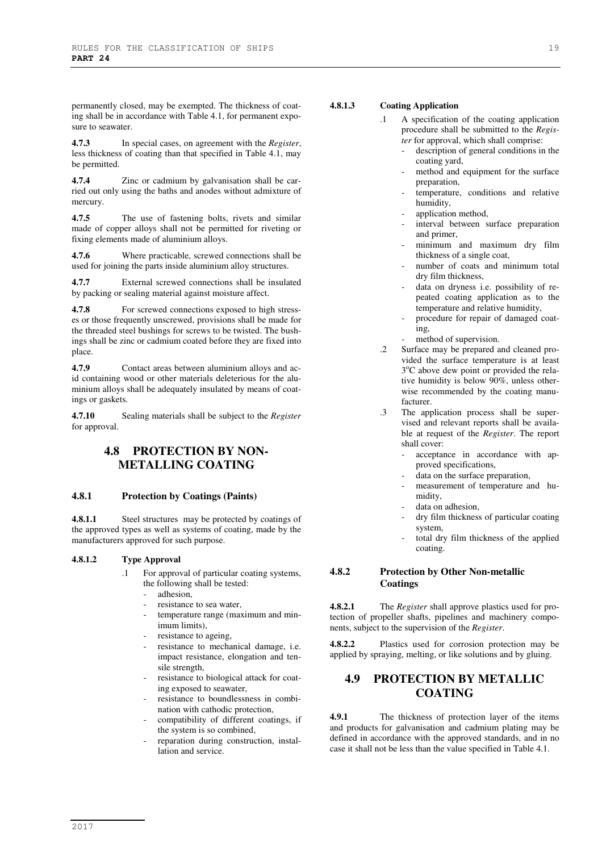permanently closed, may be exempted. The thickness of coating shall be in accordance with Table 4.1, for permanent exposure to seawater.

**4.7.3** In special cases, on agreement with the *Register*, less thickness of coating than that specified in Table 4.1, may be permitted.

**4.7.4** Zinc or cadmium by galvanisation shall be carried out only using the baths and anodes without admixture of mercury.

**4.7.5** The use of fastening bolts, rivets and similar made of copper alloys shall not be permitted for riveting or fixing elements made of aluminium alloys.

**4.7.6** Where practicable, screwed connections shall be used for joining the parts inside aluminium alloy structures.

**4.7.7** External screwed connections shall be insulated by packing or sealing material against moisture affect.

**4.7.8** For screwed connections exposed to high stresses or those frequently unscrewed, provisions shall be made for the threaded steel bushings for screws to be twisted. The bushings shall be zinc or cadmium coated before they are fixed into place.

**4.7.9** Contact areas between aluminium alloys and acid containing wood or other materials deleterious for the aluminium alloys shall be adequately insulated by means of coatings or gaskets.

**4.7.10** Sealing materials shall be subject to the *Register* for approval.

## **4.8 PROTECTION BY NON-METALLING COATING**

## **4.8.1 Protection by Coatings (Paints)**

**4.8.1.1** Steel structures may be protected by coatings of the approved types as well as systems of coating, made by the manufacturers approved for such purpose.

#### **4.8.1.2 Type Approval**

- .1 For approval of particular coating systems, the following shall be tested:
	- adhesion,
	- resistance to sea water,
	- temperature range (maximum and minimum limits),
	- resistance to ageing,
	- resistance to mechanical damage, i.e. impact resistance, elongation and tensile strength,
	- resistance to biological attack for coating exposed to seawater,
	- resistance to boundlessness in combination with cathodic protection,
	- compatibility of different coatings, if the system is so combined,
	- reparation during construction, installation and service.

## **4.8.1.3 Coating Application**

- .1 A specification of the coating application procedure shall be submitted to the *Register* for approval, which shall comprise:
	- description of general conditions in the coating yard,
	- method and equipment for the surface preparation,
	- temperature, conditions and relative humidity,
	- application method,
	- interval between surface preparation and primer,
	- minimum and maximum dry film thickness of a single coat,
	- number of coats and minimum total dry film thickness,
	- data on dryness i.e. possibility of repeated coating application as to the temperature and relative humidity,
	- procedure for repair of damaged coating,
	- method of supervision.
- .2 Surface may be prepared and cleaned provided the surface temperature is at least 3°C above dew point or provided the relative humidity is below 90%, unless otherwise recommended by the coating manufacturer.
- .3 The application process shall be supervised and relevant reports shall be available at request of the *Register*. The report shall cover:
	- acceptance in accordance with approved specifications,
	- data on the surface preparation,
	- measurement of temperature and humidity,
	- data on adhesion,
	- dry film thickness of particular coating system,
	- total dry film thickness of the applied coating.

#### **4.8.2 Protection by Other Non-metallic Coatings**

**4.8.2.1** The *Register* shall approve plastics used for protection of propeller shafts, pipelines and machinery components, subject to the supervision of the *Register*.

**4.8.2.2** Plastics used for corrosion protection may be applied by spraying, melting, or like solutions and by gluing.

## **4.9 PROTECTION BY METALLIC COATING**

**4.9.1** The thickness of protection layer of the items and products for galvanisation and cadmium plating may be defined in accordance with the approved standards, and in no case it shall not be less than the value specified in Table 4.1.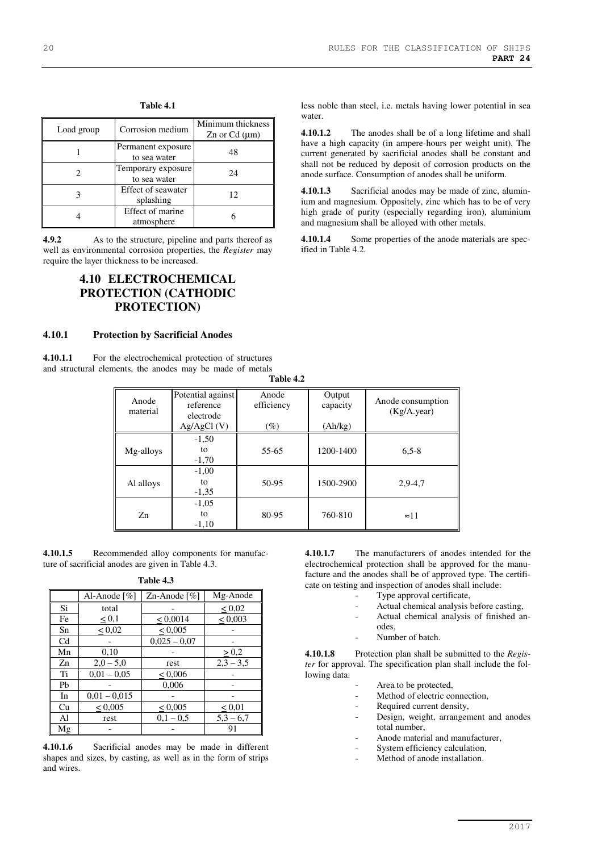less noble than steel, i.e. metals having lower potential in sea

**4.10.1.2** The anodes shall be of a long lifetime and shall have a high capacity (in ampere-hours per weight unit). The current generated by sacrificial anodes shall be constant and shall not be reduced by deposit of corrosion products on the anode surface. Consumption of anodes shall be uniform.

**4.10.1.3** Sacrificial anodes may be made of zinc, aluminium and magnesium. Oppositely, zinc which has to be of very high grade of purity (especially regarding iron), aluminium

**4.10.1.4** Some properties of the anode materials are spec-

and magnesium shall be alloyed with other metals.

| Load group | Corrosion medium                   | Minimum thickness<br>$\text{Zn}$ or $\text{Cd}$ ( $\mu$ m) |
|------------|------------------------------------|------------------------------------------------------------|
|            | Permanent exposure<br>to sea water | 48                                                         |
|            | Temporary exposure<br>to sea water | 24                                                         |
|            | Effect of seawater<br>splashing    | 12                                                         |
|            | Effect of marine<br>atmosphere     |                                                            |

**Table 4.1** 

**4.9.2** As to the structure, pipeline and parts thereof as well as environmental corrosion properties, the *Register* may require the layer thickness to be increased.

# **4.10 ELECTROCHEMICAL PROTECTION (CATHODIC PROTECTION)**

#### **4.10.1 Protection by Sacrificial Anodes**

**4.10.1.1** For the electrochemical protection of structures and structural elements, the anodes may be made of metals

**Table 4.2** 

water.

ified in Table 4.2.

| Anode<br>material | Potential against<br>reference<br>electrode | Anode<br>efficiency | Output<br>capacity | Anode consumption<br>$(Kg/A.$ year) |
|-------------------|---------------------------------------------|---------------------|--------------------|-------------------------------------|
|                   | Ag/AgCl(V)                                  | $(\%)$              | (Ah/kg)            |                                     |
| Mg-alloys         | $-1,50$<br>to<br>$-1,70$                    | 55-65               | 1200-1400          | $6,5 - 8$                           |
| Al alloys         | $-1,00$<br>to<br>$-1,35$                    | 50-95               | 1500-2900          | $2,9-4,7$                           |
| Zn                | $-1,05$<br>to<br>$-1.10$                    | 80-95               | 760-810            | $\approx 11$                        |

**4.10.1.5** Recommended alloy components for manufacture of sacrificial anodes are given in Table 4.3.

**Table 4.3** 

|                | Al-Anode $\lceil \% \rceil$ | $Zn$ -Anode [%] | Mg-Anode     |
|----------------|-----------------------------|-----------------|--------------|
| Si             | total                       |                 | < 0.02       |
| Fe             | $\leq 0,1$                  | < 0,0014        | $\leq 0,003$ |
| Sn             | $\leq 0.02$                 | $\leq 0,005$    |              |
| C <sub>d</sub> |                             | $0.025 - 0.07$  |              |
| Mn             | 0,10                        |                 | $\geq 0.2$   |
| Zn             | $2,0 - 5,0$                 | rest            | $2,3 - 3,5$  |
| Ti             | $0.01 - 0.05$               | $\leq 0,006$    |              |
| Pb             |                             | 0,006           |              |
| In             | $0.01 - 0.015$              |                 |              |
| Cu             | < 0,005                     | $\leq 0,005$    | $\leq 0.01$  |
| Al             | rest                        | $0,1-0,5$       | $5,3 - 6,7$  |
| Mg             |                             |                 | 91           |

**4.10.1.6** Sacrificial anodes may be made in different shapes and sizes, by casting, as well as in the form of strips and wires.

**4.10.1.7** The manufacturers of anodes intended for the electrochemical protection shall be approved for the manufacture and the anodes shall be of approved type. The certificate on testing and inspection of anodes shall include:

- Type approval certificate,
- Actual chemical analysis before casting,
- Actual chemical analysis of finished an-
- odes, Number of batch.

**4.10.1.8** Protection plan shall be submitted to the *Register* for approval. The specification plan shall include the following data:

- Area to be protected.
- Method of electric connection,
- Required current density,
- Design, weight, arrangement and anodes total number,
- Anode material and manufacturer,
- System efficiency calculation,
- Method of anode installation.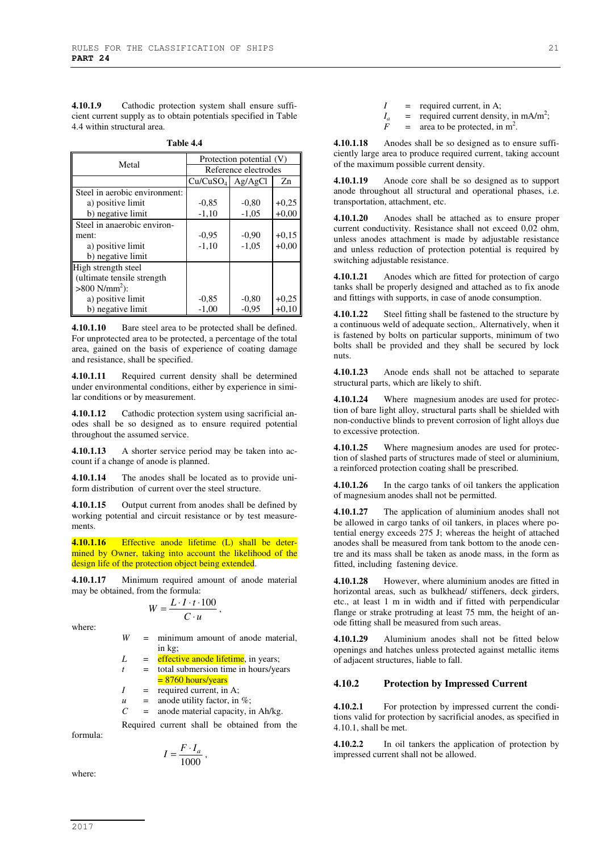**4.10.1.9** Cathodic protection system shall ensure sufficient current supply as to obtain potentials specified in Table 4.4 within structural area.

**Table 4.4** 

| Metal                         | Protection potential (V) |         |         |  |
|-------------------------------|--------------------------|---------|---------|--|
|                               | Reference electrodes     |         |         |  |
|                               | $Cu/CuSO4$ Ag/AgCl       |         | Zn      |  |
| Steel in aerobic environment: |                          |         |         |  |
| a) positive limit             | $-0.85$                  | $-0.80$ | $+0,25$ |  |
| b) negative limit             | $-1,10$                  | $-1,05$ | $+0.00$ |  |
| Steel in anaerobic environ-   |                          |         |         |  |
| ment:                         | $-0.95$                  | $-0.90$ | $+0.15$ |  |
| a) positive limit             | $-1,10$                  | $-1,05$ | $+0.00$ |  |
| b) negative limit             |                          |         |         |  |
| High strength steel           |                          |         |         |  |
| (ultimate tensile strength    |                          |         |         |  |
| $>800$ N/mm <sup>2</sup> ):   |                          |         |         |  |
| a) positive limit             | $-0.85$                  | $-0.80$ | $+0,25$ |  |
| b) negative limit             | $-1,00$                  | $-0.95$ | $+0,10$ |  |

**4.10.1.10** Bare steel area to be protected shall be defined. For unprotected area to be protected, a percentage of the total area, gained on the basis of experience of coating damage and resistance, shall be specified.

**4.10.1.11** Required current density shall be determined under environmental conditions, either by experience in similar conditions or by measurement.

**4.10.1.12** Cathodic protection system using sacrificial anodes shall be so designed as to ensure required potential throughout the assumed service.

**4.10.1.13** A shorter service period may be taken into account if a change of anode is planned.

**4.10.1.14** The anodes shall be located as to provide uniform distribution of current over the steel structure.

**4.10.1.15** Output current from anodes shall be defined by working potential and circuit resistance or by test measurements.

**4.10.1.16** Effective anode lifetime (L) shall be determined by Owner, taking into account the likelihood of the design life of the protection object being extended.

**4.10.1.17** Minimum required amount of anode material may be obtained, from the formula:

$$
W=\frac{L\cdot I\cdot t\cdot 100}{C\cdot u}\,,
$$

where:

- *W* = minimum amount of anode material, in kg;
- $L =$  effective anode lifetime, in years;
- $t =$  total submersion time in hours/years  $= 8760$  hours/years
- $I = \text{required current, in A};$
- $u =$  anode utility factor, in %;
- *C* = anode material capacity, in Ah/kg.

Required current shall be obtained from the formula:

$$
I = \frac{F \cdot I_a}{1000} \,,
$$

where:

 $I =$  required current, in A;

- $=$  required current density, in mA/m<sup>2</sup>;
- *Ia*  $F = \text{area to be protected, in m}^2$ .

**4.10.1.18** Anodes shall be so designed as to ensure sufficiently large area to produce required current, taking account of the maximum possible current density.

**4.10.1.19** Anode core shall be so designed as to support anode throughout all structural and operational phases, i.e. transportation, attachment, etc.

**4.10.1.20** Anodes shall be attached as to ensure proper current conductivity. Resistance shall not exceed 0,02 ohm, unless anodes attachment is made by adjustable resistance and unless reduction of protection potential is required by switching adjustable resistance.

**4.10.1.21** Anodes which are fitted for protection of cargo tanks shall be properly designed and attached as to fix anode and fittings with supports, in case of anode consumption.

**4.10.1.22** Steel fitting shall be fastened to the structure by a continuous weld of adequate section,. Alternatively, when it is fastened by bolts on particular supports, minimum of two bolts shall be provided and they shall be secured by lock nuts.

**4.10.1.23** Anode ends shall not be attached to separate structural parts, which are likely to shift.

**4.10.1.24** Where magnesium anodes are used for protection of bare light alloy, structural parts shall be shielded with non-conductive blinds to prevent corrosion of light alloys due to excessive protection.

**4.10.1.25** Where magnesium anodes are used for protection of slashed parts of structures made of steel or aluminium, a reinforced protection coating shall be prescribed.

**4.10.1.26** In the cargo tanks of oil tankers the application of magnesium anodes shall not be permitted.

**4.10.1.27** The application of aluminium anodes shall not be allowed in cargo tanks of oil tankers, in places where potential energy exceeds 275 J; whereas the height of attached anodes shall be measured from tank bottom to the anode centre and its mass shall be taken as anode mass, in the form as fitted, including fastening device.

**4.10.1.28** However, where aluminium anodes are fitted in horizontal areas, such as bulkhead/ stiffeners, deck girders, etc., at least 1 m in width and if fitted with perpendicular flange or strake protruding at least 75 mm, the height of anode fitting shall be measured from such areas.

**4.10.1.29** Aluminium anodes shall not be fitted below openings and hatches unless protected against metallic items of adjacent structures, liable to fall.

#### **4.10.2 Protection by Impressed Current**

**4.10.2.1** For protection by impressed current the conditions valid for protection by sacrificial anodes, as specified in 4.10.1, shall be met.

**4.10.2.2** In oil tankers the application of protection by impressed current shall not be allowed.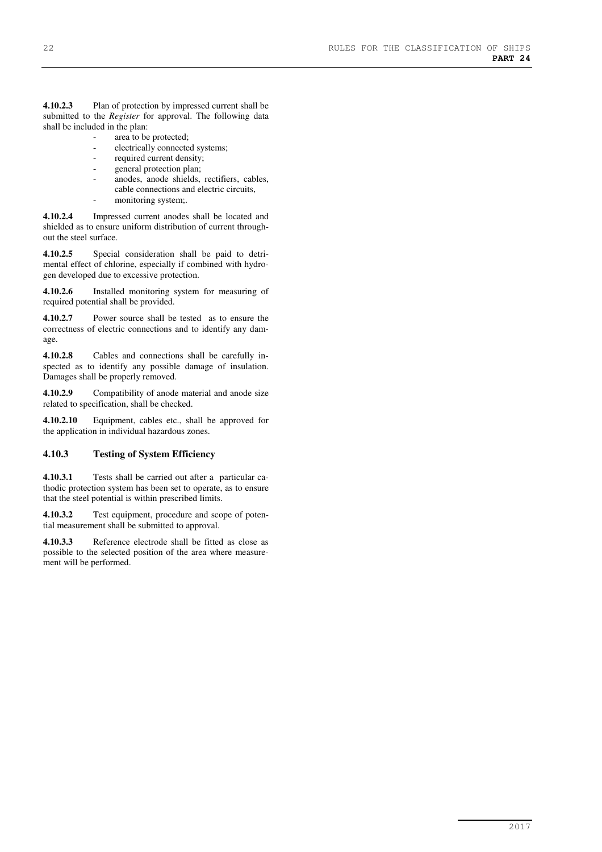**4.10.2.3** Plan of protection by impressed current shall be submitted to the *Register* for approval. The following data shall be included in the plan:

area to be protected;

- electrically connected systems;
- required current density;
- general protection plan;
- anodes, anode shields, rectifiers, cables, cable connections and electric circuits,
- monitoring system;.

**4.10.2.4** Impressed current anodes shall be located and shielded as to ensure uniform distribution of current throughout the steel surface.

**4.10.2.5** Special consideration shall be paid to detrimental effect of chlorine, especially if combined with hydrogen developed due to excessive protection.

**4.10.2.6** Installed monitoring system for measuring of required potential shall be provided.

**4.10.2.7** Power source shall be tested as to ensure the correctness of electric connections and to identify any damage.

**4.10.2.8** Cables and connections shall be carefully inspected as to identify any possible damage of insulation. Damages shall be properly removed.

**4.10.2.9** Compatibility of anode material and anode size related to specification, shall be checked.

**4.10.2.10** Equipment, cables etc., shall be approved for the application in individual hazardous zones.

#### **4.10.3 Testing of System Efficiency**

**4.10.3.1** Tests shall be carried out after a particular cathodic protection system has been set to operate, as to ensure that the steel potential is within prescribed limits.

**4.10.3.2** Test equipment, procedure and scope of potential measurement shall be submitted to approval.

**4.10.3.3** Reference electrode shall be fitted as close as possible to the selected position of the area where measurement will be performed.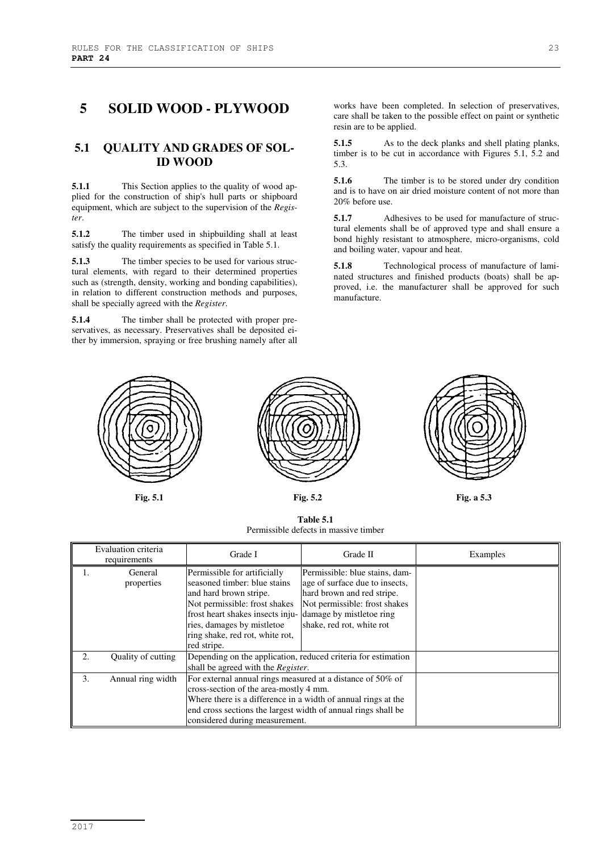# **5 SOLID WOOD - PLYWOOD**

## **5.1 QUALITY AND GRADES OF SOL-ID WOOD**

**5.1.1** This Section applies to the quality of wood applied for the construction of ship's hull parts or shipboard equipment, which are subject to the supervision of the *Register*.

**5.1.2** The timber used in shipbuilding shall at least satisfy the quality requirements as specified in Table 5.1.

**5.1.3** The timber species to be used for various structural elements, with regard to their determined properties such as (strength, density, working and bonding capabilities), in relation to different construction methods and purposes, shall be specially agreed with the *Register*.

**5.1.4** The timber shall be protected with proper preservatives, as necessary. Preservatives shall be deposited either by immersion, spraying or free brushing namely after all works have been completed. In selection of preservatives, care shall be taken to the possible effect on paint or synthetic resin are to be applied.

**5.1.5** As to the deck planks and shell plating planks, timber is to be cut in accordance with Figures 5.1, 5.2 and 5.3.

**5.1.6** The timber is to be stored under dry condition and is to have on air dried moisture content of not more than 20% before use.

**5.1.7** Adhesives to be used for manufacture of structural elements shall be of approved type and shall ensure a bond highly resistant to atmosphere, micro-organisms, cold and boiling water, vapour and heat.

**5.1.8** Technological process of manufacture of laminated structures and finished products (boats) shall be approved, i.e. the manufacturer shall be approved for such manufacture.





**Table 5.1**  Permissible defects in massive timber



**Fig. 5.1 Fig. 5.2 Fig. a 5.3**

|    | Evaluation criteria<br>requirements | Grade I                                                                                                                                                                                                                                                                                                                                                                                                                              | Grade II | Examples |
|----|-------------------------------------|--------------------------------------------------------------------------------------------------------------------------------------------------------------------------------------------------------------------------------------------------------------------------------------------------------------------------------------------------------------------------------------------------------------------------------------|----------|----------|
|    | General<br>properties               | Permissible for artificially<br>Permissible: blue stains, dam-<br>seasoned timber: blue stains<br>age of surface due to insects,<br>hard brown and red stripe.<br>and hard brown stripe.<br>Not permissible: frost shakes<br>Not permissible: frost shakes<br>frost heart shakes insects inju- damage by mistletoe ring<br>ries, damages by mistletoe<br>shake, red rot, white rot<br>ring shake, red rot, white rot,<br>red stripe. |          |          |
| 2. | Quality of cutting                  | Depending on the application, reduced criteria for estimation<br>shall be agreed with the <i>Register</i> .                                                                                                                                                                                                                                                                                                                          |          |          |
| 3. | Annual ring width                   | For external annual rings measured at a distance of 50% of<br>cross-section of the area-mostly 4 mm.<br>Where there is a difference in a width of annual rings at the<br>end cross sections the largest width of annual rings shall be<br>considered during measurement.                                                                                                                                                             |          |          |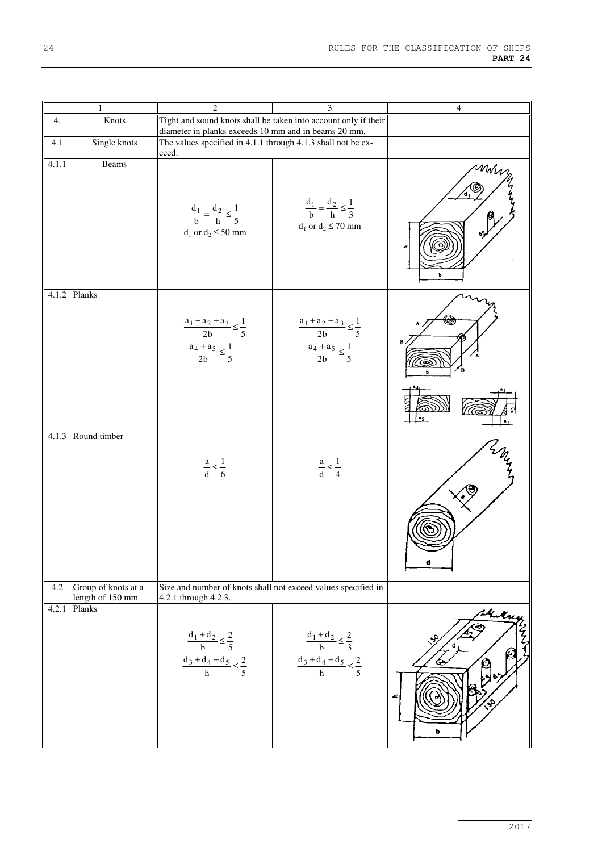| $\mathbf{1}$                                   | $\overline{2}$                                                                                                          | 3                                                                                      | $\overline{4}$        |
|------------------------------------------------|-------------------------------------------------------------------------------------------------------------------------|----------------------------------------------------------------------------------------|-----------------------|
| Knots<br>4.                                    | Tight and sound knots shall be taken into account only if their<br>diameter in planks exceeds 10 mm and in beams 20 mm. |                                                                                        |                       |
| Single knots<br>4.1                            | The values specified in 4.1.1 through 4.1.3 shall not be ex-<br>ceed.                                                   |                                                                                        |                       |
| Beams<br>4.1.1                                 | $\frac{d_1}{b} = \frac{d_2}{h} \leq \frac{1}{5}$<br>$d_1$ or $d_2 \leq 50$ mm                                           | $\frac{d_1}{b} = \frac{d_2}{h} \leq \frac{1}{3}$<br>$d_1$ or $d_2 \le 70$ mm           | mm<br>ь               |
| 4.1.2 Planks                                   | $\frac{a_1+a_2+a_3}{2b} \leq \frac{1}{5}$<br>$\frac{a_4 + a_5}{2b} \leq \frac{1}{5}$                                    | $\frac{a_1+a_2+a_3}{2b} \leq \frac{1}{5}$<br>$\frac{a_4 + a_5}{2b} \leq \frac{1}{5}$   | в                     |
|                                                |                                                                                                                         |                                                                                        |                       |
| 4.1.3 Round timber                             | $rac{a}{d} \leq \frac{1}{6}$                                                                                            | $rac{a}{d} \leq \frac{1}{4}$                                                           | d                     |
| Group of knots at a<br>4.2<br>length of 150 mm | Size and number of knots shall not exceed values specified in<br>4.2.1 through 4.2.3.                                   |                                                                                        |                       |
| Planks<br>4.2.1                                | $\frac{d_1 + d_2}{b} \leq \frac{2}{5}$<br>$\frac{d_3+d_4+d_5}{h} \leq \frac{2}{5}$                                      | $\frac{d_1 + d_2}{b} \leq \frac{2}{3}$<br>$\frac{d_3 + d_4 + d_5}{h} \leq \frac{2}{5}$ | Kikny<br>₩,<br>£<br>4 |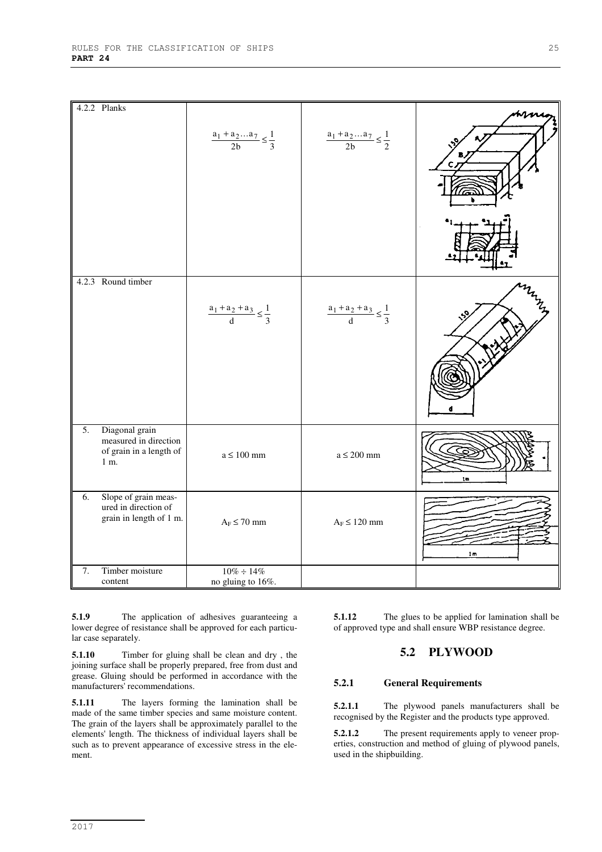|    | 4.2.2 Planks                                                               |                                                   |                                                   |    |
|----|----------------------------------------------------------------------------|---------------------------------------------------|---------------------------------------------------|----|
|    |                                                                            | $\frac{a_1 + a_2 \dots a_7}{2b} \leq \frac{1}{3}$ | $\frac{a_1 + a_2 \dots a_7}{2b} \leq \frac{1}{2}$ | С. |
|    | 4.2.3 Round timber                                                         | $\frac{a_1 + a_2 + a_3}{d} \leq \frac{1}{3}$      | $\frac{a_1 + a_2 + a_3}{d} \leq \frac{1}{3}$      |    |
| 5. | Diagonal grain<br>measured in direction<br>of grain in a length of<br>1 m. | $a\leq 100\;{\rm mm}$                             | $a \leq 200$ mm                                   | tm |
| 6. | Slope of grain meas-<br>ured in direction of<br>grain in length of 1 m.    | $A_F \leq 70~\text{mm}$                           | $A_F \leq 120~\text{mm}$                          | 1m |
| 7. | Timber moisture                                                            | $10\% \div 14\%$                                  |                                                   |    |
|    | content                                                                    | no gluing to 16%.                                 |                                                   |    |

**5.1.9** The application of adhesives guaranteeing a lower degree of resistance shall be approved for each particular case separately.

**5.1.10** Timber for gluing shall be clean and dry , the joining surface shall be properly prepared, free from dust and grease. Gluing should be performed in accordance with the manufacturers' recommendations.

**5.1.11** The layers forming the lamination shall be made of the same timber species and same moisture content. The grain of the layers shall be approximately parallel to the elements' length. The thickness of individual layers shall be such as to prevent appearance of excessive stress in the element.

**5.1.12** The glues to be applied for lamination shall be of approved type and shall ensure WBP resistance degree.

## **5.2 PLYWOOD**

#### **5.2.1 General Requirements**

**5.2.1.1** The plywood panels manufacturers shall be recognised by the Register and the products type approved.

**5.2.1.2** The present requirements apply to veneer properties, construction and method of gluing of plywood panels, used in the shipbuilding.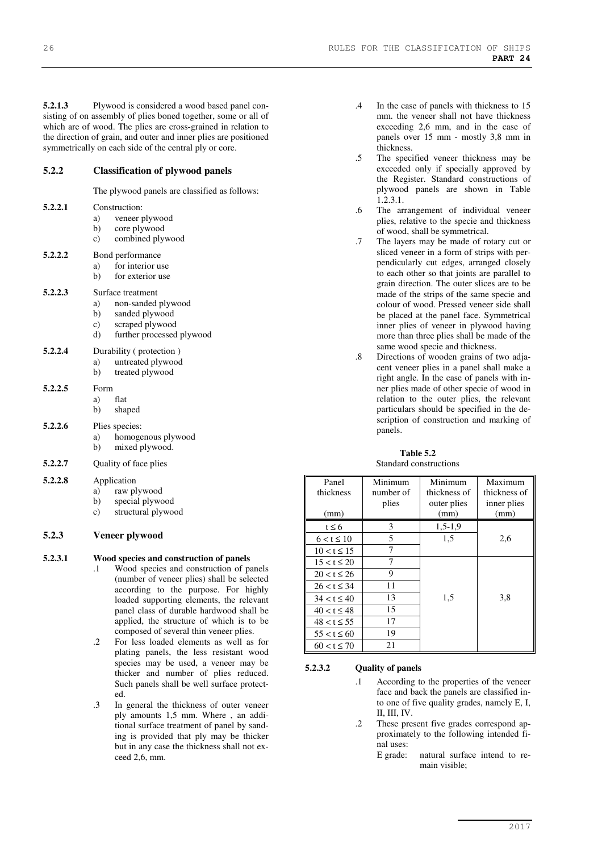**5.2.1.3** Plywood is considered a wood based panel consisting of on assembly of plies boned together, some or all of which are of wood. The plies are cross-grained in relation to the direction of grain, and outer and inner plies are positioned symmetrically on each side of the central ply or core.

#### **5.2.2 Classification of plywood panels**

The plywood panels are classified as follows:

| 5.2.2.1 | Construction:<br>veneer plywood<br>a)<br>core plywood<br>b)<br>combined plywood<br>c)                                             |
|---------|-----------------------------------------------------------------------------------------------------------------------------------|
| 5.2.2.2 | Bond performance<br>for interior use<br>a)<br>b)<br>for exterior use                                                              |
| 5.2.2.3 | Surface treatment<br>a)<br>non-sanded plywood<br>sanded plywood<br>b)<br>scraped plywood<br>c)<br>further processed plywood<br>d) |
| 5.2.2.4 | Durability (protection)<br>untreated plywood<br>a)<br>treated plywood<br>b)                                                       |
| 5.2.2.5 | Form<br>flat<br>a)<br>shaped<br>b)                                                                                                |
| 5.2.2.6 | Plies species:<br>homogenous plywood<br>a)<br>mixed plywood.<br>b)                                                                |
| 5.2.2.7 | Quality of face plies                                                                                                             |
| 5.2.2.8 | Application<br>raw plywood<br>a)<br>special plywood<br>b)<br>structural plywood<br>c)                                             |
|         |                                                                                                                                   |

## **5.2.3 Veneer plywood**

#### **5.2.3.1 Wood species and construction of panels**

- .1 Wood species and construction of panels (number of veneer plies) shall be selected according to the purpose. For highly loaded supporting elements, the relevant panel class of durable hardwood shall be applied, the structure of which is to be composed of several thin veneer plies.
- .2 For less loaded elements as well as for plating panels, the less resistant wood species may be used, a veneer may be thicker and number of plies reduced. Such panels shall be well surface protected.
- .3 In general the thickness of outer veneer ply amounts 1,5 mm. Where , an additional surface treatment of panel by sanding is provided that ply may be thicker but in any case the thickness shall not exceed 2,6, mm.
- .4 In the case of panels with thickness to 15 mm. the veneer shall not have thickness exceeding 2,6 mm, and in the case of panels over 15 mm - mostly 3,8 mm in thickness.
- .5 The specified veneer thickness may be exceeded only if specially approved by the Register. Standard constructions of plywood panels are shown in Table  $1.2.3.1.$
- .6 The arrangement of individual veneer plies, relative to the specie and thickness of wood, shall be symmetrical.
- .7 The layers may be made of rotary cut or sliced veneer in a form of strips with perpendicularly cut edges, arranged closely to each other so that joints are parallel to grain direction. The outer slices are to be made of the strips of the same specie and colour of wood. Pressed veneer side shall be placed at the panel face. Symmetrical inner plies of veneer in plywood having more than three plies shall be made of the same wood specie and thickness.
- .8 Directions of wooden grains of two adjacent veneer plies in a panel shall make a right angle. In the case of panels with inner plies made of other specie of wood in relation to the outer plies, the relevant particulars should be specified in the description of construction and marking of panels.

#### **Table 5.2**  Standard constructions

| Panel            | Minimum   | Minimum      | Maximum      |
|------------------|-----------|--------------|--------------|
| thickness        | number of | thickness of | thickness of |
|                  | plies     | outer plies  | inner plies  |
| (mm)             |           | (mm)         | (mm)         |
| $t \leq 6$       | 3         | $1,5-1,9$    |              |
| $6 < t \le 10$   | 5         | 1,5          | 2,6          |
| $10 < t \le 15$  | 7         |              |              |
| $15 < t \leq 20$ | 7         |              |              |
| $20 < t \le 26$  | 9         |              |              |
| $26 < t \leq 34$ | 11        |              |              |
| $34 < t \leq 40$ | 13        | 1,5          | 3,8          |
| $40 < t \leq 48$ | 15        |              |              |
| $48 < t \le 55$  | 17        |              |              |
| $55 < t \leq 60$ | 19        |              |              |
| $60 < t \leq 70$ | 21        |              |              |

#### **5.2.3.2 Quality of panels**

- .1 According to the properties of the veneer face and back the panels are classified into one of five quality grades, namely E, I, II, III, IV.
- .2 These present five grades correspond approximately to the following intended final uses:
	- E grade: natural surface intend to remain visible;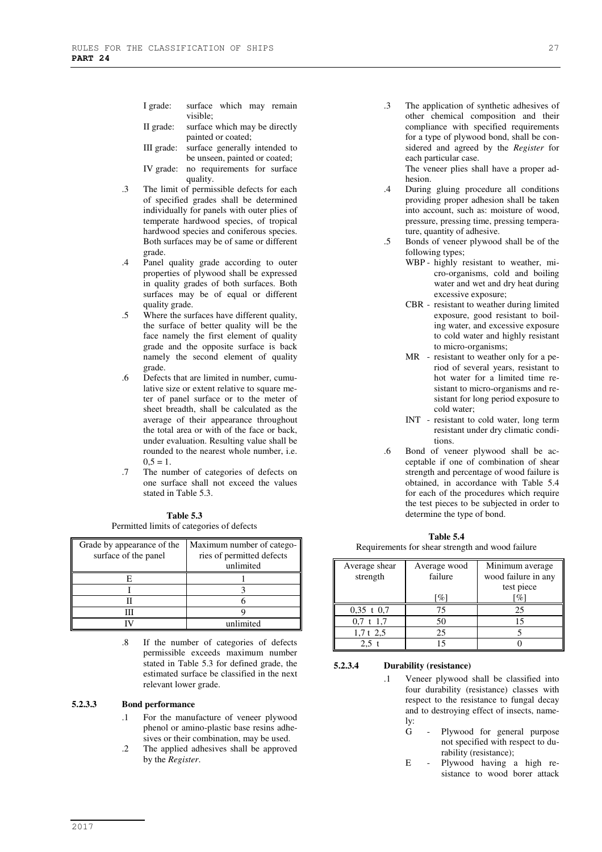- I grade: surface which may remain visible;
- II grade: surface which may be directly painted or coated;
- III grade: surface generally intended to be unseen, painted or coated;
- IV grade: no requirements for surface quality.
- .3 The limit of permissible defects for each of specified grades shall be determined individually for panels with outer plies of temperate hardwood species, of tropical hardwood species and coniferous species. Both surfaces may be of same or different grade.
- .4 Panel quality grade according to outer properties of plywood shall be expressed in quality grades of both surfaces. Both surfaces may be of equal or different quality grade.
- .5 Where the surfaces have different quality, the surface of better quality will be the face namely the first element of quality grade and the opposite surface is back namely the second element of quality grade.
- .6 Defects that are limited in number, cumulative size or extent relative to square meter of panel surface or to the meter of sheet breadth, shall be calculated as the average of their appearance throughout the total area or with of the face or back, under evaluation. Resulting value shall be rounded to the nearest whole number, i.e.  $0.5 = 1.$
- .7 The number of categories of defects on one surface shall not exceed the values stated in Table 5.3.

| Table 5.3                                 |
|-------------------------------------------|
| Permitted limits of categories of defects |

| Grade by appearance of the<br>surface of the panel | Maximum number of catego-<br>ries of permitted defects<br>unlimited |
|----------------------------------------------------|---------------------------------------------------------------------|
| н                                                  |                                                                     |
|                                                    |                                                                     |
|                                                    |                                                                     |
|                                                    |                                                                     |
|                                                    | unlimited                                                           |

.8 If the number of categories of defects permissible exceeds maximum number stated in Table 5.3 for defined grade, the estimated surface be classified in the next relevant lower grade.

#### **5.2.3.3 Bond performance**

- .1 For the manufacture of veneer plywood phenol or amino-plastic base resins adhesives or their combination, may be used.
- .2 The applied adhesives shall be approved by the *Register*.

.3 The application of synthetic adhesives of other chemical composition and their compliance with specified requirements for a type of plywood bond, shall be considered and agreed by the *Register* for each particular case.

The veneer plies shall have a proper adhesion.

- .4 During gluing procedure all conditions providing proper adhesion shall be taken into account, such as: moisture of wood, pressure, pressing time, pressing temperature, quantity of adhesive.
- .5 Bonds of veneer plywood shall be of the following types;
	- WBP highly resistant to weather, micro-organisms, cold and boiling water and wet and dry heat during excessive exposure;
	- CBR resistant to weather during limited exposure, good resistant to boiling water, and excessive exposure to cold water and highly resistant to micro-organisms;
	- MR resistant to weather only for a period of several years, resistant to hot water for a limited time resistant to micro-organisms and resistant for long period exposure to cold water;
	- INT resistant to cold water, long term resistant under dry climatic conditions.
- .6 Bond of veneer plywood shall be acceptable if one of combination of shear strength and percentage of wood failure is obtained, in accordance with Table 5.4 for each of the procedures which require the test pieces to be subjected in order to determine the type of bond.

#### **Table 5.4**

Requirements for shear strength and wood failure

| Average shear<br>strength | Average wood<br>failure | Minimum average<br>wood failure in any<br>test piece |
|---------------------------|-------------------------|------------------------------------------------------|
|                           | $\%$                    | $\lceil \% \rceil$                                   |
| $0.35$ t $0.7$            | 75                      | 25                                                   |
| 0.7 t 1.7                 | 50                      | 15                                                   |
| $1.7t$ 2.5                | 25                      |                                                      |
|                           |                         |                                                      |

#### **5.2.3.4 Durability (resistance)**

- .1 Veneer plywood shall be classified into four durability (resistance) classes with respect to the resistance to fungal decay and to destroying effect of insects, namely:
	- G Plywood for general purpose not specified with respect to durability (resistance);
	- E Plywood having a high resistance to wood borer attack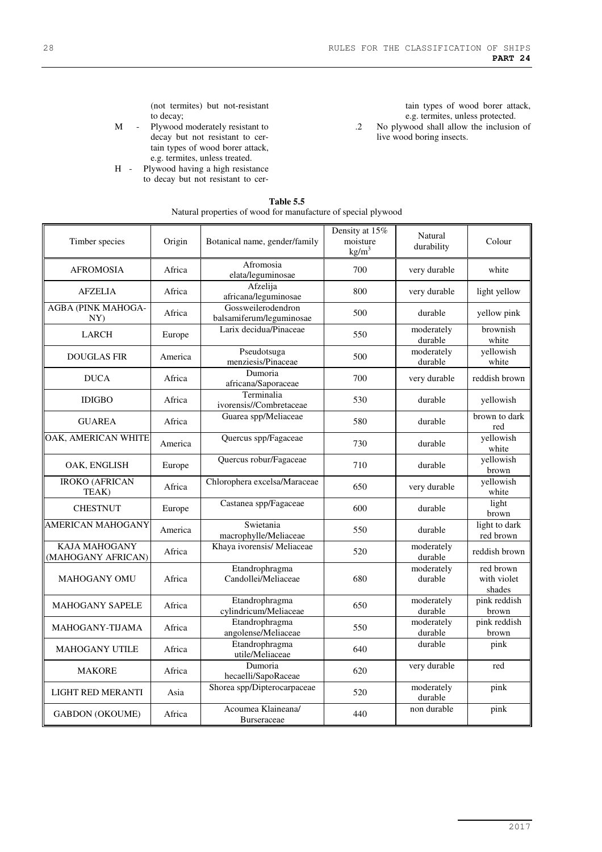(not termites) but not-resistant to decay;

- M Plywood moderately resistant to decay but not resistant to certain types of wood borer attack, e.g. termites, unless treated.
- H Plywood having a high resistance to decay but not resistant to cer-

tain types of wood borer attack, e.g. termites, unless protected.

.2 No plywood shall allow the inclusion of live wood boring insects.

| Timber species                             | Origin  | Botanical name, gender/family                  | Density at 15%<br>moisture<br>$\text{kg/m}^3$ | <b>Natural</b><br>durability | Colour                             |
|--------------------------------------------|---------|------------------------------------------------|-----------------------------------------------|------------------------------|------------------------------------|
| <b>AFROMOSIA</b>                           | Africa  | Afromosia<br>elata/leguminosae                 | 700                                           | very durable                 | white                              |
| <b>AFZELIA</b>                             | Africa  | Afzelija<br>africana/leguminosae               | 800                                           | very durable                 | light yellow                       |
| AGBA (PINK MAHOGA-<br>NY)                  | Africa  | Gossweilerodendron<br>balsamiferum/leguminosae | 500                                           | durable                      | yellow pink                        |
| <b>LARCH</b>                               | Europe  | Larix decidua/Pinaceae                         | 550                                           | moderately<br>durable        | brownish<br>white                  |
| <b>DOUGLAS FIR</b>                         | America | Pseudotsuga<br>menziesis/Pinaceae              | 500                                           | moderately<br>durable        | yellowish<br>white                 |
| <b>DUCA</b>                                | Africa  | Dumoria<br>africana/Saporaceae                 | 700                                           | very durable                 | reddish brown                      |
| <b>IDIGBO</b>                              | Africa  | Terminalia<br>ivorensis//Combretaceae          | 530                                           | durable                      | yellowish                          |
| <b>GUAREA</b>                              | Africa  | Guarea spp/Meliaceae                           | 580                                           | durable                      | brown to dark<br>red               |
| OAK, AMERICAN WHITE                        | America | Quercus spp/Fagaceae                           | 730                                           | durable                      | yellowish<br>white                 |
| OAK. ENGLISH                               | Europe  | Quercus robur/Fagaceae                         | 710                                           | durable                      | yellowish<br>brown                 |
| <b>IROKO (AFRICAN</b><br>TEAK)             | Africa  | Chlorophera excelsa/Maraceae                   | 650                                           | very durable                 | yellowish<br>white                 |
| <b>CHESTNUT</b>                            | Europe  | Castanea spp/Fagaceae                          | 600                                           | durable                      | light<br>brown                     |
| <b>AMERICAN MAHOGANY</b>                   | America | Swietania<br>macrophylle/Meliaceae             | 550                                           | durable                      | light to dark<br>red brown         |
| <b>KAJA MAHOGANY</b><br>(MAHOGANY AFRICAN) | Africa  | Khaya ivorensis/ Meliaceae                     | 520                                           | moderately<br>durable        | reddish brown                      |
| <b>MAHOGANY OMU</b>                        | Africa  | Etandrophragma<br>Candollei/Meliaceae          | 680                                           | moderately<br>durable        | red brown<br>with violet<br>shades |
| <b>MAHOGANY SAPELE</b>                     | Africa  | Etandrophragma<br>cylindricum/Meliaceae        | 650                                           | moderately<br>durable        | pink reddish<br>brown              |
| MAHOGANY-TIJAMA                            | Africa  | Etandrophragma<br>angolense/Meliaceae          | 550                                           | moderately<br>durable        | pink reddish<br>brown              |
| <b>MAHOGANY UTILE</b>                      | Africa  | Etandrophragma<br>utile/Meliaceae              | 640                                           | durable                      | pink                               |
| <b>MAKORE</b>                              | Africa  | Dumoria<br>hecaelli/SapoRaceae                 | 620                                           | very durable                 | red                                |
| <b>LIGHT RED MERANTI</b>                   | Asia    | Shorea spp/Dipterocarpaceae                    | 520                                           | moderately<br>durable        | pink                               |
| <b>GABDON (OKOUME)</b>                     | Africa  | Acoumea Klaineana/<br><b>Burseraceae</b>       | 440                                           | non durable                  | pink                               |

#### **Table 5.5**  Natural properties of wood for manufacture of special plywood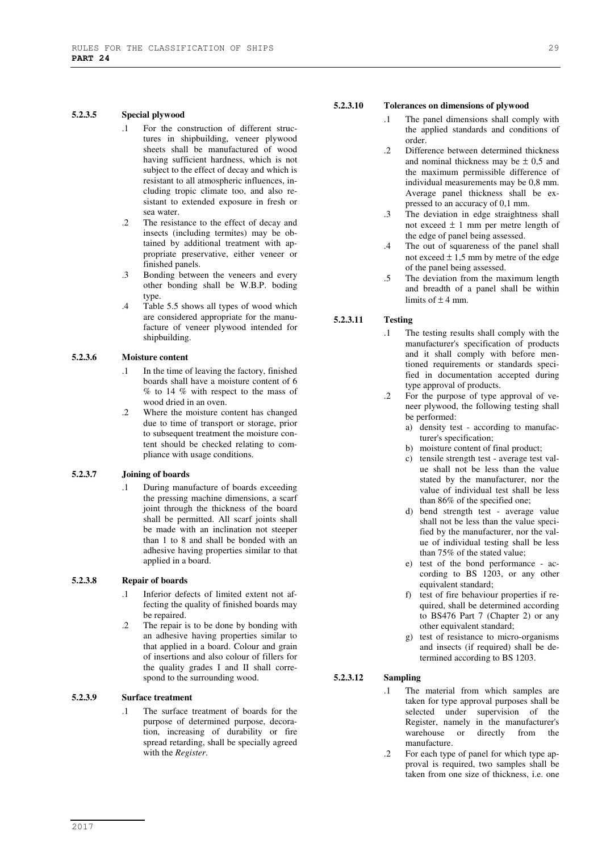#### **5.2.3.5 Special plywood**

- .1 For the construction of different structures in shipbuilding, veneer plywood sheets shall be manufactured of wood having sufficient hardness, which is not subject to the effect of decay and which is resistant to all atmospheric influences, including tropic climate too, and also resistant to extended exposure in fresh or sea water.
- .2 The resistance to the effect of decay and insects (including termites) may be obtained by additional treatment with appropriate preservative, either veneer or finished panels.
- .3 Bonding between the veneers and every other bonding shall be W.B.P. boding type.
- .4 Table 5.5 shows all types of wood which are considered appropriate for the manufacture of veneer plywood intended for shipbuilding.

#### **5.2.3.6 Moisture content**

- .1 In the time of leaving the factory, finished boards shall have a moisture content of 6 % to 14 % with respect to the mass of wood dried in an oven.
- .2 Where the moisture content has changed due to time of transport or storage, prior to subsequent treatment the moisture content should be checked relating to compliance with usage conditions.

#### **5.2.3.7 Joining of boards**

During manufacture of boards exceeding the pressing machine dimensions, a scarf joint through the thickness of the board shall be permitted. All scarf joints shall be made with an inclination not steeper than 1 to 8 and shall be bonded with an adhesive having properties similar to that applied in a board.

#### **5.2.3.8 Repair of boards**

- .1 Inferior defects of limited extent not affecting the quality of finished boards may be repaired.
- .2 The repair is to be done by bonding with an adhesive having properties similar to that applied in a board. Colour and grain of insertions and also colour of fillers for the quality grades I and II shall correspond to the surrounding wood.

### **5.2.3.9 Surface treatment**

.1 The surface treatment of boards for the purpose of determined purpose, decoration, increasing of durability or fire spread retarding, shall be specially agreed with the *Register*.

## **5.2.3.10 Tolerances on dimensions of plywood**

- The panel dimensions shall comply with the applied standards and conditions of order.
- .2 Difference between determined thickness and nominal thickness may be  $\pm$  0,5 and the maximum permissible difference of individual measurements may be 0,8 mm. Average panel thickness shall be expressed to an accuracy of 0,1 mm.
- .3 The deviation in edge straightness shall not exceed ± 1 mm per metre length of the edge of panel being assessed.
- .4 The out of squareness of the panel shall not exceed  $\pm$  1,5 mm by metre of the edge of the panel being assessed.
- .5 The deviation from the maximum length and breadth of a panel shall be within limits of  $\pm$  4 mm.

## **5.2.3.11 Testing**

- .1 The testing results shall comply with the manufacturer's specification of products and it shall comply with before mentioned requirements or standards specified in documentation accepted during type approval of products.
- .2 For the purpose of type approval of veneer plywood, the following testing shall be performed:
	- a) density test according to manufacturer's specification;
	- b) moisture content of final product;
	- c) tensile strength test average test value shall not be less than the value stated by the manufacturer, nor the value of individual test shall be less than 86% of the specified one;
	- d) bend strength test average value shall not be less than the value specified by the manufacturer, nor the value of individual testing shall be less than 75% of the stated value;
	- e) test of the bond performance according to BS  $1203$ , or any other equivalent standard;
	- f) test of fire behaviour properties if required, shall be determined according to BS476 Part 7 (Chapter 2) or any other equivalent standard;
	- g) test of resistance to micro-organisms and insects (if required) shall be determined according to BS 1203.

#### **5.2.3.12 Sampling**

- .1 The material from which samples are taken for type approval purposes shall be selected under supervision of the Register, namely in the manufacturer's warehouse or directly from the manufacture.
- .2 For each type of panel for which type approval is required, two samples shall be taken from one size of thickness, i.e. one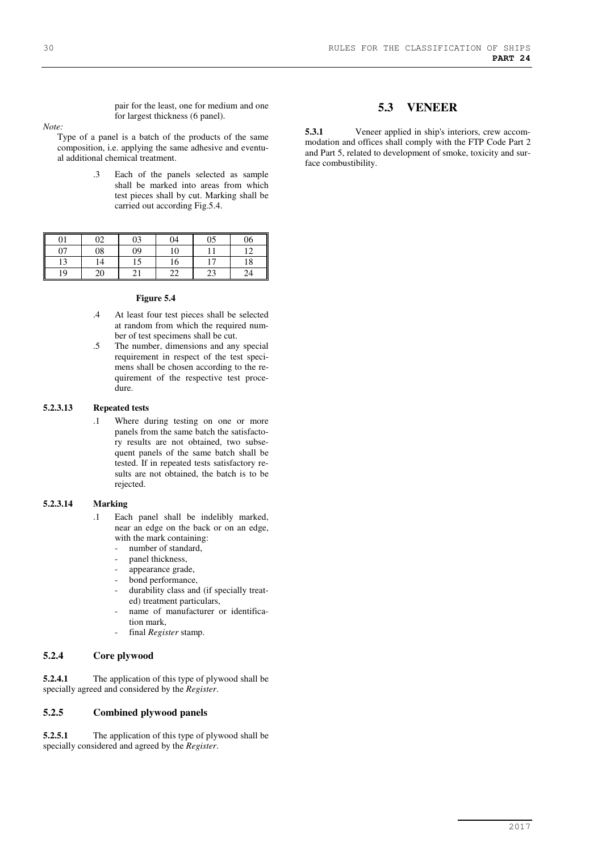pair for the least, one for medium and one for largest thickness (6 panel).

*Note:* 

Type of a panel is a batch of the products of the same composition, i.e. applying the same adhesive and eventual additional chemical treatment.

> .3 Each of the panels selected as sample shall be marked into areas from which test pieces shall by cut. Marking shall be carried out according Fig.5.4.

| 01       | ∩ว | 03 | 04       | 05    | 06          |
|----------|----|----|----------|-------|-------------|
| 07       | 08 | 09 | 10       |       | $1^{\circ}$ |
| 12<br>IJ | 14 |    | 16       | $1 -$ | 18          |
| II<br>19 | 20 |    | າາ<br>∠∠ | 23    | 24          |

#### **Figure 5.4**

- .4 At least four test pieces shall be selected at random from which the required number of test specimens shall be cut.
- .5 The number, dimensions and any special requirement in respect of the test specimens shall be chosen according to the requirement of the respective test procedure.

#### **5.2.3.13 Repeated tests**

.1 Where during testing on one or more panels from the same batch the satisfactory results are not obtained, two subsequent panels of the same batch shall be tested. If in repeated tests satisfactory results are not obtained, the batch is to be rejected.

#### **5.2.3.14 Marking**

- .1 Each panel shall be indelibly marked, near an edge on the back or on an edge, with the mark containing:
	- number of standard,
	- panel thickness,
	- appearance grade,
	- bond performance,
	- durability class and (if specially treated) treatment particulars,
	- name of manufacturer or identification mark,
	- final *Register* stamp.

#### **5.2.4 Core plywood**

**5.2.4.1** The application of this type of plywood shall be specially agreed and considered by the *Register*.

#### **5.2.5 Combined plywood panels**

**5.2.5.1** The application of this type of plywood shall be specially considered and agreed by the *Register*.

## **5.3 VENEER**

**5.3.1** Veneer applied in ship's interiors, crew accommodation and offices shall comply with the FTP Code Part 2 and Part 5, related to development of smoke, toxicity and surface combustibility.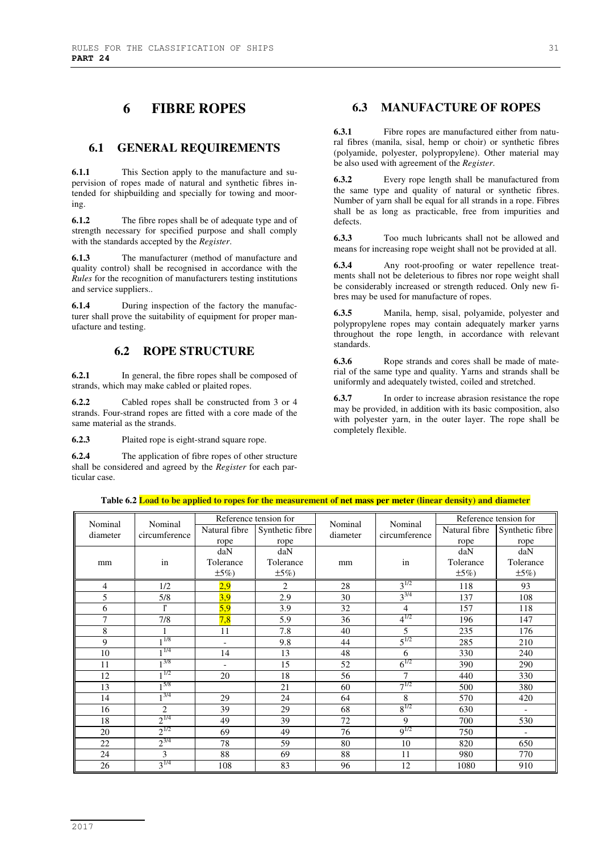# **6 FIBRE ROPES**

## **6.1 GENERAL REQUIREMENTS**

**6.1.1** This Section apply to the manufacture and supervision of ropes made of natural and synthetic fibres intended for shipbuilding and specially for towing and mooring.

**6.1.2** The fibre ropes shall be of adequate type and of strength necessary for specified purpose and shall comply with the standards accepted by the *Register*.

**6.1.3** The manufacturer (method of manufacture and quality control) shall be recognised in accordance with the *Rules* for the recognition of manufacturers testing institutions and service suppliers..

**6.1.4** During inspection of the factory the manufacturer shall prove the suitability of equipment for proper manufacture and testing.

## **6.2 ROPE STRUCTURE**

**6.2.1** In general, the fibre ropes shall be composed of strands, which may make cabled or plaited ropes.

**6.2.2** Cabled ropes shall be constructed from 3 or 4 strands. Four-strand ropes are fitted with a core made of the same material as the strands.

**6.2.3** Plaited rope is eight-strand square rope.

**6.2.4** The application of fibre ropes of other structure shall be considered and agreed by the *Register* for each particular case.

## **6.3 MANUFACTURE OF ROPES**

**6.3.1** Fibre ropes are manufactured either from natural fibres (manila, sisal, hemp or choir) or synthetic fibres (polyamide, polyester, polypropylene). Other material may be also used with agreement of the *Register*.

**6.3.2** Every rope length shall be manufactured from the same type and quality of natural or synthetic fibres. Number of yarn shall be equal for all strands in a rope. Fibres shall be as long as practicable, free from impurities and defects.

**6.3.3** Too much lubricants shall not be allowed and means for increasing rope weight shall not be provided at all.

**6.3.4** Any root-proofing or water repellence treatments shall not be deleterious to fibres nor rope weight shall be considerably increased or strength reduced. Only new fibres may be used for manufacture of ropes.

**6.3.5** Manila, hemp, sisal, polyamide, polyester and polypropylene ropes may contain adequately marker yarns throughout the rope length, in accordance with relevant standards.

**6.3.6** Rope strands and cores shall be made of material of the same type and quality. Yarns and strands shall be uniformly and adequately twisted, coiled and stretched.

**6.3.7** In order to increase abrasion resistance the rope may be provided, in addition with its basic composition, also with polyester yarn, in the outer layer. The rope shall be completely flexible.

|                     | Reference tension for<br>Nominal |                          | Nominal         |          |                          | Reference tension for |                          |
|---------------------|----------------------------------|--------------------------|-----------------|----------|--------------------------|-----------------------|--------------------------|
| Nominal<br>diameter | circumference                    | Natural fibre            | Synthetic fibre | diameter | Nominal<br>circumference | Natural fibre         | Synthetic fibre          |
|                     |                                  | rope                     | rope            |          |                          | rope                  | rope                     |
|                     |                                  | daN                      | daN             |          |                          | daN                   | daN                      |
| mm                  | in                               | Tolerance                | Tolerance       | mm       | in                       | Tolerance             | Tolerance                |
|                     |                                  | $\pm 5\%$                | $\pm 5\%)$      |          |                          | $\pm 5\%$             | $\pm 5\%$                |
| 4                   | 1/2                              | 2,9                      | $\overline{2}$  | 28       | $3^{1/2}$                | 118                   | 93                       |
| 5                   | 5/8                              | 3,9                      | 2.9             | 30       | $3^{3/4}$                | 137                   | 108                      |
| 6                   | ľ                                | 5,9                      | 3.9             | 32       | $\overline{4}$           | 157                   | 118                      |
| 7                   | 7/8                              | 7,8                      | 5.9             | 36       | $4^{1/2}$                | 196                   | 147                      |
| 8                   | 1                                | 11                       | 7.8             | 40       | 5                        | 235                   | 176                      |
| 9                   | 11/8                             | $\blacksquare$           | 9.8             | 44       | $5^{1/2}$                | 285                   | 210                      |
| 10                  | 1/4                              | 14                       | 13              | 48       | 6                        | 330                   | 240                      |
| 11                  | 3/8                              | $\overline{\phantom{a}}$ | 15              | 52       | $6^{1/2}$                | 390                   | 290                      |
| 12                  | 1/2                              | 20                       | 18              | 56       | 7                        | 440                   | 330                      |
| 13                  | 15/8                             |                          | 21              | 60       | $7^{1/2}$                | 500                   | 380                      |
| 14                  | $1^{3/4}$                        | 29                       | 24              | 64       | 8                        | 570                   | 420                      |
| 16                  | $\mathfrak{D}$                   | 39                       | 29              | 68       | $8^{1/2}$                | 630                   | $\overline{\phantom{a}}$ |
| 18                  | $2^{1/4}$                        | 49                       | 39              | 72       | 9                        | 700                   | 530                      |
| 20                  | $2^{1/2}$                        | 69                       | 49              | 76       | $9^{1/2}$                | 750                   | $\overline{a}$           |
| 22                  | $2^{3/4}$                        | 78                       | 59              | 80       | 10                       | 820                   | 650                      |
| 24                  | 3                                | 88                       | 69              | 88       | 11                       | 980                   | 770                      |
| 26                  | $3^{1/4}$                        | 108                      | 83              | 96       | 12                       | 1080                  | 910                      |

#### **Table 6.2 Load to be applied to ropes for the measurement of net mass per meter (linear density) and diameter**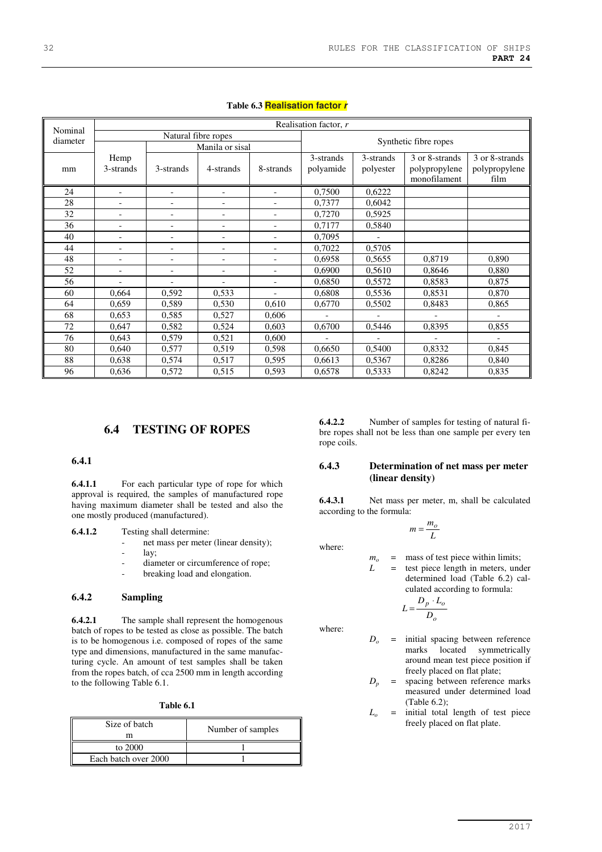|                     |                          | Realisation factor, r    |                          |                          |                        |                        |                                                 |                                         |  |
|---------------------|--------------------------|--------------------------|--------------------------|--------------------------|------------------------|------------------------|-------------------------------------------------|-----------------------------------------|--|
| Nominal<br>diameter |                          | Natural fibre ropes      |                          |                          |                        | Synthetic fibre ropes  |                                                 |                                         |  |
|                     |                          |                          | Manila or sisal          |                          |                        |                        |                                                 |                                         |  |
| mm                  | Hemp<br>3-strands        | 3-strands                | 4-strands                | 8-strands                | 3-strands<br>polyamide | 3-strands<br>polyester | 3 or 8-strands<br>polypropylene<br>monofilament | 3 or 8-strands<br>polypropylene<br>film |  |
| 24                  |                          |                          |                          |                          | 0,7500                 | 0,6222                 |                                                 |                                         |  |
| 28                  |                          | $\overline{\phantom{a}}$ |                          |                          | 0,7377                 | 0,6042                 |                                                 |                                         |  |
| 32                  | ۰                        | $\overline{\phantom{a}}$ | $\overline{\phantom{0}}$ |                          | 0,7270                 | 0,5925                 |                                                 |                                         |  |
| 36                  | $\overline{\phantom{a}}$ | $\overline{\phantom{0}}$ | $\overline{\phantom{a}}$ | $\overline{\phantom{0}}$ | 0,7177                 | 0,5840                 |                                                 |                                         |  |
| 40                  | $\blacksquare$           | $\overline{\phantom{a}}$ | $\overline{\phantom{0}}$ |                          | 0,7095                 |                        |                                                 |                                         |  |
| 44                  |                          | $\overline{\phantom{a}}$ |                          |                          | 0,7022                 | 0,5705                 |                                                 |                                         |  |
| 48                  | -                        | -                        | $\overline{\phantom{0}}$ | $\overline{\phantom{0}}$ | 0,6958                 | 0,5655                 | 0,8719                                          | 0,890                                   |  |
| 52                  | $\overline{a}$           | $\overline{\phantom{a}}$ | $\overline{\phantom{a}}$ |                          | 0,6900                 | 0,5610                 | 0,8646                                          | 0,880                                   |  |
| 56                  | $\blacksquare$           | $\blacksquare$           | $\overline{\phantom{a}}$ | $\blacksquare$           | 0,6850                 | 0,5572                 | 0,8583                                          | 0,875                                   |  |
| 60                  | 0,664                    | 0,592                    | 0,533                    | $\overline{\phantom{0}}$ | 0,6808                 | 0,5536                 | 0,8531                                          | 0,870                                   |  |
| 64                  | 0,659                    | 0,589                    | 0,530                    | 0,610                    | 0,6770                 | 0,5502                 | 0,8483                                          | 0,865                                   |  |
| 68                  | 0,653                    | 0,585                    | 0,527                    | 0,606                    |                        |                        |                                                 |                                         |  |
| 72                  | 0,647                    | 0,582                    | 0,524                    | 0,603                    | 0,6700                 | 0,5446                 | 0,8395                                          | 0,855                                   |  |
| 76                  | 0,643                    | 0,579                    | 0,521                    | 0,600                    |                        |                        |                                                 |                                         |  |
| 80                  | 0,640                    | 0,577                    | 0,519                    | 0,598                    | 0,6650                 | 0,5400                 | 0,8332                                          | 0,845                                   |  |
| 88                  | 0,638                    | 0,574                    | 0,517                    | 0,595                    | 0,6613                 | 0,5367                 | 0,8286                                          | 0,840                                   |  |
| 96                  | 0,636                    | 0,572                    | 0,515                    | 0,593                    | 0,6578                 | 0,5333                 | 0,8242                                          | 0,835                                   |  |

#### **Table 6.3 Realisation factor r**

## **6.4 TESTING OF ROPES**

#### **6.4.1**

**6.4.1.1** For each particular type of rope for which approval is required, the samples of manufactured rope having maximum diameter shall be tested and also the one mostly produced (manufactured).

**6.4.1.2** Testing shall determine:

- net mass per meter (linear density);
- lay;
	- diameter or circumference of rope;
	- breaking load and elongation.

#### **6.4.2 Sampling**

**6.4.2.1** The sample shall represent the homogenous batch of ropes to be tested as close as possible. The batch is to be homogenous i.e. composed of ropes of the same type and dimensions, manufactured in the same manufacturing cycle. An amount of test samples shall be taken from the ropes batch, of cca 2500 mm in length according to the following Table 6.1.

| Table 6.1 |  |
|-----------|--|
|-----------|--|

| Size of batch<br>m   | Number of samples |
|----------------------|-------------------|
| to 2000              |                   |
| Each batch over 2000 |                   |

**6.4.2.2** Number of samples for testing of natural fibre ropes shall not be less than one sample per every ten rope coils.

#### **6.4.3 Determination of net mass per meter (linear density)**

**6.4.3.1** Net mass per meter, m, shall be calculated according to the formula:

$$
m = \frac{m_o}{L}
$$

where:

where:

- *mo* = mass of test piece within limits;
	- $=$  test piece length in meters, under determined load (Table 6.2) calculated according to formula:

$$
L = \frac{D_p \cdot L_o}{D_o}
$$

*Do* = initial spacing between reference marks located symmetrically around mean test piece position if freely placed on flat plate;

- $D_p$  = spacing between reference marks measured under determined load (Table 6.2);
- *Lo* = initial total length of test piece freely placed on flat plate.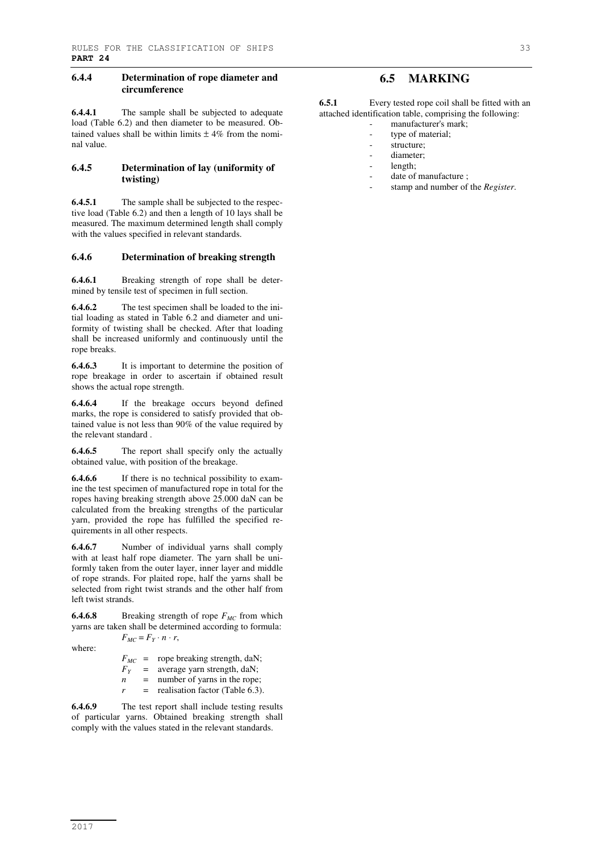#### **6.4.4 Determination of rope diameter and circumference**

**6.4.4.1** The sample shall be subjected to adequate load (Table 6.2) and then diameter to be measured. Obtained values shall be within limits  $\pm$  4% from the nominal value.

#### **6.4.5 Determination of lay (uniformity of twisting)**

**6.4.5.1** The sample shall be subjected to the respective load (Table 6.2) and then a length of 10 lays shall be measured. The maximum determined length shall comply with the values specified in relevant standards.

#### **6.4.6 Determination of breaking strength**

**6.4.6.1** Breaking strength of rope shall be determined by tensile test of specimen in full section.

**6.4.6.2** The test specimen shall be loaded to the initial loading as stated in Table 6.2 and diameter and uniformity of twisting shall be checked. After that loading shall be increased uniformly and continuously until the rope breaks.

**6.4.6.3** It is important to determine the position of rope breakage in order to ascertain if obtained result shows the actual rope strength.

**6.4.6.4** If the breakage occurs beyond defined marks, the rope is considered to satisfy provided that obtained value is not less than 90% of the value required by the relevant standard .

**6.4.6.5** The report shall specify only the actually obtained value, with position of the breakage.

**6.4.6.6** If there is no technical possibility to examine the test specimen of manufactured rope in total for the ropes having breaking strength above 25.000 daN can be calculated from the breaking strengths of the particular yarn, provided the rope has fulfilled the specified requirements in all other respects.

**6.4.6.7** Number of individual yarns shall comply with at least half rope diameter. The yarn shall be uniformly taken from the outer layer, inner layer and middle of rope strands. For plaited rope, half the yarns shall be selected from right twist strands and the other half from left twist strands.

**6.4.6.8** Breaking strength of rope *FMC* from which yarns are taken shall be determined according to formula:  $F_{MC} = F_Y \cdot n \cdot r$ ,

where:

| $F_{MC}$ = |     | rope breaking strength, daN; |
|------------|-----|------------------------------|
| $F_Y$      | $=$ | average yarn strength, daN;  |

*n* = number of yarns in the rope;  $r =$  realisation factor (Table 6.3).

**6.4.6.9** The test report shall include testing results of particular yarns. Obtained breaking strength shall comply with the values stated in the relevant standards.

## **6.5 MARKING**

**6.5.1** Every tested rope coil shall be fitted with an attached identification table, comprising the following:

- manufacturer's mark;
- type of material;
- structure;
- diameter;
- length;
- date of manufacture :
- stamp and number of the *Register*.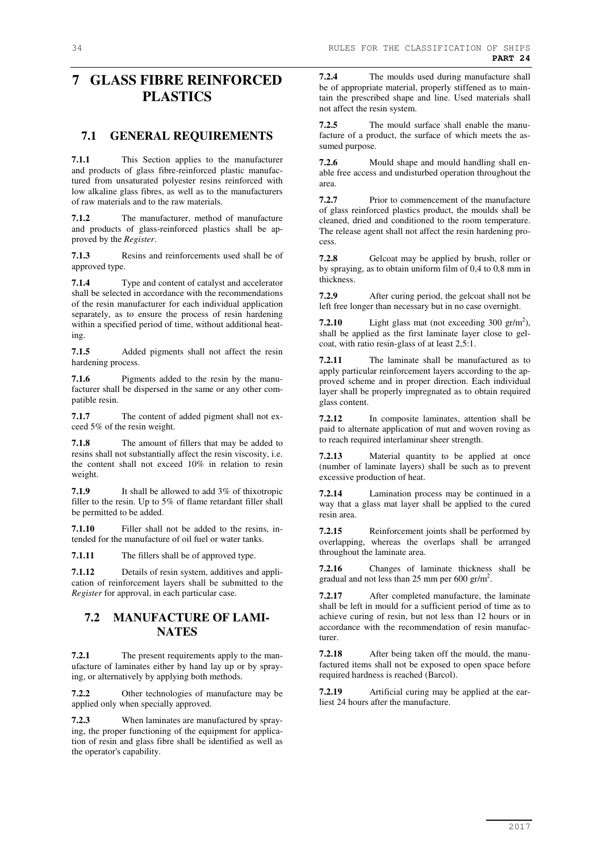# **7 GLASS FIBRE REINFORCED PLASTICS**

## **7.1 GENERAL REQUIREMENTS**

**7.1.1** This Section applies to the manufacturer and products of glass fibre-reinforced plastic manufactured from unsaturated polyester resins reinforced with low alkaline glass fibres, as well as to the manufacturers of raw materials and to the raw materials.

**7.1.2** The manufacturer, method of manufacture and products of glass-reinforced plastics shall be approved by the *Register*.

**7.1.3** Resins and reinforcements used shall be of approved type.

**7.1.4** Type and content of catalyst and accelerator shall be selected in accordance with the recommendations of the resin manufacturer for each individual application separately, as to ensure the process of resin hardening within a specified period of time, without additional heating.

**7.1.5** Added pigments shall not affect the resin hardening process.

**7.1.6** Pigments added to the resin by the manufacturer shall be dispersed in the same or any other compatible resin.

**7.1.7** The content of added pigment shall not exceed 5% of the resin weight.

**7.1.8** The amount of fillers that may be added to resins shall not substantially affect the resin viscosity, i.e. the content shall not exceed 10% in relation to resin weight.

**7.1.9** It shall be allowed to add 3% of thixotropic filler to the resin. Up to 5% of flame retardant filler shall be permitted to be added.

**7.1.10** Filler shall not be added to the resins, intended for the manufacture of oil fuel or water tanks.

**7.1.11** The fillers shall be of approved type.

**7.1.12** Details of resin system, additives and application of reinforcement layers shall be submitted to the *Register* for approval, in each particular case.

## **7.2 MANUFACTURE OF LAMI-NATES**

**7.2.1** The present requirements apply to the manufacture of laminates either by hand lay up or by spraying, or alternatively by applying both methods.

**7.2.2** Other technologies of manufacture may be applied only when specially approved.

**7.2.3** When laminates are manufactured by spraying, the proper functioning of the equipment for application of resin and glass fibre shall be identified as well as the operator's capability.

**7.2.4** The moulds used during manufacture shall be of appropriate material, properly stiffened as to maintain the prescribed shape and line. Used materials shall not affect the resin system.

**7.2.5** The mould surface shall enable the manufacture of a product, the surface of which meets the assumed purpose.

**7.2.6** Mould shape and mould handling shall enable free access and undisturbed operation throughout the area.

**7.2.7** Prior to commencement of the manufacture of glass reinforced plastics product, the moulds shall be cleaned, dried and conditioned to the room temperature. The release agent shall not affect the resin hardening process.

**7.2.8** Gelcoat may be applied by brush, roller or by spraying, as to obtain uniform film of 0,4 to 0,8 mm in thickness.

**7.2.9** After curing period, the gelcoat shall not be left free longer than necessary but in no case overnight.

**7.2.10** Light glass mat (not exceeding  $300 \text{ gr/m}^2$ ), shall be applied as the first laminate layer close to gelcoat, with ratio resin-glass of at least 2,5:1.

**7.2.11** The laminate shall be manufactured as to apply particular reinforcement layers according to the approved scheme and in proper direction. Each individual layer shall be properly impregnated as to obtain required glass content.

**7.2.12** In composite laminates, attention shall be paid to alternate application of mat and woven roving as to reach required interlaminar sheer strength.

**7.2.13** Material quantity to be applied at once (number of laminate layers) shall be such as to prevent excessive production of heat.

**7.2.14** Lamination process may be continued in a way that a glass mat layer shall be applied to the cured resin area.

**7.2.15** Reinforcement joints shall be performed by overlapping, whereas the overlaps shall be arranged throughout the laminate area.

**7.2.16** Changes of laminate thickness shall be gradual and not less than 25 mm per  $600 \text{ gr/m}^2$ .

**7.2.17** After completed manufacture, the laminate shall be left in mould for a sufficient period of time as to achieve curing of resin, but not less than 12 hours or in accordance with the recommendation of resin manufacturer.

**7.2.18** After being taken off the mould, the manufactured items shall not be exposed to open space before required hardness is reached (Barcol).

**7.2.19** Artificial curing may be applied at the earliest 24 hours after the manufacture.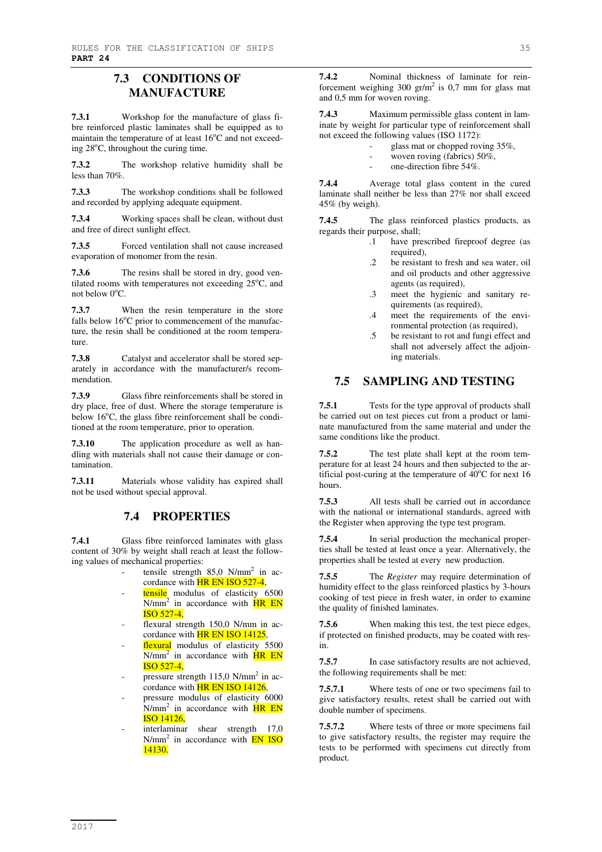## **7.3 CONDITIONS OF MANUFACTURE**

**7.3.1** Workshop for the manufacture of glass fibre reinforced plastic laminates shall be equipped as to maintain the temperature of at least  $16^{\circ}$ C and not exceeding 28<sup>o</sup>C, throughout the curing time.

**7.3.2** The workshop relative humidity shall be less than 70%.

**7.3.3** The workshop conditions shall be followed and recorded by applying adequate equipment.

**7.3.4** Working spaces shall be clean, without dust and free of direct sunlight effect.

**7.3.5** Forced ventilation shall not cause increased evaporation of monomer from the resin.

**7.3.6** The resins shall be stored in dry, good ventilated rooms with temperatures not exceeding  $25^{\circ}$ C, and not below  $0^{\circ}C$ .

**7.3.7** When the resin temperature in the store falls below  $16^{\circ}$ C prior to commencement of the manufacture, the resin shall be conditioned at the room temperature.

**7.3.8** Catalyst and accelerator shall be stored separately in accordance with the manufacturer/s recommendation.

**7.3.9** Glass fibre reinforcements shall be stored in dry place, free of dust. Where the storage temperature is below  $16^{\circ}$ C, the glass fibre reinforcement shall be conditioned at the room temperature, prior to operation.

**7.3.10** The application procedure as well as handling with materials shall not cause their damage or contamination.

**7.3.11** Materials whose validity has expired shall not be used without special approval.

## **7.4 PROPERTIES**

**7.4.1** Glass fibre reinforced laminates with glass content of 30% by weight shall reach at least the following values of mechanical properties:

- tensile strength  $85,0$  N/mm<sup>2</sup> in accordance with **HR EN ISO 527-4**,
- tensile modulus of elasticity 6500  $N/mm^2$  in accordance with  $HR EN$ ISO 527-4,
- flexural strength 150,0 N/mm in accordance with **HR EN ISO 14125**,
- flexural modulus of elasticity 5500  $N/mm^2$  in accordance with  $HR EN$ ISO 527-4,
- pressure strength 115,0 N/mm<sup>2</sup> in accordance with **HR EN ISO 14126**,
- pressure modulus of elasticity 6000 N/mm<sup>2</sup> in accordance with **HR EN** ISO 14126,
- interlaminar shear strength 17,0  $N/mm^2$  in accordance with  $\overline{EN}$  ISO 14130.

**7.4.2** Nominal thickness of laminate for reinforcement weighing  $300 \text{ gr/m}^2$  is 0,7 mm for glass mat and 0,5 mm for woven roving.

**7.4.3** Maximum permissible glass content in laminate by weight for particular type of reinforcement shall not exceed the following values (ISO 1172):

- glass mat or chopped roving 35%,
- woven roving (fabrics) 50%,
- one-direction fibre 54%.

**7.4.4** Average total glass content in the cured laminate shall neither be less than 27% nor shall exceed 45% (by weigh).

**7.4.5** The glass reinforced plastics products, as regards their purpose, shall;

- .1 have prescribed fireproof degree (as required),
- .2 be resistant to fresh and sea water, oil and oil products and other aggressive agents (as required),
- .3 meet the hygienic and sanitary requirements (as required),
- .4 meet the requirements of the environmental protection (as required),
- .5 be resistant to rot and fungi effect and shall not adversely affect the adjoining materials.

## **7.5 SAMPLING AND TESTING**

**7.5.1** Tests for the type approval of products shall be carried out on test pieces cut from a product or laminate manufactured from the same material and under the same conditions like the product.

**7.5.2** The test plate shall kept at the room temperature for at least 24 hours and then subjected to the artificial post-curing at the temperature of  $40^{\circ}$ C for next 16 hours.

**7.5.3** All tests shall be carried out in accordance with the national or international standards, agreed with the Register when approving the type test program.

**7.5.4** In serial production the mechanical properties shall be tested at least once a year. Alternatively, the properties shall be tested at every new production.

**7.5.5** The *Register* may require determination of humidity effect to the glass reinforced plastics by 3-hours cooking of test piece in fresh water, in order to examine the quality of finished laminates.

**7.5.6** When making this test, the test piece edges, if protected on finished products, may be coated with resin.

**7.5.7** In case satisfactory results are not achieved, the following requirements shall be met:

**7.5.7.1** Where tests of one or two specimens fail to give satisfactory results, retest shall be carried out with double number of specimens.

**7.5.7.2** Where tests of three or more specimens fail to give satisfactory results, the register may require the tests to be performed with specimens cut directly from product.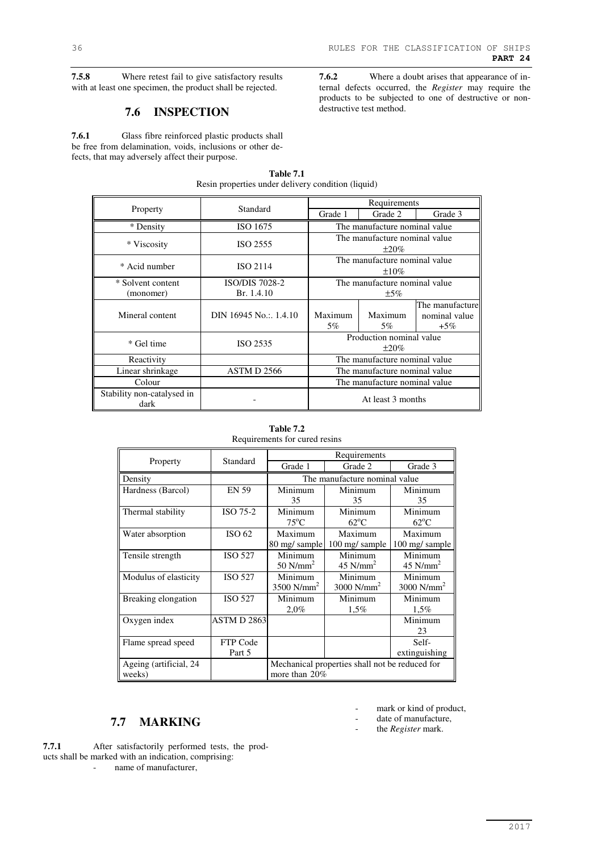**7.5.8** Where retest fail to give satisfactory results with at least one specimen, the product shall be rejected.

## **7.6 INSPECTION**

**7.6.1** Glass fibre reinforced plastic products shall be free from delamination, voids, inclusions or other defects, that may adversely affect their purpose.

**7.6.2** Where a doubt arises that appearance of internal defects occurred, the *Register* may require the products to be subjected to one of destructive or nondestructive test method.

|                            |                       |                               | Requirements                  |                 |  |
|----------------------------|-----------------------|-------------------------------|-------------------------------|-----------------|--|
| Property                   | Standard              | Grade 1                       | Grade 2                       | Grade 3         |  |
| * Density                  | ISO 1675              |                               | The manufacture nominal value |                 |  |
| * Viscosity                | ISO 2555              |                               | The manufacture nominal value |                 |  |
|                            |                       |                               | $\pm 20\%$                    |                 |  |
| * Acid number              | ISO 2114              |                               | The manufacture nominal value |                 |  |
|                            |                       |                               | $\pm 10\%$                    |                 |  |
| * Solvent content          | <b>ISO/DIS 7028-2</b> | The manufacture nominal value |                               |                 |  |
| (monomer)                  | Br. 1.4.10            | $\pm$ 5%                      |                               |                 |  |
|                            |                       |                               |                               | The manufacture |  |
| Mineral content            | DIN 16945 No.: 1.4.10 | Maximum                       | Maximum                       | nominal value   |  |
|                            |                       | 5%                            | 5%                            | $+5\%$          |  |
| * Gel time                 | ISO 2535              | Production nominal value      |                               |                 |  |
|                            |                       | $\pm 20\%$                    |                               |                 |  |
| Reactivity                 |                       | The manufacture nominal value |                               |                 |  |
| Linear shrinkage           | ASTM D 2566           | The manufacture nominal value |                               |                 |  |
| Colour                     |                       | The manufacture nominal value |                               |                 |  |
| Stability non-catalysed in |                       |                               |                               |                 |  |
| dark                       |                       |                               | At least 3 months             |                 |  |

**Table 7.1**  Resin properties under delivery condition (liquid)

|          | Requirements for cured resins |                       |         |  |
|----------|-------------------------------|-----------------------|---------|--|
|          | Standard                      | Requirements          |         |  |
| Property |                               | Grade 1               | Grade 2 |  |
|          |                               | The manufacture nomin |         |  |

**Table 7.2** 

| 1 IUPULY               | oumuu              | Grade 1                                        | Grade 2                       | Grade 3                  |  |
|------------------------|--------------------|------------------------------------------------|-------------------------------|--------------------------|--|
| Density                |                    |                                                | The manufacture nominal value |                          |  |
| Hardness (Barcol)      | <b>EN 59</b>       | Minimum                                        | Minimum                       | Minimum                  |  |
|                        |                    | 35                                             | 35                            | 35                       |  |
| Thermal stability      | ISO 75-2           | Minimum                                        | Minimum                       | Minimum                  |  |
|                        |                    | $75^{\circ}$ C                                 | $62^{\circ}$ C                | $62^{\circ}$ C           |  |
| Water absorption       | ISO 62             | Maximum                                        | Maximum                       | Maximum                  |  |
|                        |                    | 80 mg/sample                                   | 100 mg/ sample                | 100 mg/ sample           |  |
| Tensile strength       | <b>ISO 527</b>     | Minimum                                        | Minimum                       | Minimum                  |  |
|                        |                    | 50 $N/mm2$                                     | 45 $N/mm2$                    | 45 $N/mm2$               |  |
| Modulus of elasticity  | <b>ISO 527</b>     | Minimum                                        | Minimum                       | Minimum                  |  |
|                        |                    | $3500$ N/mm <sup>2</sup>                       | $3000$ N/mm <sup>2</sup>      | $3000$ N/mm <sup>2</sup> |  |
| Breaking elongation    | <b>ISO 527</b>     | Minimum                                        | Minimum                       | Minimum                  |  |
|                        |                    | $2,0\%$                                        | 1,5%                          | $1,5\%$                  |  |
| Oxygen index           | <b>ASTM D 2863</b> |                                                |                               | Minimum                  |  |
|                        |                    |                                                |                               | 23                       |  |
| Flame spread speed     | FTP Code           |                                                |                               | Self-                    |  |
|                        | Part 5             |                                                |                               | extinguishing            |  |
| Ageing (artificial, 24 |                    | Mechanical properties shall not be reduced for |                               |                          |  |
| weeks)                 |                    | more than 20%                                  |                               |                          |  |

## **7.7 MARKING**

**7.7.1** After satisfactorily performed tests, the products shall be marked with an indication, comprising: - name of manufacturer,

- mark or kind of product,
- date of manufacture,
- the *Register* mark.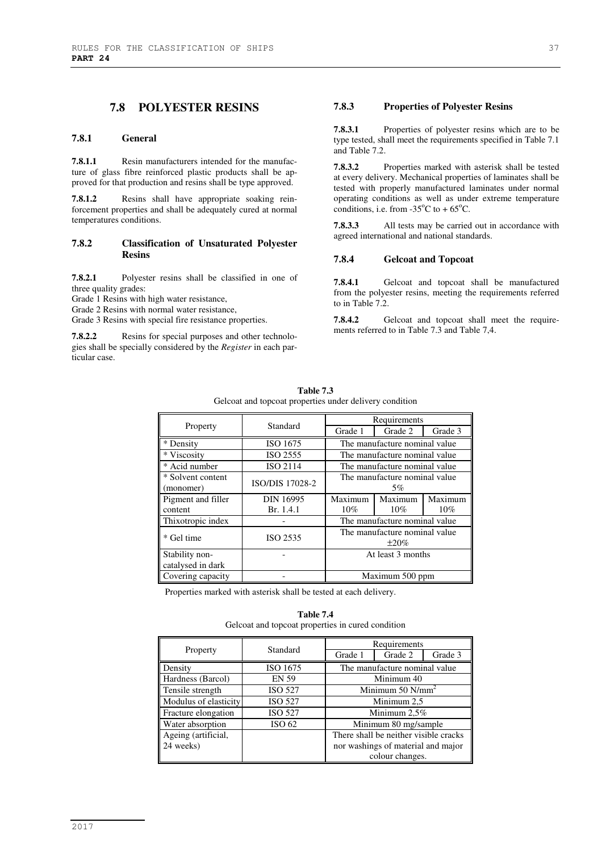## **7.8 POLYESTER RESINS**

#### **7.8.1 General**

**7.8.1.1** Resin manufacturers intended for the manufacture of glass fibre reinforced plastic products shall be approved for that production and resins shall be type approved.

**7.8.1.2** Resins shall have appropriate soaking reinforcement properties and shall be adequately cured at normal temperatures conditions.

#### **7.8.2 Classification of Unsaturated Polyester Resins**

**7.8.2.1** Polyester resins shall be classified in one of three quality grades:

Grade 1 Resins with high water resistance,

Grade 2 Resins with normal water resistance,

Grade 3 Resins with special fire resistance properties.

**7.8.2.2** Resins for special purposes and other technologies shall be specially considered by the *Register* in each particular case.

## **7.8.3 Properties of Polyester Resins**

**7.8.3.1** Properties of polyester resins which are to be type tested, shall meet the requirements specified in Table 7.1 and Table 7.2.

**7.8.3.2** Properties marked with asterisk shall be tested at every delivery. Mechanical properties of laminates shall be tested with properly manufactured laminates under normal operating conditions as well as under extreme temperature conditions, i.e. from -35 $^{\circ}$ C to +65 $^{\circ}$ C.

**7.8.3.3** All tests may be carried out in accordance with agreed international and national standards.

#### **7.8.4 Gelcoat and Topcoat**

**7.8.4.1** Gelcoat and topcoat shall be manufactured from the polyester resins, meeting the requirements referred to in Table 7.2.

**7.8.4.2** Gelcoat and topcoat shall meet the requirements referred to in Table 7.3 and Table 7,4.

|                                     | Standard         | Requirements                                |                               |         |
|-------------------------------------|------------------|---------------------------------------------|-------------------------------|---------|
| Property                            |                  | Grade 1                                     | Grade 2                       | Grade 3 |
| * Density                           | ISO 1675         |                                             | The manufacture nominal value |         |
| * Viscosity                         | ISO 2555         |                                             | The manufacture nominal value |         |
| * Acid number                       | ISO 2114         |                                             | The manufacture nominal value |         |
| * Solvent content<br>(monomer)      | ISO/DIS 17028-2  | The manufacture nominal value<br>5%         |                               |         |
| Pigment and filler                  | <b>DIN 16995</b> | Maximum                                     | Maximum                       | Maximum |
| content                             | Br. 1.4.1        | $10\%$                                      | $10\%$                        | $10\%$  |
| Thixotropic index                   |                  | The manufacture nominal value               |                               |         |
| Gel time                            | ISO 2535         | The manufacture nominal value<br>$\pm 20\%$ |                               |         |
| Stability non-<br>catalysed in dark |                  | At least 3 months                           |                               |         |
| Covering capacity                   |                  | Maximum 500 ppm                             |                               |         |

**Table 7.3**  Gelcoat and topcoat properties under delivery condition

Properties marked with asterisk shall be tested at each delivery.

#### **Table 7.4**  Gelcoat and topcoat properties in cured condition

|                       | Standard       | Requirements                          |         |         |
|-----------------------|----------------|---------------------------------------|---------|---------|
| Property              |                | Grade 1                               | Grade 2 | Grade 3 |
| Density               | ISO 1675       | The manufacture nominal value         |         |         |
| Hardness (Barcol)     | <b>EN 59</b>   | Minimum 40                            |         |         |
| Tensile strength      | <b>ISO 527</b> | Minimum 50 $N/mm^2$                   |         |         |
| Modulus of elasticity | <b>ISO 527</b> | Minimum 2,5                           |         |         |
| Fracture elongation   | <b>ISO 527</b> | Minimum $2.5\%$                       |         |         |
| Water absorption      | ISO 62         | Minimum 80 mg/sample                  |         |         |
| Ageing (artificial,   |                | There shall be neither visible cracks |         |         |
| 24 weeks)             |                | nor washings of material and major    |         |         |
|                       |                | colour changes.                       |         |         |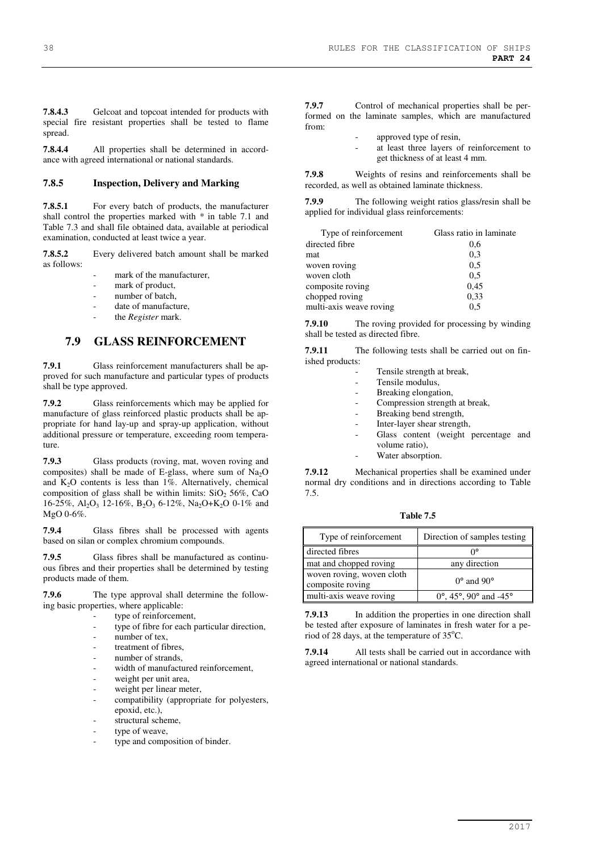**7.8.4.3** Gelcoat and topcoat intended for products with special fire resistant properties shall be tested to flame spread.

**7.8.4.4** All properties shall be determined in accordance with agreed international or national standards.

#### **7.8.5 Inspection, Delivery and Marking**

**7.8.5.1** For every batch of products, the manufacturer shall control the properties marked with \* in table 7.1 and Table 7.3 and shall file obtained data, available at periodical examination, conducted at least twice a year.

**7.8.5.2** Every delivered batch amount shall be marked as follows:

- mark of the manufacturer,
- mark of product,
- number of batch.
- date of manufacture.
- the *Register* mark.

## **7.9 GLASS REINFORCEMENT**

**7.9.1** Glass reinforcement manufacturers shall be approved for such manufacture and particular types of products shall be type approved.

**7.9.2** Glass reinforcements which may be applied for manufacture of glass reinforced plastic products shall be appropriate for hand lay-up and spray-up application, without additional pressure or temperature, exceeding room temperature.

**7.9.3** Glass products (roving, mat, woven roving and composites) shall be made of E-glass, where sum of  $Na<sub>2</sub>O$ and  $K<sub>2</sub>O$  contents is less than 1%. Alternatively, chemical composition of glass shall be within limits:  $SiO<sub>2</sub> 56\%$ , CaO 16-25%, Al<sub>2</sub>O<sub>3</sub> 12-16%, B<sub>2</sub>O<sub>3</sub> 6-12%, Na<sub>2</sub>O+K<sub>2</sub>O 0-1% and MgO 0-6%.

**7.9.4** Glass fibres shall be processed with agents based on silan or complex chromium compounds.

**7.9.5** Glass fibres shall be manufactured as continuous fibres and their properties shall be determined by testing products made of them.

**7.9.6** The type approval shall determine the following basic properties, where applicable:

- type of reinforcement,
- type of fibre for each particular direction,
- $n$ number of tex,
- treatment of fibres.
- number of strands
- width of manufactured reinforcement,
- weight per unit area,
- weight per linear meter,
- compatibility (appropriate for polyesters, epoxid, etc.),
- structural scheme,
- type of weave,
- type and composition of binder.

**7.9.7** Control of mechanical properties shall be performed on the laminate samples, which are manufactured from:

- approved type of resin,
	- at least three layers of reinforcement to get thickness of at least 4 mm.

**7.9.8** Weights of resins and reinforcements shall be recorded, as well as obtained laminate thickness.

**7.9.9** The following weight ratios glass/resin shall be applied for individual glass reinforcements:

| Glass ratio in laminate |
|-------------------------|
| 0,6                     |
| 0,3                     |
| 0.5                     |
| 0,5                     |
| 0,45                    |
| 0,33                    |
| 0.5                     |
|                         |

**7.9.10** The roving provided for processing by winding shall be tested as directed fibre.

**7.9.11** The following tests shall be carried out on finished products:

| Tensile strength at break,           |
|--------------------------------------|
| Tensile modulus,                     |
| Breaking elongation,                 |
| Compression strength at break,       |
| Breaking bend strength,              |
| Inter-layer shear strength,          |
| Glass content (weight percentage and |
| volume ratio).                       |
| Water absorption.                    |
|                                      |

**7.9.12** Mechanical properties shall be examined under normal dry conditions and in directions according to Table 7.5.

**Table 7.5** 

| Type of reinforcement                         | Direction of samples testing    |
|-----------------------------------------------|---------------------------------|
| directed fibres                               | ∩∘                              |
| mat and chopped roving                        | any direction                   |
| woven roving, woven cloth<br>composite roving | $0^{\circ}$ and $90^{\circ}$    |
| multi-axis weave roving                       | $0^{\circ}$ , 45°, 90° and -45° |

**7.9.13** In addition the properties in one direction shall be tested after exposure of laminates in fresh water for a period of 28 days, at the temperature of  $35^{\circ}$ C.

**7.9.14** All tests shall be carried out in accordance with agreed international or national standards.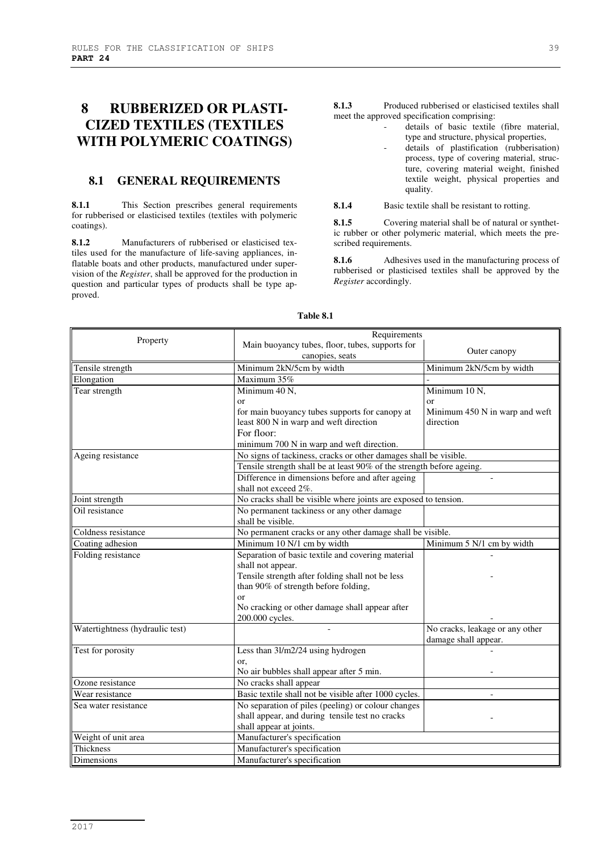# **8 RUBBERIZED OR PLASTI-CIZED TEXTILES (TEXTILES WITH POLYMERIC COATINGS)**

## **8.1 GENERAL REQUIREMENTS**

**8.1.1** This Section prescribes general requirements for rubberised or elasticised textiles (textiles with polymeric coatings).

**8.1.2** Manufacturers of rubberised or elasticised textiles used for the manufacture of life-saving appliances, inflatable boats and other products, manufactured under supervision of the *Register*, shall be approved for the production in question and particular types of products shall be type approved.

**8.1.3** Produced rubberised or elasticised textiles shall meet the approved specification comprising:

- details of basic textile (fibre material, type and structure, physical properties,
- details of plastification (rubberisation) process, type of covering material, structure, covering material weight, finished textile weight, physical properties and quality.

**8.1.4** Basic textile shall be resistant to rotting.

**8.1.5** Covering material shall be of natural or synthetic rubber or other polymeric material, which meets the prescribed requirements.

**8.1.6** Adhesives used in the manufacturing process of rubberised or plasticised textiles shall be approved by the *Register* accordingly.

| Property                                        | Requirements                                                          |                                                           |  |  |
|-------------------------------------------------|-----------------------------------------------------------------------|-----------------------------------------------------------|--|--|
|                                                 | Main buoyancy tubes, floor, tubes, supports for                       | Outer canopy                                              |  |  |
|                                                 | canopies, seats                                                       |                                                           |  |  |
| Tensile strength                                | Minimum 2kN/5cm by width                                              | Minimum 2kN/5cm by width                                  |  |  |
| Elongation                                      | Maximum 35%                                                           |                                                           |  |  |
| Tear strength                                   | Minimum 40 N,                                                         | Minimum 10 N,                                             |  |  |
|                                                 | $\alpha$                                                              | $\alpha$ r                                                |  |  |
|                                                 | for main buoyancy tubes supports for canopy at                        | Minimum 450 N in warp and weft                            |  |  |
|                                                 | least 800 N in warp and weft direction                                | direction                                                 |  |  |
|                                                 | For floor:                                                            |                                                           |  |  |
|                                                 | minimum 700 N in warp and weft direction.                             |                                                           |  |  |
| Ageing resistance                               | No signs of tackiness, cracks or other damages shall be visible.      |                                                           |  |  |
|                                                 | Tensile strength shall be at least 90% of the strength before ageing. |                                                           |  |  |
|                                                 | Difference in dimensions before and after ageing                      |                                                           |  |  |
|                                                 | shall not exceed 2%.                                                  |                                                           |  |  |
| Joint strength                                  | No cracks shall be visible where joints are exposed to tension.       |                                                           |  |  |
| Oil resistance                                  | No permanent tackiness or any other damage                            |                                                           |  |  |
|                                                 | shall be visible.                                                     |                                                           |  |  |
| Coldness resistance                             |                                                                       | No permanent cracks or any other damage shall be visible. |  |  |
| Coating adhesion                                | Minimum 10 N/1 cm by width<br>Minimum 5 N/1 cm by width               |                                                           |  |  |
| Folding resistance                              | Separation of basic textile and covering material                     |                                                           |  |  |
|                                                 | shall not appear.                                                     |                                                           |  |  |
|                                                 | Tensile strength after folding shall not be less                      |                                                           |  |  |
|                                                 | than 90% of strength before folding,                                  |                                                           |  |  |
|                                                 | or                                                                    |                                                           |  |  |
|                                                 | No cracking or other damage shall appear after                        |                                                           |  |  |
|                                                 | 200.000 cycles.                                                       |                                                           |  |  |
| Watertightness (hydraulic test)                 |                                                                       | No cracks, leakage or any other                           |  |  |
|                                                 |                                                                       | damage shall appear.                                      |  |  |
| Test for porosity                               | Less than 3l/m2/24 using hydrogen                                     |                                                           |  |  |
|                                                 | or,                                                                   |                                                           |  |  |
|                                                 | No air bubbles shall appear after 5 min.                              |                                                           |  |  |
| Ozone resistance                                | No cracks shall appear                                                |                                                           |  |  |
| Wear resistance                                 | Basic textile shall not be visible after 1000 cycles.                 |                                                           |  |  |
| Sea water resistance                            | No separation of piles (peeling) or colour changes                    |                                                           |  |  |
| shall appear, and during tensile test no cracks |                                                                       |                                                           |  |  |
|                                                 | shall appear at joints.                                               |                                                           |  |  |
| Weight of unit area                             | Manufacturer's specification                                          |                                                           |  |  |
| <b>Thickness</b>                                | Manufacturer's specification                                          |                                                           |  |  |
| Dimensions                                      | Manufacturer's specification                                          |                                                           |  |  |

#### **Table 8.1**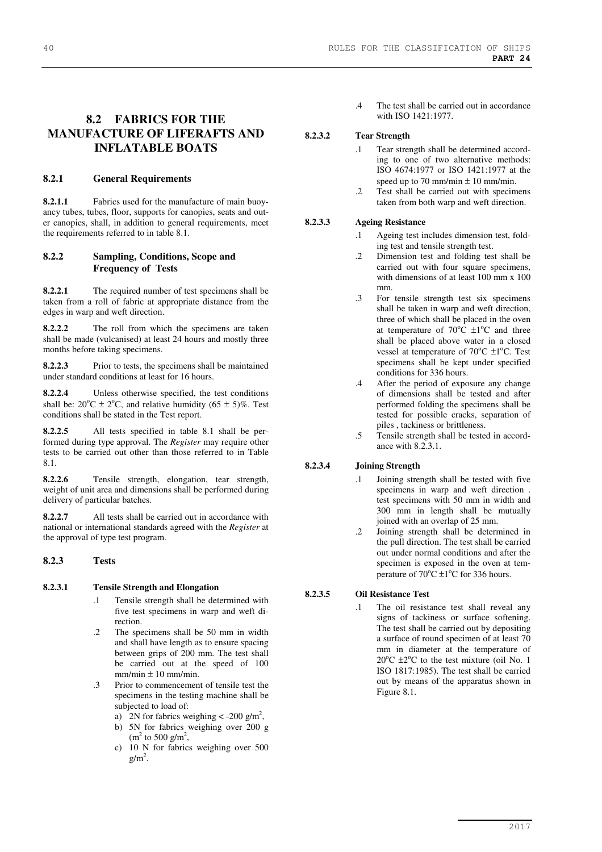# **8.2 FABRICS FOR THE**

# **MANUFACTURE OF LIFERAFTS AND INFLATABLE BOATS**

#### **8.2.1 General Requirements**

**8.2.1.1** Fabrics used for the manufacture of main buoyancy tubes, tubes, floor, supports for canopies, seats and outer canopies, shall, in addition to general requirements, meet the requirements referred to in table 8.1.

#### **8.2.2 Sampling, Conditions, Scope and Frequency of Tests**

**8.2.2.1** The required number of test specimens shall be taken from a roll of fabric at appropriate distance from the edges in warp and weft direction.

**8.2.2.2** The roll from which the specimens are taken shall be made (vulcanised) at least 24 hours and mostly three months before taking specimens.

**8.2.2.3** Prior to tests, the specimens shall be maintained under standard conditions at least for 16 hours.

**8.2.2.4** Unless otherwise specified, the test conditions shall be:  $20^{\circ}$ C  $\pm$  2<sup>o</sup>C, and relative humidity (65  $\pm$  5)%. Test conditions shall be stated in the Test report.

**8.2.2.5** All tests specified in table 8.1 shall be performed during type approval. The *Register* may require other tests to be carried out other than those referred to in Table 8.1.

**8.2.2.6** Tensile strength, elongation, tear strength, weight of unit area and dimensions shall be performed during delivery of particular batches.

**8.2.2.7** All tests shall be carried out in accordance with national or international standards agreed with the *Register* at the approval of type test program.

#### **8.2.3 Tests**

#### **8.2.3.1 Tensile Strength and Elongation**

- Tensile strength shall be determined with five test specimens in warp and weft direction.
- .2 The specimens shall be 50 mm in width and shall have length as to ensure spacing between grips of 200 mm. The test shall be carried out at the speed of 100  $mm/min \pm 10 mm/min$ .
- .3 Prior to commencement of tensile test the specimens in the testing machine shall be subjected to load of:
	- a) 2N for fabrics weighing  $\lt$  -200 g/m<sup>2</sup>,
	- b) 5N for fabrics weighing over 200 g  $(m^2 \text{ to } 500 \text{ g/m}^2,$
	- c) 10 N for fabrics weighing over 500  $g/m<sup>2</sup>$ .
- 40 RULES FOR THE CLASSIFICATION OF SHIPS **PART 24** 
	- .4 The test shall be carried out in accordance with ISO 1421:1977.

#### **8.2.3.2 Tear Strength**

- .1 Tear strength shall be determined according to one of two alternative methods: ISO 4674:1977 or ISO 1421:1977 at the speed up to 70 mm/min  $\pm$  10 mm/min.
- .2 Test shall be carried out with specimens taken from both warp and weft direction.

#### **8.2.3.3 Ageing Resistance**

- .1 Ageing test includes dimension test, folding test and tensile strength test.
- .2 Dimension test and folding test shall be carried out with four square specimens, with dimensions of at least 100 mm x 100 mm.
- .3 For tensile strength test six specimens shall be taken in warp and weft direction, three of which shall be placed in the oven at temperature of  $70^{\circ}$ C  $\pm$ 1<sup>o</sup>C and three shall be placed above water in a closed vessel at temperature of  $70^{\circ}$ C  $\pm$ 1°C. Test specimens shall be kept under specified conditions for 336 hours.
- .4 After the period of exposure any change of dimensions shall be tested and after performed folding the specimens shall be tested for possible cracks, separation of piles , tackiness or brittleness.
- .5 Tensile strength shall be tested in accordance with 8.2.3.1.

#### **8.2.3.4 Joining Strength**

- .1 Joining strength shall be tested with five specimens in warp and weft direction . test specimens with 50 mm in width and 300 mm in length shall be mutually joined with an overlap of 25 mm.
- .2 Joining strength shall be determined in the pull direction. The test shall be carried out under normal conditions and after the specimen is exposed in the oven at temperature of  $70^{\circ}$ C  $\pm$ 1<sup>o</sup>C for 336 hours.

#### **8.2.3.5 Oil Resistance Test**

.1 The oil resistance test shall reveal any signs of tackiness or surface softening. The test shall be carried out by depositing a surface of round specimen of at least 70 mm in diameter at the temperature of  $20^{\circ}$ C  $\pm 2^{\circ}$ C to the test mixture (oil No. 1 ISO 1817:1985). The test shall be carried out by means of the apparatus shown in Figure 8.1.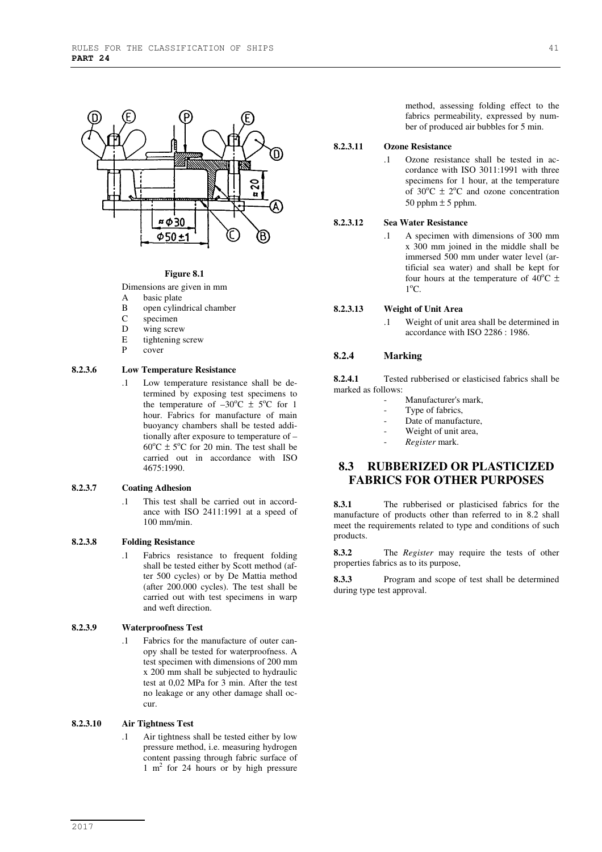

#### **Figure 8.1**

Dimensions are given in mm

- A basic plate<br>B open cyling
- B open cylindrical chamber<br>C specimen
- specimen
- D wing screw<br>F tightening s
- $E$  tightening screw<br>P cover
- cover

#### **8.2.3.6 Low Temperature Resistance**

.1 Low temperature resistance shall be determined by exposing test specimens to the temperature of  $-30^{\circ}$ C  $\pm$  5<sup>o</sup>C for 1 hour. Fabrics for manufacture of main buoyancy chambers shall be tested additionally after exposure to temperature of –  $60^{\circ}$ C  $\pm$  5<sup>o</sup>C for 20 min. The test shall be carried out in accordance with ISO 4675:1990.

#### **8.2.3.7 Coating Adhesion**

.1 This test shall be carried out in accordance with ISO 2411:1991 at a speed of 100 mm/min.

#### **8.2.3.8 Folding Resistance**

.1 Fabrics resistance to frequent folding shall be tested either by Scott method (after 500 cycles) or by De Mattia method (after 200.000 cycles). The test shall be carried out with test specimens in warp and weft direction.

#### **8.2.3.9 Waterproofness Test**

.1 Fabrics for the manufacture of outer canopy shall be tested for waterproofness. A test specimen with dimensions of 200 mm x 200 mm shall be subjected to hydraulic test at 0,02 MPa for 3 min. After the test no leakage or any other damage shall occur.

#### **8.2.3.10 Air Tightness Test**

.1 Air tightness shall be tested either by low pressure method, i.e. measuring hydrogen content passing through fabric surface of 1 m<sup>2</sup> for 24 hours or by high pressure method, assessing folding effect to the fabrics permeability, expressed by number of produced air bubbles for 5 min.

#### **8.2.3.11 Ozone Resistance**

.1 Ozone resistance shall be tested in accordance with ISO 3011:1991 with three specimens for 1 hour, at the temperature of 30 $^{\circ}$ C  $\pm$  2 $^{\circ}$ C and ozone concentration 50 pphm  $\pm$  5 pphm.

#### **8.2.3.12 Sea Water Resistance**

.1 A specimen with dimensions of 300 mm x 300 mm joined in the middle shall be immersed 500 mm under water level (artificial sea water) and shall be kept for four hours at the temperature of  $40^{\circ}$ C  $\pm$  $1^{\rm o}{\rm C}.$ 

#### **8.2.3.13 Weight of Unit Area**

.1 Weight of unit area shall be determined in accordance with ISO 2286 : 1986.

#### **8.2.4 Marking**

**8.2.4.1** Tested rubberised or elasticised fabrics shall be marked as follows:

- Manufacturer's mark,
- Type of fabrics,
- Date of manufacture,
- Weight of unit area,
	- *Register* mark.

## **8.3 RUBBERIZED OR PLASTICIZED FABRICS FOR OTHER PURPOSES**

**8.3.1** The rubberised or plasticised fabrics for the manufacture of products other than referred to in 8.2 shall meet the requirements related to type and conditions of such products.

**8.3.2** The *Register* may require the tests of other properties fabrics as to its purpose,

**8.3.3** Program and scope of test shall be determined during type test approval.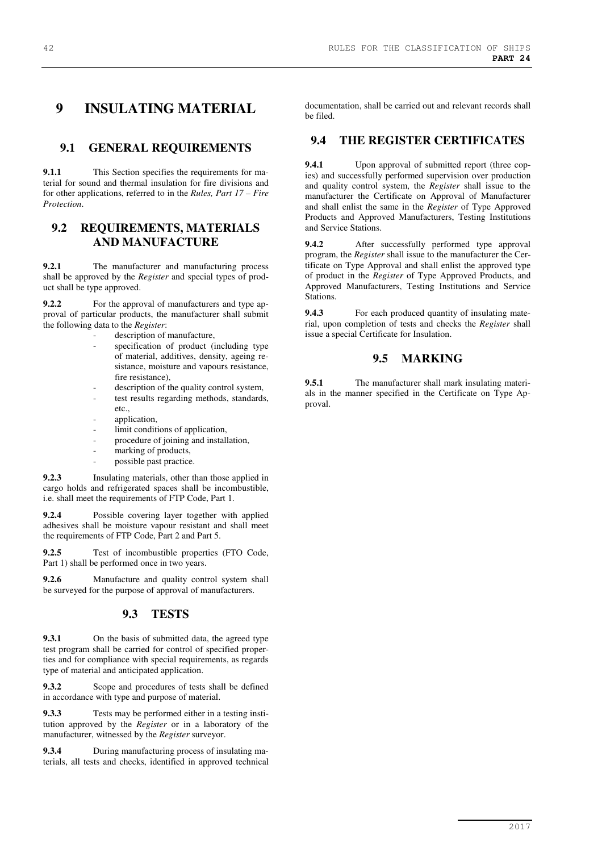# **9 INSULATING MATERIAL**

## **9.1 GENERAL REQUIREMENTS**

**9.1.1** This Section specifies the requirements for material for sound and thermal insulation for fire divisions and for other applications, referred to in the *Rules, Part 17 – Fire Protection*.

## **9.2 REQUIREMENTS, MATERIALS AND MANUFACTURE**

**9.2.1** The manufacturer and manufacturing process shall be approved by the *Register* and special types of product shall be type approved.

**9.2.2** For the approval of manufacturers and type approval of particular products, the manufacturer shall submit the following data to the *Register*:

- description of manufacture,
- specification of product (including type of material, additives, density, ageing resistance, moisture and vapours resistance, fire resistance),
- description of the quality control system,
- test results regarding methods, standards, etc.,
- application.
- limit conditions of application,
- procedure of joining and installation,
- marking of products,
- possible past practice.

**9.2.3** Insulating materials, other than those applied in cargo holds and refrigerated spaces shall be incombustible, i.e. shall meet the requirements of FTP Code, Part 1.

**9.2.4** Possible covering layer together with applied adhesives shall be moisture vapour resistant and shall meet the requirements of FTP Code, Part 2 and Part 5.

**9.2.5** Test of incombustible properties (FTO Code, Part 1) shall be performed once in two years.

**9.2.6** Manufacture and quality control system shall be surveyed for the purpose of approval of manufacturers.

## **9.3 TESTS**

**9.3.1** On the basis of submitted data, the agreed type test program shall be carried for control of specified properties and for compliance with special requirements, as regards type of material and anticipated application.

**9.3.2** Scope and procedures of tests shall be defined in accordance with type and purpose of material.

**9.3.3** Tests may be performed either in a testing institution approved by the *Register* or in a laboratory of the manufacturer, witnessed by the *Register* surveyor.

**9.3.4** During manufacturing process of insulating materials, all tests and checks, identified in approved technical documentation, shall be carried out and relevant records shall be filed.

## **9.4 THE REGISTER CERTIFICATES**

**9.4.1** Upon approval of submitted report (three copies) and successfully performed supervision over production and quality control system, the *Register* shall issue to the manufacturer the Certificate on Approval of Manufacturer and shall enlist the same in the *Register* of Type Approved Products and Approved Manufacturers, Testing Institutions and Service Stations.

**9.4.2** After successfully performed type approval program, the *Register* shall issue to the manufacturer the Certificate on Type Approval and shall enlist the approved type of product in the *Register* of Type Approved Products, and Approved Manufacturers, Testing Institutions and Service Stations.

**9.4.3** For each produced quantity of insulating material, upon completion of tests and checks the *Register* shall issue a special Certificate for Insulation.

## **9.5 MARKING**

**9.5.1** The manufacturer shall mark insulating materials in the manner specified in the Certificate on Type Approval.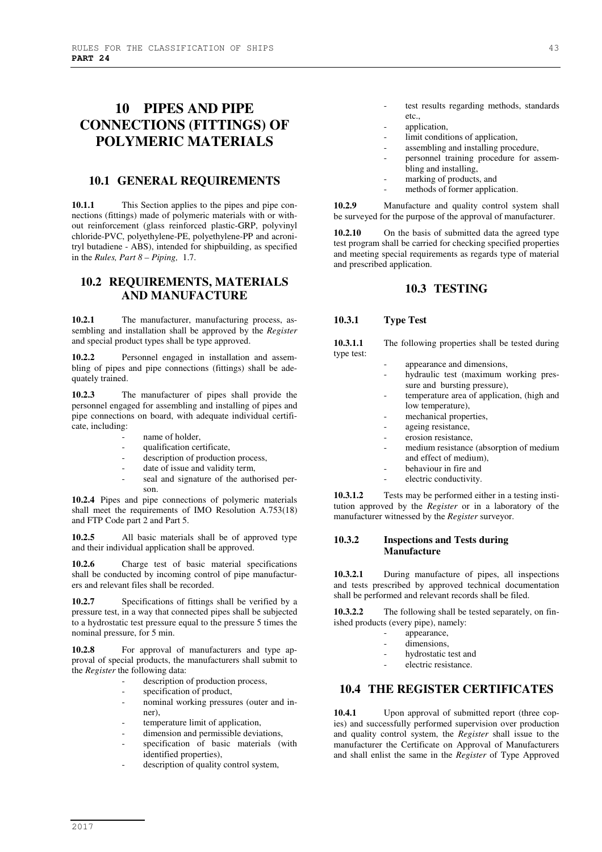# **10 PIPES AND PIPE CONNECTIONS (FITTINGS) OF POLYMERIC MATERIALS**

## **10.1 GENERAL REQUIREMENTS**

**10.1.1** This Section applies to the pipes and pipe connections (fittings) made of polymeric materials with or without reinforcement (glass reinforced plastic-GRP, polyvinyl chloride-PVC, polyethylene-PE, polyethylene-PP and acronitryl butadiene - ABS), intended for shipbuilding, as specified in the *Rules, Part 8 – Piping,* 1.7.

## **10.2 REQUIREMENTS, MATERIALS AND MANUFACTURE**

10.2.1 The manufacturer, manufacturing process, assembling and installation shall be approved by the *Register* and special product types shall be type approved.

Personnel engaged in installation and assembling of pipes and pipe connections (fittings) shall be adequately trained.

**10.2.3** The manufacturer of pipes shall provide the personnel engaged for assembling and installing of pipes and pipe connections on board, with adequate individual certificate, including:

- name of holder,
- qualification certificate,
- description of production process,
- date of issue and validity term,
- seal and signature of the authorised person.

**10.2.4** Pipes and pipe connections of polymeric materials shall meet the requirements of IMO Resolution A.753(18) and FTP Code part 2 and Part 5.

**10.2.5** All basic materials shall be of approved type and their individual application shall be approved.

**10.2.6** Charge test of basic material specifications shall be conducted by incoming control of pipe manufacturers and relevant files shall be recorded.

**10.2.7** Specifications of fittings shall be verified by a pressure test, in a way that connected pipes shall be subjected to a hydrostatic test pressure equal to the pressure 5 times the nominal pressure, for 5 min.

10.2.8 For approval of manufacturers and type approval of special products, the manufacturers shall submit to the *Register* the following data:

- description of production process,
- specification of product,
- nominal working pressures (outer and inner),
- temperature limit of application,
- dimension and permissible deviations,
- specification of basic materials (with identified properties),
- description of quality control system,
- application,
- limit conditions of application,
- assembling and installing procedure,
- personnel training procedure for assembling and installing,
- marking of products, and
- methods of former application.

**10.2.9** Manufacture and quality control system shall be surveyed for the purpose of the approval of manufacturer.

**10.2.10** On the basis of submitted data the agreed type test program shall be carried for checking specified properties and meeting special requirements as regards type of material and prescribed application.

## **10.3 TESTING**

#### **10.3.1 Type Test**

| 10.3.1.1   | The following properties shall be tested during |
|------------|-------------------------------------------------|
| type test: |                                                 |

- appearance and dimensions,
- hydraulic test (maximum working pressure and bursting pressure),
- temperature area of application, (high and low temperature),
- mechanical properties,
- ageing resistance,
- erosion resistance,
- medium resistance (absorption of medium and effect of medium),
- behaviour in fire and
- electric conductivity.

**10.3.1.2** Tests may be performed either in a testing institution approved by the *Register* or in a laboratory of the manufacturer witnessed by the *Register* surveyor.

#### **10.3.2 Inspections and Tests during Manufacture**

**10.3.2.1** During manufacture of pipes, all inspections and tests prescribed by approved technical documentation shall be performed and relevant records shall be filed.

**10.3.2.2** The following shall be tested separately, on finished products (every pipe), namely:

- appearance,
	- dimensions,
	- hydrostatic test and
	- electric resistance.

## **10.4 THE REGISTER CERTIFICATES**

10.4.1 Upon approval of submitted report (three copies) and successfully performed supervision over production and quality control system, the *Register* shall issue to the manufacturer the Certificate on Approval of Manufacturers and shall enlist the same in the *Register* of Type Approved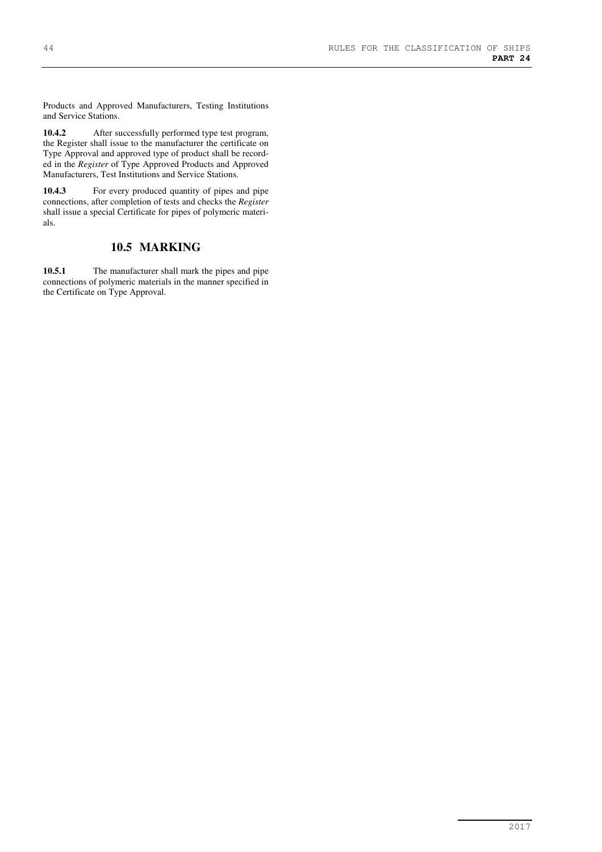Products and Approved Manufacturers, Testing Institutions and Service Stations.

**10.4.2** After successfully performed type test program, the Register shall issue to the manufacturer the certificate on Type Approval and approved type of product shall be recorded in the *Register* of Type Approved Products and Approved Manufacturers, Test Institutions and Service Stations.

**10.4.3** For every produced quantity of pipes and pipe connections, after completion of tests and checks the *Register* shall issue a special Certificate for pipes of polymeric materials.

## **10.5 MARKING**

**10.5.1** The manufacturer shall mark the pipes and pipe connections of polymeric materials in the manner specified in the Certificate on Type Approval.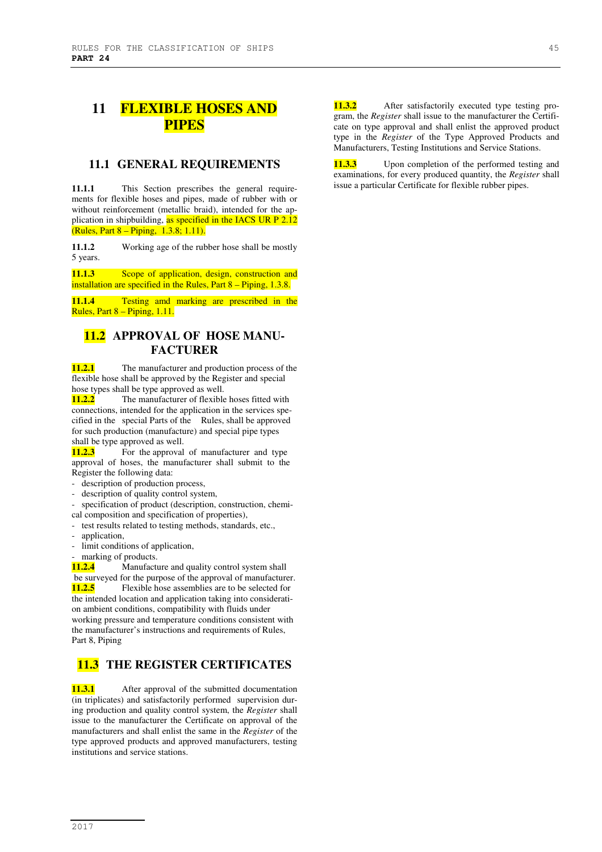# **11 FLEXIBLE HOSES AND PIPES**

## **11.1 GENERAL REQUIREMENTS**

**11.1.1** This Section prescribes the general requirements for flexible hoses and pipes, made of rubber with or without reinforcement (metallic braid), intended for the application in shipbuilding, as specified in the IACS UR P 2.12 (Rules, Part 8 – Piping, 1.3.8; 1.11).

**11.1.2** Working age of the rubber hose shall be mostly 5 years.

11.1.3 **Scope of application, design, construction and** installation are specified in the Rules, Part 8 – Piping, 1.3.8.

**11.1.4** Testing amd marking are prescribed in the Rules, Part 8 – Piping, 1.11.

## **11.2 APPROVAL OF HOSE MANU-FACTURER**

**11.2.1** The manufacturer and production process of the flexible hose shall be approved by the Register and special hose types shall be type approved as well.

**11.2.2** The manufacturer of flexible hoses fitted with connections, intended for the application in the services specified in the special Parts of the Rules, shall be approved for such production (manufacture) and special pipe types shall be type approved as well.

**11.2.3** For the approval of manufacturer and type approval of hoses, the manufacturer shall submit to the Register the following data:

- description of production process,
- description of quality control system,

specification of product (description, construction, chemical composition and specification of properties),

- test results related to testing methods, standards, etc.,

- application,
- limit conditions of application,
- marking of products.

**11.2.4** Manufacture and quality control system shall be surveyed for the purpose of the approval of manufacturer. **11.2.5** Flexible hose assemblies are to be selected for the intended location and application taking into consideration ambient conditions, compatibility with fluids under working pressure and temperature conditions consistent with the manufacturer's instructions and requirements of Rules, Part 8, Piping

## **11.3 THE REGISTER CERTIFICATES**

**11.3.1** After approval of the submitted documentation (in triplicates) and satisfactorily performed supervision during production and quality control system, the *Register* shall issue to the manufacturer the Certificate on approval of the manufacturers and shall enlist the same in the *Register* of the type approved products and approved manufacturers, testing institutions and service stations.

11.3.2 After satisfactorily executed type testing program, the *Register* shall issue to the manufacturer the Certificate on type approval and shall enlist the approved product type in the *Register* of the Type Approved Products and Manufacturers, Testing Institutions and Service Stations.

**11.3.3** Upon completion of the performed testing and examinations, for every produced quantity, the *Register* shall issue a particular Certificate for flexible rubber pipes.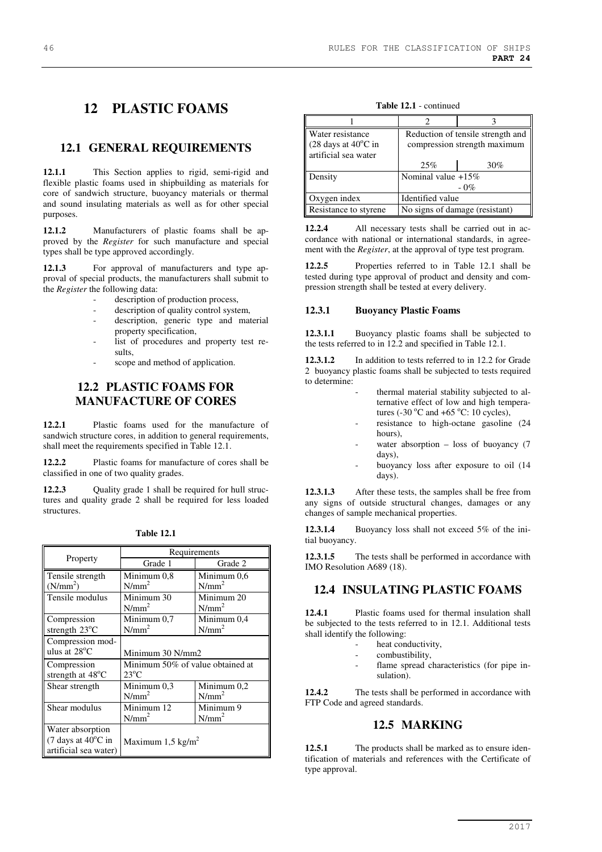# **12 PLASTIC FOAMS**

## **12.1 GENERAL REQUIREMENTS**

**12.1.1** This Section applies to rigid, semi-rigid and flexible plastic foams used in shipbuilding as materials for core of sandwich structure, buoyancy materials or thermal and sound insulating materials as well as for other special purposes.

**12.1.2** Manufacturers of plastic foams shall be approved by the *Register* for such manufacture and special types shall be type approved accordingly.

**12.1.3** For approval of manufacturers and type approval of special products, the manufacturers shall submit to the *Register* the following data:

- description of production process,
- description of quality control system,
- description, generic type and material property specification,
- list of procedures and property test results,
- scope and method of application.

## **12.2 PLASTIC FOAMS FOR MANUFACTURE OF CORES**

**12.2.1** Plastic foams used for the manufacture of sandwich structure cores, in addition to general requirements, shall meet the requirements specified in Table 12.1.

**12.2.2** Plastic foams for manufacture of cores shall be classified in one of two quality grades.

**12.2.3** Quality grade 1 shall be required for hull structures and quality grade 2 shall be required for less loaded structures.

|                                              | Requirements                     |             |  |
|----------------------------------------------|----------------------------------|-------------|--|
| Property                                     | Grade 1                          | Grade 2     |  |
| Tensile strength                             | Minimum 0,8                      | Minimum 0,6 |  |
| (N/mm <sup>2</sup> )                         | $N/mm^2$                         | $N/mm^2$    |  |
| Tensile modulus                              | Minimum 30                       | Minimum 20  |  |
|                                              | $N/mm^2$                         | $N/mm^2$    |  |
| Compression                                  | Minimum 0,7                      | Minimum 0,4 |  |
| strength $23^{\circ}$ C                      | $N/mm^2$                         | $N/mm^2$    |  |
| Compression mod-                             |                                  |             |  |
| ulus at $28^{\circ}$ C                       | Minimum 30 N/mm2                 |             |  |
| Compression                                  | Minimum 50% of value obtained at |             |  |
| strength at $48^{\circ}$ C                   | $23^{\circ}$ C                   |             |  |
| Shear strength                               | Minimum 0,3                      | Minimum 0,2 |  |
|                                              | $N/mm^2$                         | $N/mm^2$    |  |
| Shear modulus                                | Minimum 12                       | Minimum 9   |  |
|                                              | $N/mm^2$                         | $N/mm^2$    |  |
| Water absorption                             |                                  |             |  |
| $(7 \text{ days at } 40^{\circ}\text{C in})$ | Maximum 1,5 kg/m <sup>2</sup>    |             |  |
| artificial sea water)                        |                                  |             |  |

**Table 12.1** - continued

| Water resistance<br>$(28 \text{ days at } 40^{\circ}\text{C in})$<br>artificial sea water | Reduction of tensile strength and<br>compression strength maximum |     |
|-------------------------------------------------------------------------------------------|-------------------------------------------------------------------|-----|
|                                                                                           | 25%                                                               | 30% |
| Density                                                                                   | Nominal value $+15\%$<br>$-0\%$                                   |     |
| Oxygen index                                                                              | Identified value                                                  |     |
| Resistance to styrene                                                                     | No signs of damage (resistant)                                    |     |

**12.2.4** All necessary tests shall be carried out in accordance with national or international standards, in agreement with the *Register*, at the approval of type test program.

**12.2.5** Properties referred to in Table 12.1 shall be tested during type approval of product and density and compression strength shall be tested at every delivery.

#### **12.3.1 Buoyancy Plastic Foams**

**12.3.1.1** Buoyancy plastic foams shall be subjected to the tests referred to in 12.2 and specified in Table 12.1.

12.3.1.2 In addition to tests referred to in 12.2 for Grade 2 buoyancy plastic foams shall be subjected to tests required to determine:

- thermal material stability subjected to alternative effect of low and high temperatures (-30 $\degree$ C and +65 $\degree$ C: 10 cycles),
	- resistance to high-octane gasoline (24 hours),
	- water absorption  $-$  loss of buoyancy (7) days),
- buoyancy loss after exposure to oil (14 days).

**12.3.1.3** After these tests, the samples shall be free from any signs of outside structural changes, damages or any changes of sample mechanical properties.

**12.3.1.4** Buoyancy loss shall not exceed 5% of the initial buoyancy.

**12.3.1.5** The tests shall be performed in accordance with IMO Resolution A689 (18).

## **12.4 INSULATING PLASTIC FOAMS**

**12.4.1** Plastic foams used for thermal insulation shall be subjected to the tests referred to in 12.1. Additional tests shall identify the following:

- heat conductivity,
- combustibility,
- flame spread characteristics (for pipe insulation).

**12.4.2** The tests shall be performed in accordance with FTP Code and agreed standards.

## **12.5 MARKING**

**12.5.1** The products shall be marked as to ensure identification of materials and references with the Certificate of type approval.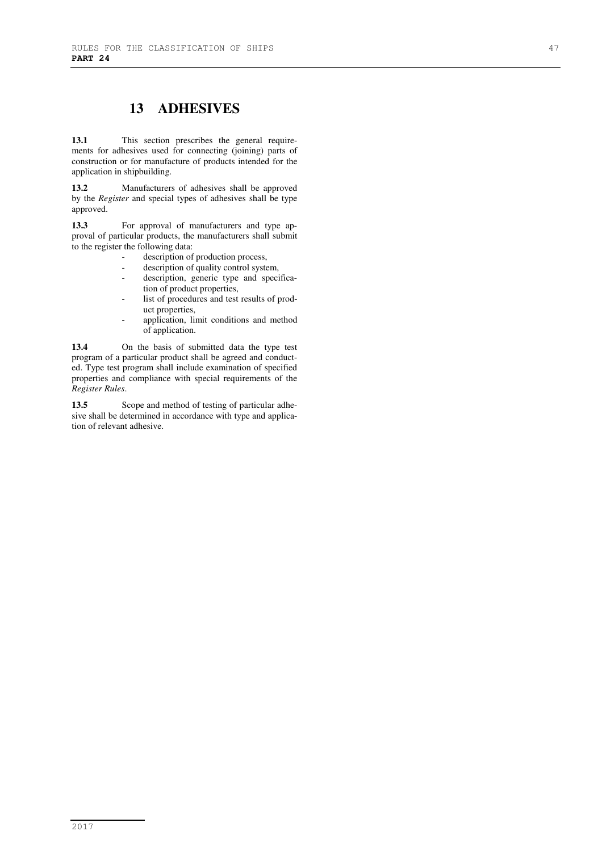# **13 ADHESIVES**

**13.1** This section prescribes the general requirements for adhesives used for connecting (joining) parts of construction or for manufacture of products intended for the application in shipbuilding.

**13.2** Manufacturers of adhesives shall be approved by the *Register* and special types of adhesives shall be type approved.

**13.3** For approval of manufacturers and type approval of particular products, the manufacturers shall submit to the register the following data:

- description of production process,
- description of quality control system,
- description, generic type and specification of product properties,
- list of procedures and test results of product properties,
- application, limit conditions and method of application.

**13.4** On the basis of submitted data the type test program of a particular product shall be agreed and conducted. Type test program shall include examination of specified properties and compliance with special requirements of the *Register Rules*.

13.5 Scope and method of testing of particular adhesive shall be determined in accordance with type and application of relevant adhesive.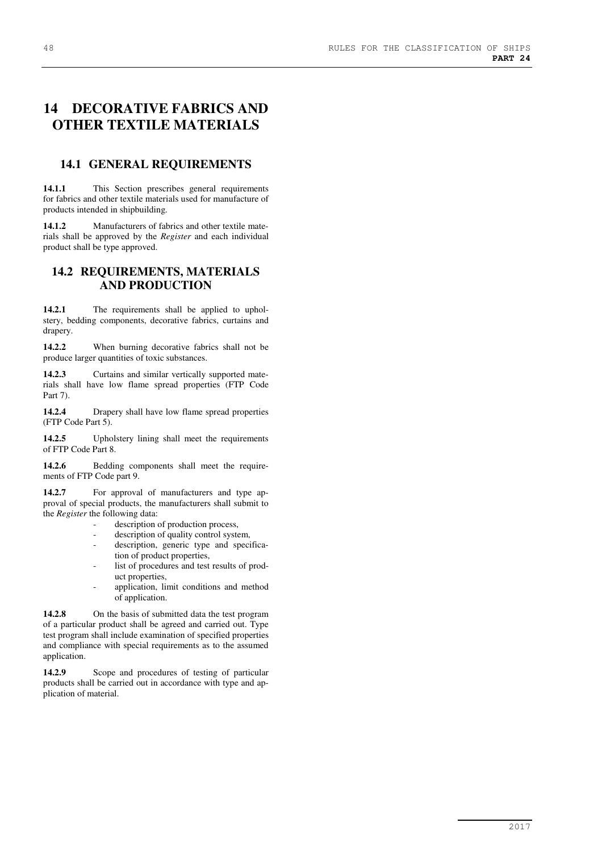# **14 DECORATIVE FABRICS AND OTHER TEXTILE MATERIALS**

## **14.1 GENERAL REQUIREMENTS**

**14.1.1** This Section prescribes general requirements for fabrics and other textile materials used for manufacture of products intended in shipbuilding.

**14.1.2** Manufacturers of fabrics and other textile materials shall be approved by the *Register* and each individual product shall be type approved.

## **14.2 REQUIREMENTS, MATERIALS AND PRODUCTION**

**14.2.1** The requirements shall be applied to upholstery, bedding components, decorative fabrics, curtains and drapery.

**14.2.2** When burning decorative fabrics shall not be produce larger quantities of toxic substances.

**14.2.3** Curtains and similar vertically supported materials shall have low flame spread properties (FTP Code Part 7).

**14.2.4** Drapery shall have low flame spread properties (FTP Code Part 5).

**14.2.5** Upholstery lining shall meet the requirements of FTP Code Part 8.

14.2.6 Bedding components shall meet the requirements of FTP Code part 9.

**14.2.7** For approval of manufacturers and type approval of special products, the manufacturers shall submit to the *Register* the following data:

- description of production process,
- description of quality control system,
- description, generic type and specification of product properties,
- list of procedures and test results of product properties,
- application, limit conditions and method of application.

**14.2.8** On the basis of submitted data the test program of a particular product shall be agreed and carried out. Type test program shall include examination of specified properties and compliance with special requirements as to the assumed application.

**14.2.9** Scope and procedures of testing of particular products shall be carried out in accordance with type and application of material.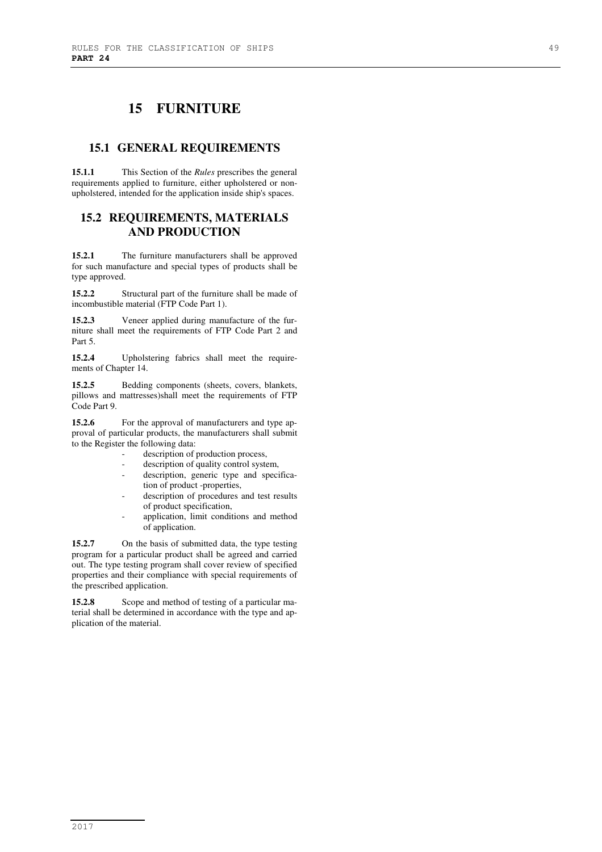# **15 FURNITURE**

## **15.1 GENERAL REQUIREMENTS**

**15.1.1** This Section of the *Rules* prescribes the general requirements applied to furniture, either upholstered or nonupholstered, intended for the application inside ship's spaces.

## **15.2 REQUIREMENTS, MATERIALS AND PRODUCTION**

**15.2.1** The furniture manufacturers shall be approved for such manufacture and special types of products shall be type approved.

**15.2.2** Structural part of the furniture shall be made of incombustible material (FTP Code Part 1).

**15.2.3** Veneer applied during manufacture of the furniture shall meet the requirements of FTP Code Part 2 and Part 5.

**15.2.4** Upholstering fabrics shall meet the requirements of Chapter 14.

**15.2.5** Bedding components (sheets, covers, blankets, pillows and mattresses)shall meet the requirements of FTP Code Part 9.

**15.2.6** For the approval of manufacturers and type approval of particular products, the manufacturers shall submit to the Register the following data:

- description of production process,
- description of quality control system,
- description, generic type and specification of product -properties,
- description of procedures and test results of product specification,
- application, limit conditions and method of application.

**15.2.7** On the basis of submitted data, the type testing program for a particular product shall be agreed and carried out. The type testing program shall cover review of specified properties and their compliance with special requirements of the prescribed application.

**15.2.8** Scope and method of testing of a particular material shall be determined in accordance with the type and application of the material.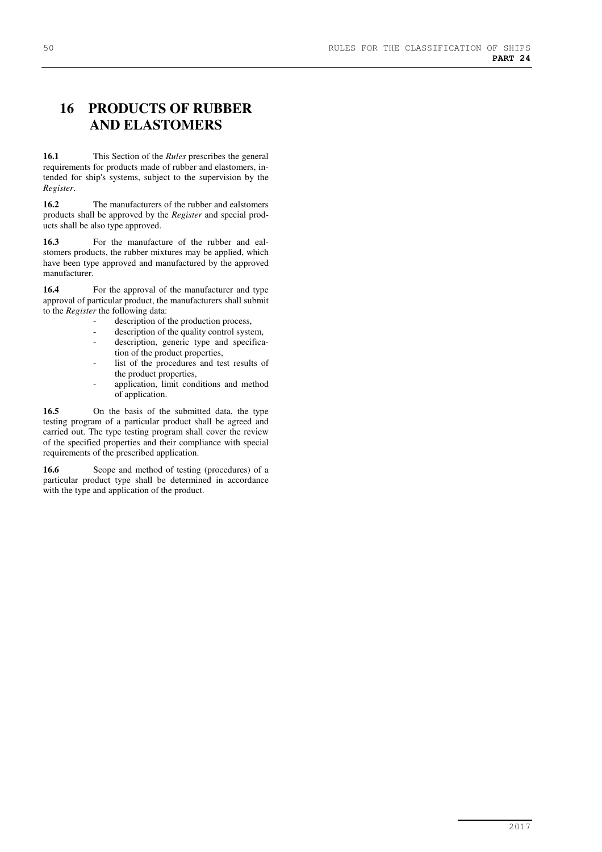# **16 PRODUCTS OF RUBBER AND ELASTOMERS**

**16.1** This Section of the *Rules* prescribes the general requirements for products made of rubber and elastomers, intended for ship's systems, subject to the supervision by the *Register*.

**16.2** The manufacturers of the rubber and ealstomers products shall be approved by the *Register* and special products shall be also type approved.

**16.3** For the manufacture of the rubber and ealstomers products, the rubber mixtures may be applied, which have been type approved and manufactured by the approved manufacturer.

16.4 For the approval of the manufacturer and type approval of particular product, the manufacturers shall submit to the *Register* the following data:

- description of the production process,
- description of the quality control system,
- description, generic type and specification of the product properties,
- list of the procedures and test results of the product properties,
- application, limit conditions and method of application.

**16.5** On the basis of the submitted data, the type testing program of a particular product shall be agreed and carried out. The type testing program shall cover the review of the specified properties and their compliance with special requirements of the prescribed application.

16.6 Scope and method of testing (procedures) of a particular product type shall be determined in accordance with the type and application of the product.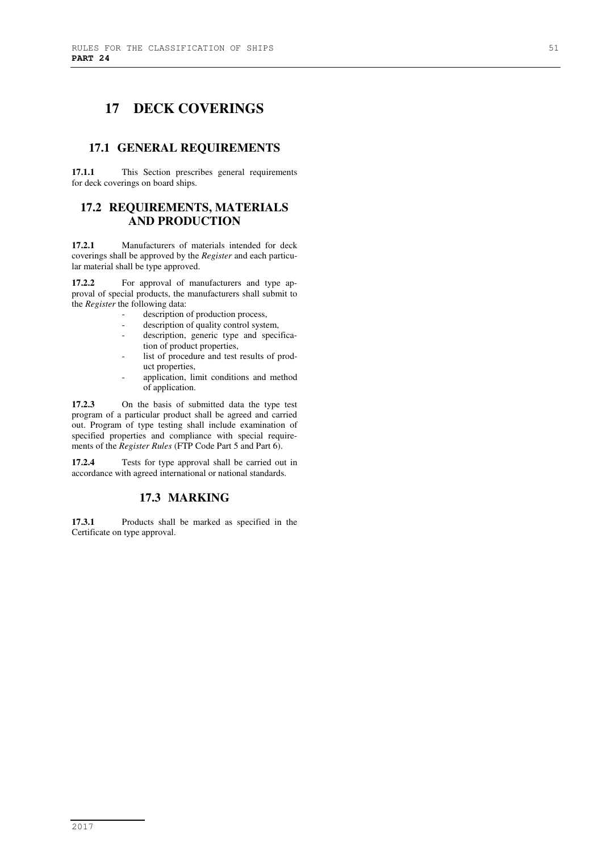# **17 DECK COVERINGS**

## **17.1 GENERAL REQUIREMENTS**

**17.1.1** This Section prescribes general requirements for deck coverings on board ships.

## **17.2 REQUIREMENTS, MATERIALS AND PRODUCTION**

**17.2.1** Manufacturers of materials intended for deck coverings shall be approved by the *Register* and each particular material shall be type approved.

**17.2.2** For approval of manufacturers and type approval of special products, the manufacturers shall submit to the *Register* the following data:

- description of production process,
- description of quality control system,
- description, generic type and specification of product properties,
- list of procedure and test results of product properties,
- application, limit conditions and method of application.

**17.2.3** On the basis of submitted data the type test program of a particular product shall be agreed and carried out. Program of type testing shall include examination of specified properties and compliance with special requirements of the *Register Rules* (FTP Code Part 5 and Part 6).

**17.2.4** Tests for type approval shall be carried out in accordance with agreed international or national standards.

## **17.3 MARKING**

**17.3.1** Products shall be marked as specified in the Certificate on type approval.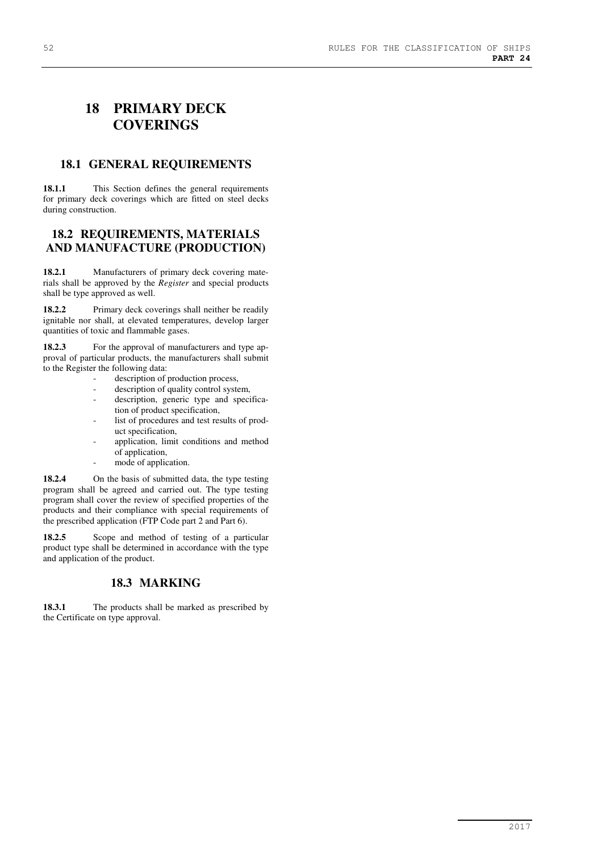# **18 PRIMARY DECK COVERINGS**

## **18.1 GENERAL REQUIREMENTS**

18.1.1 This Section defines the general requirements for primary deck coverings which are fitted on steel decks during construction.

## **18.2 REQUIREMENTS, MATERIALS AND MANUFACTURE (PRODUCTION)**

**18.2.1** Manufacturers of primary deck covering materials shall be approved by the *Register* and special products shall be type approved as well.

**18.2.2** Primary deck coverings shall neither be readily ignitable nor shall, at elevated temperatures, develop larger quantities of toxic and flammable gases.

**18.2.3** For the approval of manufacturers and type approval of particular products, the manufacturers shall submit to the Register the following data:

- description of production process,
- description of quality control system,
- description, generic type and specification of product specification,
- list of procedures and test results of product specification,
- application, limit conditions and method of application,
- mode of application.

**18.2.4** On the basis of submitted data, the type testing program shall be agreed and carried out. The type testing program shall cover the review of specified properties of the products and their compliance with special requirements of the prescribed application (FTP Code part 2 and Part 6).

18.2.5 Scope and method of testing of a particular product type shall be determined in accordance with the type and application of the product.

## **18.3 MARKING**

18.3.1 The products shall be marked as prescribed by the Certificate on type approval.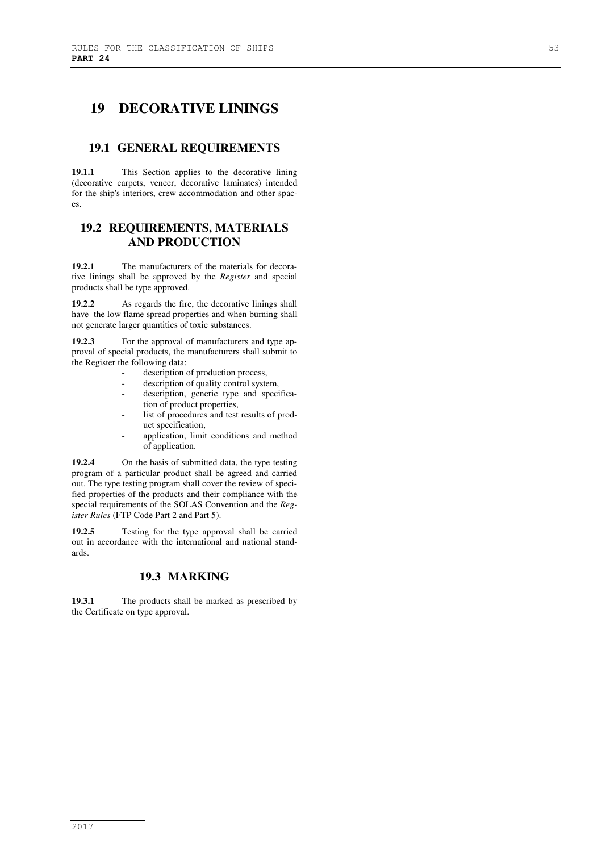# **19 DECORATIVE LININGS**

## **19.1 GENERAL REQUIREMENTS**

**19.1.1** This Section applies to the decorative lining (decorative carpets, veneer, decorative laminates) intended for the ship's interiors, crew accommodation and other spaces.

## **19.2 REQUIREMENTS, MATERIALS AND PRODUCTION**

**19.2.1** The manufacturers of the materials for decorative linings shall be approved by the *Register* and special products shall be type approved.

**19.2.2** As regards the fire, the decorative linings shall have the low flame spread properties and when burning shall not generate larger quantities of toxic substances.

**19.2.3** For the approval of manufacturers and type approval of special products, the manufacturers shall submit to the Register the following data:

- description of production process.
- description of quality control system,
- description, generic type and specification of product properties,
- list of procedures and test results of product specification,
- application, limit conditions and method of application.

**19.2.4** On the basis of submitted data, the type testing program of a particular product shall be agreed and carried out. The type testing program shall cover the review of specified properties of the products and their compliance with the special requirements of the SOLAS Convention and the *Register Rules* (FTP Code Part 2 and Part 5).

**19.2.5** Testing for the type approval shall be carried out in accordance with the international and national standards.

## **19.3 MARKING**

**19.3.1** The products shall be marked as prescribed by the Certificate on type approval.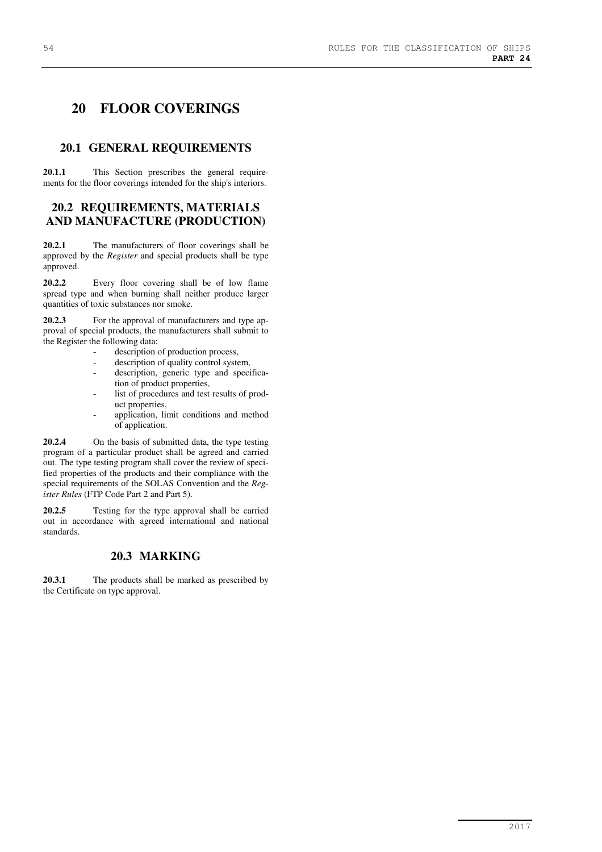# **20 FLOOR COVERINGS**

## **20.1 GENERAL REQUIREMENTS**

**20.1.1** This Section prescribes the general requirements for the floor coverings intended for the ship's interiors.

## **20.2 REQUIREMENTS, MATERIALS AND MANUFACTURE (PRODUCTION)**

**20.2.1** The manufacturers of floor coverings shall be approved by the *Register* and special products shall be type approved.

**20.2.2** Every floor covering shall be of low flame spread type and when burning shall neither produce larger quantities of toxic substances nor smoke.

**20.2.3** For the approval of manufacturers and type approval of special products, the manufacturers shall submit to the Register the following data:

- description of production process,
- description of quality control system,
- description, generic type and specification of product properties,
- list of procedures and test results of product properties,
- application, limit conditions and method of application.

**20.2.4** On the basis of submitted data, the type testing program of a particular product shall be agreed and carried out. The type testing program shall cover the review of specified properties of the products and their compliance with the special requirements of the SOLAS Convention and the *Register Rules* (FTP Code Part 2 and Part 5).

**20.2.5** Testing for the type approval shall be carried out in accordance with agreed international and national standards.

## **20.3 MARKING**

**20.3.1** The products shall be marked as prescribed by the Certificate on type approval.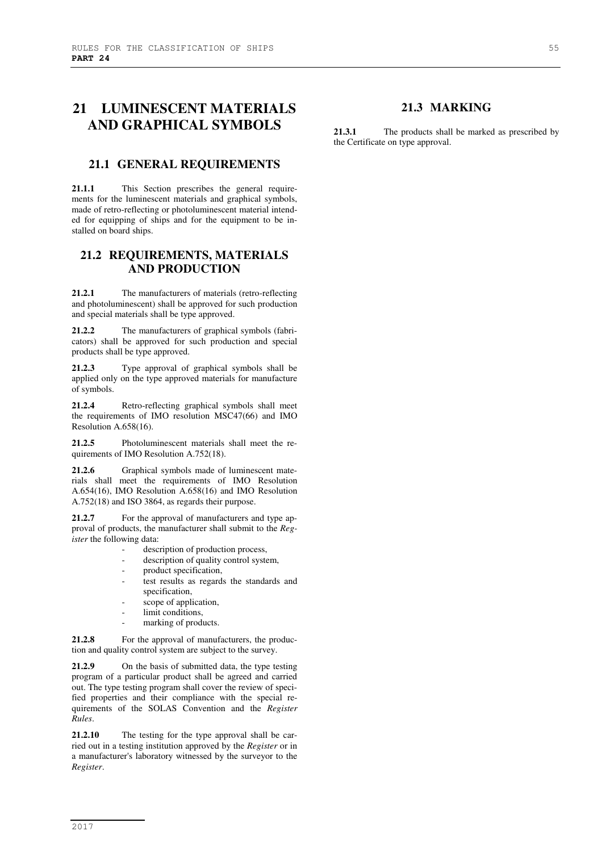# **21 LUMINESCENT MATERIALS AND GRAPHICAL SYMBOLS**

## **21.1 GENERAL REQUIREMENTS**

**21.1.1** This Section prescribes the general requirements for the luminescent materials and graphical symbols, made of retro-reflecting or photoluminescent material intended for equipping of ships and for the equipment to be installed on board ships.

## **21.2 REQUIREMENTS, MATERIALS AND PRODUCTION**

**21.2.1** The manufacturers of materials (retro-reflecting and photoluminescent) shall be approved for such production and special materials shall be type approved.

**21.2.2** The manufacturers of graphical symbols (fabricators) shall be approved for such production and special products shall be type approved.

**21.2.3** Type approval of graphical symbols shall be applied only on the type approved materials for manufacture of symbols.

**21.2.4** Retro-reflecting graphical symbols shall meet the requirements of IMO resolution MSC47(66) and IMO Resolution A.658(16).

**21.2.5** Photoluminescent materials shall meet the requirements of IMO Resolution A.752(18).

**21.2.6** Graphical symbols made of luminescent materials shall meet the requirements of IMO Resolution A.654(16), IMO Resolution A.658(16) and IMO Resolution A.752(18) and ISO 3864, as regards their purpose.

**21.2.7** For the approval of manufacturers and type approval of products, the manufacturer shall submit to the *Register* the following data:

- description of production process,
- description of quality control system,
- product specification,
- test results as regards the standards and specification,
- scope of application,
- limit conditions,
- marking of products.

21.2.8 For the approval of manufacturers, the production and quality control system are subject to the survey.

**21.2.9** On the basis of submitted data, the type testing program of a particular product shall be agreed and carried out. The type testing program shall cover the review of specified properties and their compliance with the special requirements of the SOLAS Convention and the *Register Rules*.

**21.2.10** The testing for the type approval shall be carried out in a testing institution approved by the *Register* or in a manufacturer's laboratory witnessed by the surveyor to the *Register*.

## **21.3 MARKING**

**21.3.1** The products shall be marked as prescribed by the Certificate on type approval.

2017